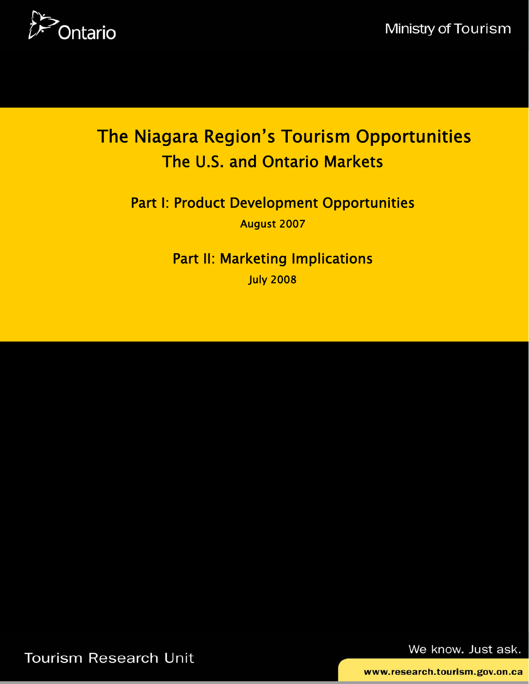

# The Niagara Region's Tourism Opportunities The U.S. and Ontario Markets

Part I: Product Development Opportunities August 2007

> Part II: Marketing Implications July 2008

Tourism Research Unit

We know. Just ask.

www.research.tourism.gov.on.ca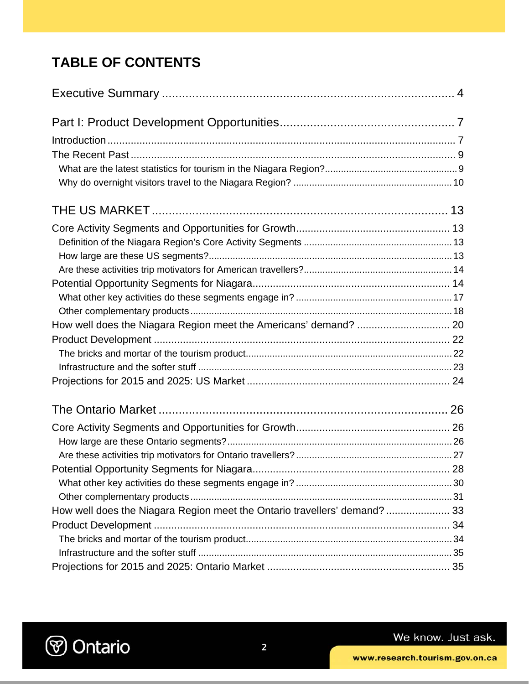# **TABLE OF CONTENTS**

| How well does the Niagara Region meet the Ontario travellers' demand?  33 |  |
|---------------------------------------------------------------------------|--|
|                                                                           |  |
|                                                                           |  |
|                                                                           |  |
|                                                                           |  |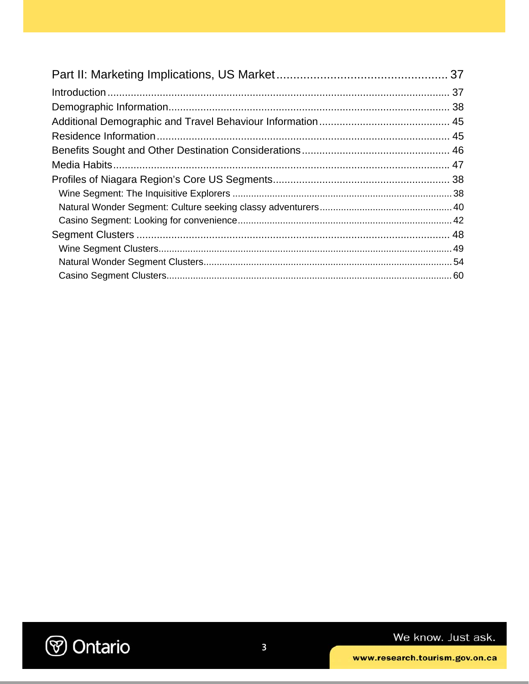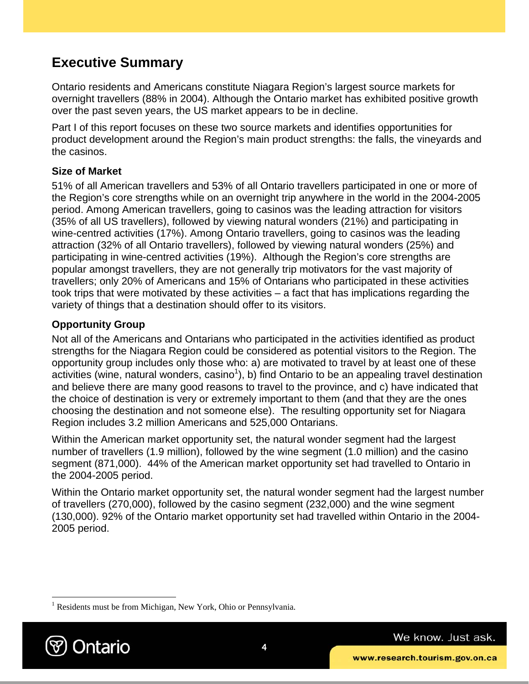## **Executive Summary**

Ontario residents and Americans constitute Niagara Region's largest source markets for overnight travellers (88% in 2004). Although the Ontario market has exhibited positive growth over the past seven years, the US market appears to be in decline.

Part I of this report focuses on these two source markets and identifies opportunities for product development around the Region's main product strengths: the falls, the vineyards and the casinos.

### **Size of Market**

51% of all American travellers and 53% of all Ontario travellers participated in one or more of the Region's core strengths while on an overnight trip anywhere in the world in the 2004-2005 period. Among American travellers, going to casinos was the leading attraction for visitors (35% of all US travellers), followed by viewing natural wonders (21%) and participating in wine-centred activities (17%). Among Ontario travellers, going to casinos was the leading attraction (32% of all Ontario travellers), followed by viewing natural wonders (25%) and participating in wine-centred activities (19%). Although the Region's core strengths are popular amongst travellers, they are not generally trip motivators for the vast majority of travellers; only 20% of Americans and 15% of Ontarians who participated in these activities took trips that were motivated by these activities – a fact that has implications regarding the variety of things that a destination should offer to its visitors.

### **Opportunity Group**

Not all of the Americans and Ontarians who participated in the activities identified as product strengths for the Niagara Region could be considered as potential visitors to the Region. The opportunity group includes only those who: a) are motivated to travel by at least one of these activities (wine, natural wonders, casino<sup>1</sup>), b) find Ontario to be an appealing travel destination and believe there are many good reasons to travel to the province, and c) have indicated that the choice of destination is very or extremely important to them (and that they are the ones choosing the destination and not someone else). The resulting opportunity set for Niagara Region includes 3.2 million Americans and 525,000 Ontarians.

Within the American market opportunity set, the natural wonder segment had the largest number of travellers (1.9 million), followed by the wine segment (1.0 million) and the casino segment (871,000). 44% of the American market opportunity set had travelled to Ontario in the 2004-2005 period.

Within the Ontario market opportunity set, the natural wonder segment had the largest number of travellers (270,000), followed by the casino segment (232,000) and the wine segment (130,000). 92% of the Ontario market opportunity set had travelled within Ontario in the 2004- 2005 period.

<sup>&</sup>lt;sup>1</sup> Residents must be from Michigan, New York, Ohio or Pennsylvania.



 $\overline{a}$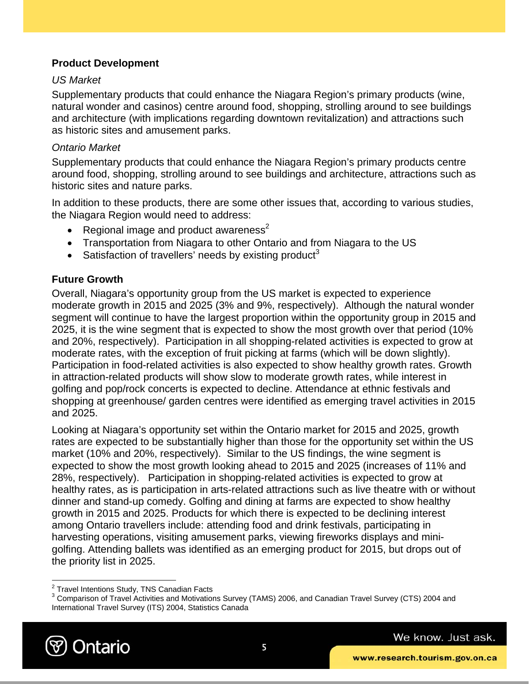### **Product Development**

### *US Market*

Supplementary products that could enhance the Niagara Region's primary products (wine, natural wonder and casinos) centre around food, shopping, strolling around to see buildings and architecture (with implications regarding downtown revitalization) and attractions such as historic sites and amusement parks.

### *Ontario Market*

Supplementary products that could enhance the Niagara Region's primary products centre around food, shopping, strolling around to see buildings and architecture, attractions such as historic sites and nature parks.

In addition to these products, there are some other issues that, according to various studies, the Niagara Region would need to address:

- Regional image and product awareness<sup>2</sup>
- Transportation from Niagara to other Ontario and from Niagara to the US
- Satisfaction of travellers' needs by existing product<sup>3</sup>

### **Future Growth**

Overall, Niagara's opportunity group from the US market is expected to experience moderate growth in 2015 and 2025 (3% and 9%, respectively). Although the natural wonder segment will continue to have the largest proportion within the opportunity group in 2015 and 2025, it is the wine segment that is expected to show the most growth over that period (10% and 20%, respectively). Participation in all shopping-related activities is expected to grow at moderate rates, with the exception of fruit picking at farms (which will be down slightly). Participation in food-related activities is also expected to show healthy growth rates. Growth in attraction-related products will show slow to moderate growth rates, while interest in golfing and pop/rock concerts is expected to decline. Attendance at ethnic festivals and shopping at greenhouse/ garden centres were identified as emerging travel activities in 2015 and 2025.

Looking at Niagara's opportunity set within the Ontario market for 2015 and 2025, growth rates are expected to be substantially higher than those for the opportunity set within the US market (10% and 20%, respectively). Similar to the US findings, the wine segment is expected to show the most growth looking ahead to 2015 and 2025 (increases of 11% and 28%, respectively). Participation in shopping-related activities is expected to grow at healthy rates, as is participation in arts-related attractions such as live theatre with or without dinner and stand-up comedy. Golfing and dining at farms are expected to show healthy growth in 2015 and 2025. Products for which there is expected to be declining interest among Ontario travellers include: attending food and drink festivals, participating in harvesting operations, visiting amusement parks, viewing fireworks displays and minigolfing. Attending ballets was identified as an emerging product for 2015, but drops out of the priority list in 2025.

 $3$  Comparison of Travel Activities and Motivations Survey (TAMS) 2006, and Canadian Travel Survey (CTS) 2004 and International Travel Survey (ITS) 2004, Statistics Canada



 2 Travel Intentions Study, TNS Canadian Facts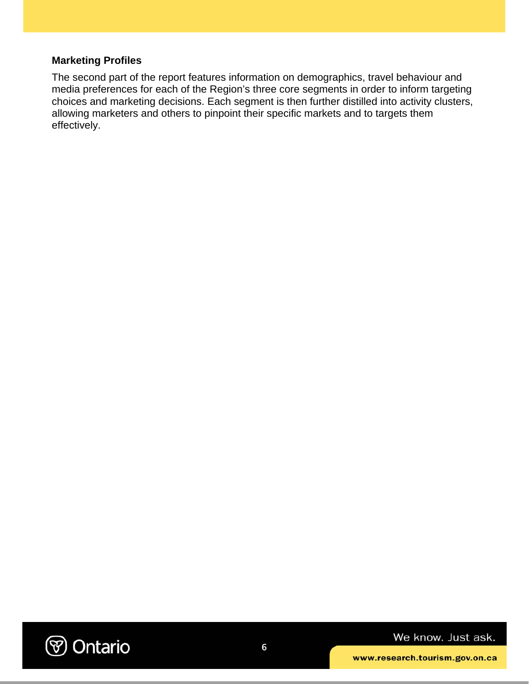### **Marketing Profiles**

The second part of the report features information on demographics, travel behaviour and media preferences for each of the Region's three core segments in order to inform targeting choices and marketing decisions. Each segment is then further distilled into activity clusters, allowing marketers and others to pinpoint their specific markets and to targets them effectively.

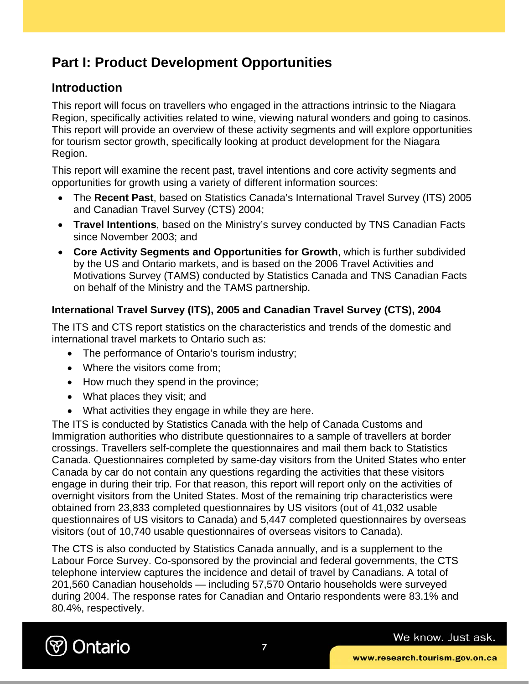# **Part I: Product Development Opportunities**

### **Introduction**

This report will focus on travellers who engaged in the attractions intrinsic to the Niagara Region, specifically activities related to wine, viewing natural wonders and going to casinos. This report will provide an overview of these activity segments and will explore opportunities for tourism sector growth, specifically looking at product development for the Niagara Region.

This report will examine the recent past, travel intentions and core activity segments and opportunities for growth using a variety of different information sources:

- The **Recent Past**, based on Statistics Canada's International Travel Survey (ITS) 2005 and Canadian Travel Survey (CTS) 2004;
- **Travel Intentions**, based on the Ministry's survey conducted by TNS Canadian Facts since November 2003; and
- **Core Activity Segments and Opportunities for Growth**, which is further subdivided by the US and Ontario markets, and is based on the 2006 Travel Activities and Motivations Survey (TAMS) conducted by Statistics Canada and TNS Canadian Facts on behalf of the Ministry and the TAMS partnership.

### **International Travel Survey (ITS), 2005 and Canadian Travel Survey (CTS), 2004**

The ITS and CTS report statistics on the characteristics and trends of the domestic and international travel markets to Ontario such as:

- The performance of Ontario's tourism industry:
- Where the visitors come from:
- How much they spend in the province;
- What places they visit; and
- What activities they engage in while they are here.

The ITS is conducted by Statistics Canada with the help of Canada Customs and Immigration authorities who distribute questionnaires to a sample of travellers at border crossings. Travellers self-complete the questionnaires and mail them back to Statistics Canada. Questionnaires completed by same-day visitors from the United States who enter Canada by car do not contain any questions regarding the activities that these visitors engage in during their trip. For that reason, this report will report only on the activities of overnight visitors from the United States. Most of the remaining trip characteristics were obtained from 23,833 completed questionnaires by US visitors (out of 41,032 usable questionnaires of US visitors to Canada) and 5,447 completed questionnaires by overseas visitors (out of 10,740 usable questionnaires of overseas visitors to Canada).

The CTS is also conducted by Statistics Canada annually, and is a supplement to the Labour Force Survey. Co-sponsored by the provincial and federal governments, the CTS telephone interview captures the incidence and detail of travel by Canadians. A total of 201,560 Canadian households — including 57,570 Ontario households were surveyed during 2004. The response rates for Canadian and Ontario respondents were 83.1% and 80.4%, respectively.

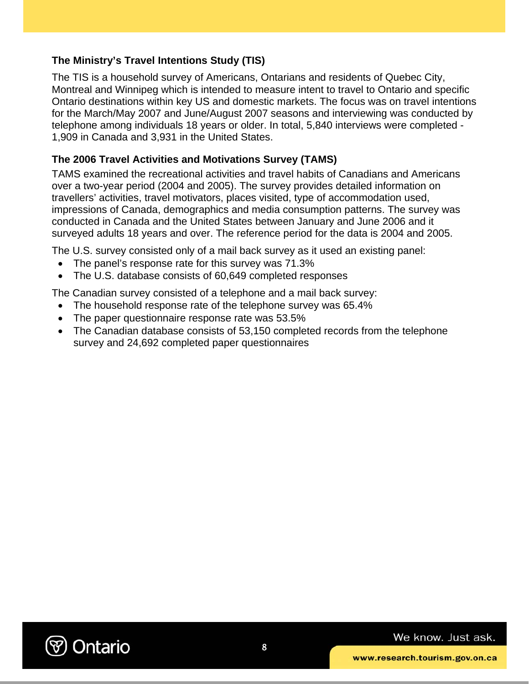### **The Ministry's Travel Intentions Study (TIS)**

The TIS is a household survey of Americans, Ontarians and residents of Quebec City, Montreal and Winnipeg which is intended to measure intent to travel to Ontario and specific Ontario destinations within key US and domestic markets. The focus was on travel intentions for the March/May 2007 and June/August 2007 seasons and interviewing was conducted by telephone among individuals 18 years or older. In total, 5,840 interviews were completed - 1,909 in Canada and 3,931 in the United States.

### **The 2006 Travel Activities and Motivations Survey (TAMS)**

TAMS examined the recreational activities and travel habits of Canadians and Americans over a two-year period (2004 and 2005). The survey provides detailed information on travellers' activities, travel motivators, places visited, type of accommodation used, impressions of Canada, demographics and media consumption patterns. The survey was conducted in Canada and the United States between January and June 2006 and it surveyed adults 18 years and over. The reference period for the data is 2004 and 2005.

The U.S. survey consisted only of a mail back survey as it used an existing panel:

- The panel's response rate for this survey was 71.3%
- The U.S. database consists of 60,649 completed responses

The Canadian survey consisted of a telephone and a mail back survey:

- The household response rate of the telephone survey was 65.4%
- The paper questionnaire response rate was 53.5%
- The Canadian database consists of 53,150 completed records from the telephone survey and 24,692 completed paper questionnaires

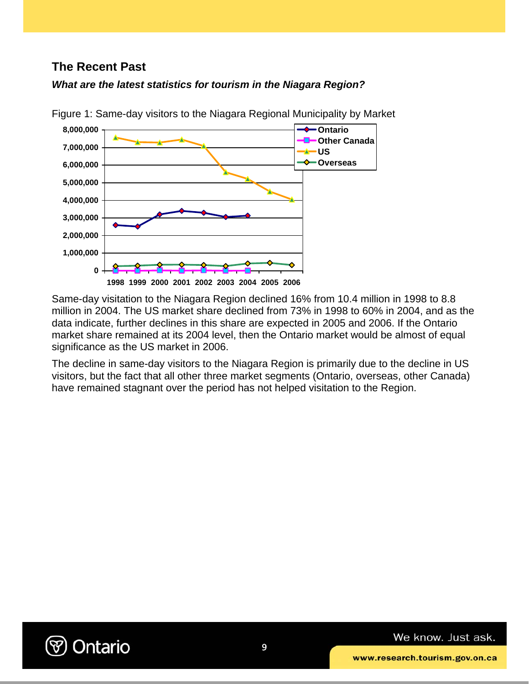### **The Recent Past**





Figure 1: Same-day visitors to the Niagara Regional Municipality by Market

Same-day visitation to the Niagara Region declined 16% from 10.4 million in 1998 to 8.8 million in 2004. The US market share declined from 73% in 1998 to 60% in 2004, and as the data indicate, further declines in this share are expected in 2005 and 2006. If the Ontario market share remained at its 2004 level, then the Ontario market would be almost of equal significance as the US market in 2006.

The decline in same-day visitors to the Niagara Region is primarily due to the decline in US visitors, but the fact that all other three market segments (Ontario, overseas, other Canada) have remained stagnant over the period has not helped visitation to the Region.

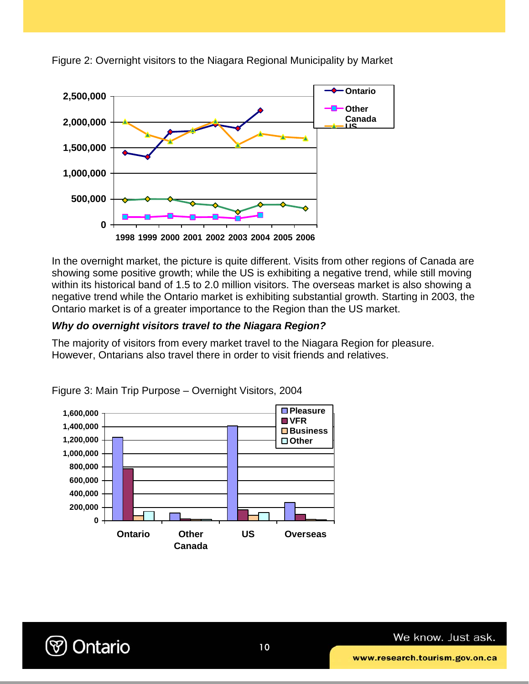

Figure 2: Overnight visitors to the Niagara Regional Municipality by Market

In the overnight market, the picture is quite different. Visits from other regions of Canada are showing some positive growth; while the US is exhibiting a negative trend, while still moving within its historical band of 1.5 to 2.0 million visitors. The overseas market is also showing a negative trend while the Ontario market is exhibiting substantial growth. Starting in 2003, the Ontario market is of a greater importance to the Region than the US market.

### *Why do overnight visitors travel to the Niagara Region?*

The majority of visitors from every market travel to the Niagara Region for pleasure. However, Ontarians also travel there in order to visit friends and relatives.



Figure 3: Main Trip Purpose – Overnight Visitors, 2004

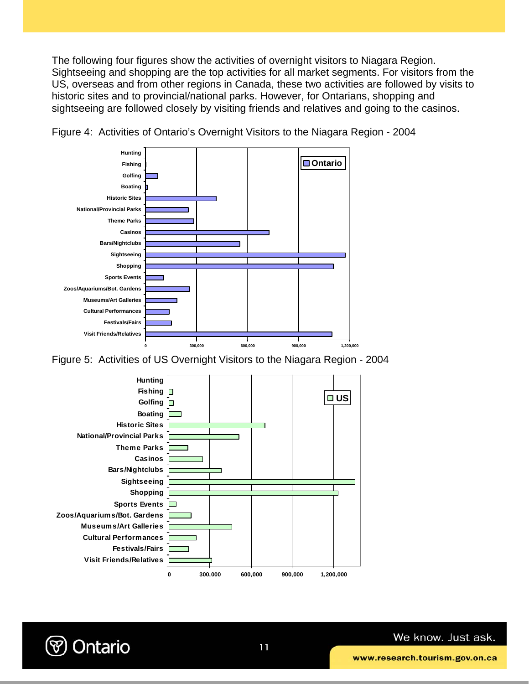The following four figures show the activities of overnight visitors to Niagara Region. Sightseeing and shopping are the top activities for all market segments. For visitors from the US, overseas and from other regions in Canada, these two activities are followed by visits to historic sites and to provincial/national parks. However, for Ontarians, shopping and sightseeing are followed closely by visiting friends and relatives and going to the casinos.



Figure 4: Activities of Ontario's Overnight Visitors to the Niagara Region - 2004

Figure 5: Activities of US Overnight Visitors to the Niagara Region - 2004



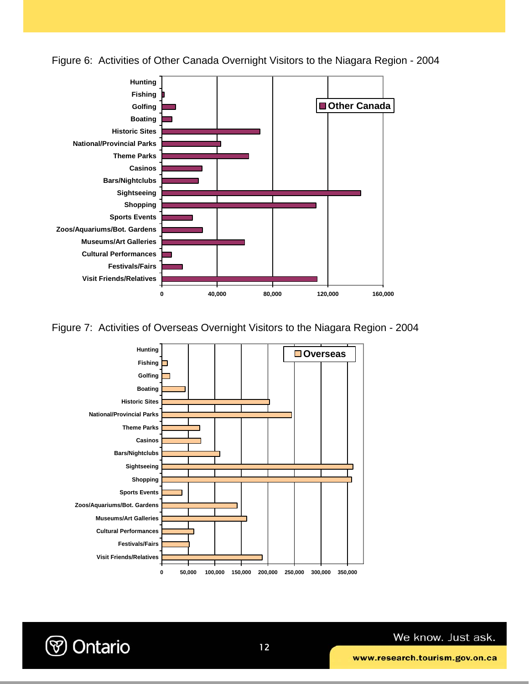

Figure 6: Activities of Other Canada Overnight Visitors to the Niagara Region - 2004

Figure 7: Activities of Overseas Overnight Visitors to the Niagara Region - 2004



**→ Ontario**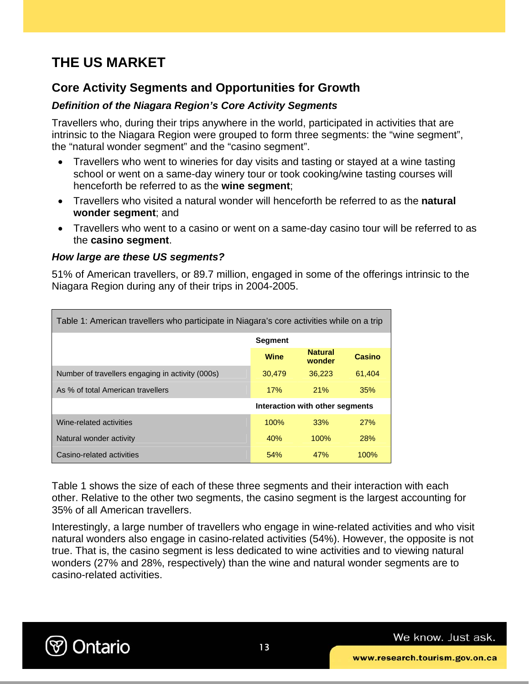# **THE US MARKET**

### **Core Activity Segments and Opportunities for Growth**

### *Definition of the Niagara Region's Core Activity Segments*

Travellers who, during their trips anywhere in the world, participated in activities that are intrinsic to the Niagara Region were grouped to form three segments: the "wine segment", the "natural wonder segment" and the "casino segment".

- Travellers who went to wineries for day visits and tasting or stayed at a wine tasting school or went on a same-day winery tour or took cooking/wine tasting courses will henceforth be referred to as the **wine segment**;
- Travellers who visited a natural wonder will henceforth be referred to as the **natural wonder segment**; and
- Travellers who went to a casino or went on a same-day casino tour will be referred to as the **casino segment**.

#### *How large are these US segments?*

51% of American travellers, or 89.7 million, engaged in some of the offerings intrinsic to the Niagara Region during any of their trips in 2004-2005.

| Table 1: American travellers who participate in Niagara's core activities while on a trip |                |                                 |        |  |  |  |
|-------------------------------------------------------------------------------------------|----------------|---------------------------------|--------|--|--|--|
|                                                                                           | <b>Segment</b> |                                 |        |  |  |  |
|                                                                                           | <b>Wine</b>    | <b>Natural</b><br>wonder        | Casino |  |  |  |
| Number of travellers engaging in activity (000s)                                          | 30,479         | 36,223                          | 61,404 |  |  |  |
| As % of total American travellers                                                         | 17%            | 21%                             | 35%    |  |  |  |
|                                                                                           |                | Interaction with other segments |        |  |  |  |
| Wine-related activities                                                                   | 100%           | 33%                             | 27%    |  |  |  |
| Natural wonder activity                                                                   | 40%            | $100\%$                         | 28%    |  |  |  |
| Casino-related activities                                                                 | 54%            | 47%                             | 100%   |  |  |  |

Table 1 shows the size of each of these three segments and their interaction with each other. Relative to the other two segments, the casino segment is the largest accounting for 35% of all American travellers.

Interestingly, a large number of travellers who engage in wine-related activities and who visit natural wonders also engage in casino-related activities (54%). However, the opposite is not true. That is, the casino segment is less dedicated to wine activities and to viewing natural wonders (27% and 28%, respectively) than the wine and natural wonder segments are to casino-related activities.

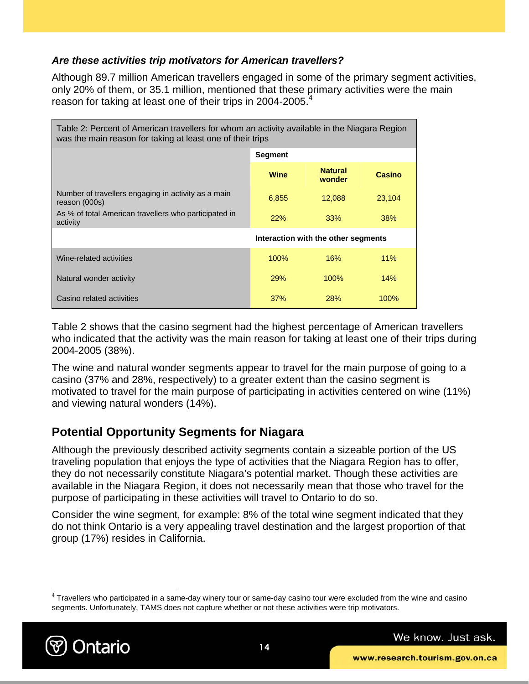### *Are these activities trip motivators for American travellers?*

Although 89.7 million American travellers engaged in some of the primary segment activities, only 20% of them, or 35.1 million, mentioned that these primary activities were the main reason for taking at least one of their trips in 2004-2005.<sup>4</sup>

| Table 2: Percent of American travellers for whom an activity available in the Niagara Region<br>was the main reason for taking at least one of their trips |                                     |                          |         |  |  |  |
|------------------------------------------------------------------------------------------------------------------------------------------------------------|-------------------------------------|--------------------------|---------|--|--|--|
|                                                                                                                                                            | <b>Segment</b>                      |                          |         |  |  |  |
|                                                                                                                                                            | <b>Wine</b>                         | <b>Natural</b><br>wonder | Casino  |  |  |  |
| Number of travellers engaging in activity as a main<br>reason (000s)                                                                                       | 6,855                               | 12,088                   | 23,104  |  |  |  |
| As % of total American travellers who participated in<br>activity                                                                                          | 22%                                 | 33%                      | 38%     |  |  |  |
|                                                                                                                                                            | Interaction with the other segments |                          |         |  |  |  |
| Wine-related activities                                                                                                                                    | 100%                                | 16%                      | 11%     |  |  |  |
| Natural wonder activity                                                                                                                                    | <b>29%</b>                          | 100%                     | 14%     |  |  |  |
| Casino related activities                                                                                                                                  | 37%                                 | <b>28%</b>               | $100\%$ |  |  |  |

Table 2 shows that the casino segment had the highest percentage of American travellers who indicated that the activity was the main reason for taking at least one of their trips during 2004-2005 (38%).

The wine and natural wonder segments appear to travel for the main purpose of going to a casino (37% and 28%, respectively) to a greater extent than the casino segment is motivated to travel for the main purpose of participating in activities centered on wine (11%) and viewing natural wonders (14%).

### **Potential Opportunity Segments for Niagara**

Although the previously described activity segments contain a sizeable portion of the US traveling population that enjoys the type of activities that the Niagara Region has to offer, they do not necessarily constitute Niagara's potential market. Though these activities are available in the Niagara Region, it does not necessarily mean that those who travel for the purpose of participating in these activities will travel to Ontario to do so.

Consider the wine segment, for example: 8% of the total wine segment indicated that they do not think Ontario is a very appealing travel destination and the largest proportion of that group (17%) resides in California.

 $4$  Travellers who participated in a same-day winery tour or same-day casino tour were excluded from the wine and casino segments. Unfortunately, TAMS does not capture whether or not these activities were trip motivators.



 $\overline{a}$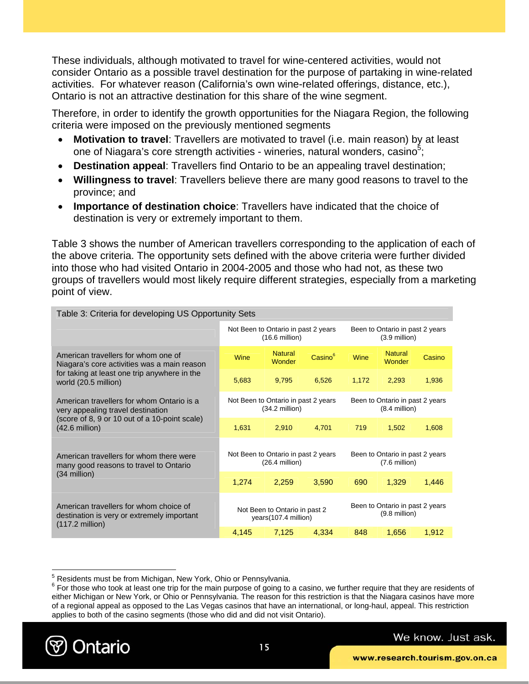These individuals, although motivated to travel for wine-centered activities, would not consider Ontario as a possible travel destination for the purpose of partaking in wine-related activities. For whatever reason (California's own wine-related offerings, distance, etc.), Ontario is not an attractive destination for this share of the wine segment.

Therefore, in order to identify the growth opportunities for the Niagara Region, the following criteria were imposed on the previously mentioned segments

- **Motivation to travel**: Travellers are motivated to travel (i.e. main reason) by at least one of Niagara's core strength activities - wineries, natural wonders, casino<sup>5</sup>;
- **Destination appeal**: Travellers find Ontario to be an appealing travel destination;
- **Willingness to travel**: Travellers believe there are many good reasons to travel to the province; and
- **Importance of destination choice**: Travellers have indicated that the choice of destination is very or extremely important to them.

Table 3 shows the number of American travellers corresponding to the application of each of the above criteria. The opportunity sets defined with the above criteria were further divided into those who had visited Ontario in 2004-2005 and those who had not, as these two groups of travellers would most likely require different strategies, especially from a marketing point of view.

| Table 3: Criteria for developing US Opportunity Sets                                                                                                       |                                                                                                                       |                                                                 |                     |                                                    |                          |        |  |
|------------------------------------------------------------------------------------------------------------------------------------------------------------|-----------------------------------------------------------------------------------------------------------------------|-----------------------------------------------------------------|---------------------|----------------------------------------------------|--------------------------|--------|--|
|                                                                                                                                                            | Not Been to Ontario in past 2 years<br>Been to Ontario in past 2 years<br>$(16.6 \text{ million})$<br>$(3.9$ million) |                                                                 |                     |                                                    |                          |        |  |
| American travellers for whom one of<br>Niagara's core activities was a main reason<br>for taking at least one trip anywhere in the<br>world (20.5 million) | Wine                                                                                                                  | <b>Natural</b><br>Wonder                                        | Casino <sup>6</sup> | Wine                                               | <b>Natural</b><br>Wonder | Casino |  |
|                                                                                                                                                            | 5,683                                                                                                                 | 9,795                                                           | 6,526               | 1.172                                              | 2,293                    | 1,936  |  |
| American travellers for whom Ontario is a<br>very appealing travel destination                                                                             |                                                                                                                       | Not Been to Ontario in past 2 years<br>$(34.2 \text{ million})$ |                     | Been to Ontario in past 2 years<br>$(8.4$ million) |                          |        |  |
| (score of 8, 9 or 10 out of a 10-point scale)<br>$(42.6 \text{ million})$                                                                                  | 1,631                                                                                                                 | 2,910                                                           | 4.701               | 719                                                | 1.502                    | 1,608  |  |
| American travellers for whom there were<br>many good reasons to travel to Ontario                                                                          | Not Been to Ontario in past 2 years<br>Been to Ontario in past 2 years<br>$(26.4$ million)<br>$(7.6$ million)         |                                                                 |                     |                                                    |                          |        |  |
| $(34$ million)                                                                                                                                             | 1,274                                                                                                                 | 2,259                                                           | 3,590               | 690                                                | 1,329                    | 1,446  |  |
| American travellers for whom choice of<br>destination is very or extremely important<br>$(117.2 \text{ million})$                                          | Been to Ontario in past 2 years<br>Not Been to Ontario in past 2<br>$(9.8$ million)<br>years(107.4 million)           |                                                                 |                     |                                                    |                          |        |  |
|                                                                                                                                                            | 4,145                                                                                                                 | 7,125                                                           | 4,334               | 848                                                | 1,656                    | 1,912  |  |

15



1

 $^5$  Residents must be from Michigan, New York, Ohio or Pennsylvania.<br> $^6$  Est these who took at least and tip for the main purpose of going to

 $6$  For those who took at least one trip for the main purpose of going to a casino, we further require that they are residents of either Michigan or New York, or Ohio or Pennsylvania. The reason for this restriction is that the Niagara casinos have more of a regional appeal as opposed to the Las Vegas casinos that have an international, or long-haul, appeal. This restriction applies to both of the casino segments (those who did and did not visit Ontario).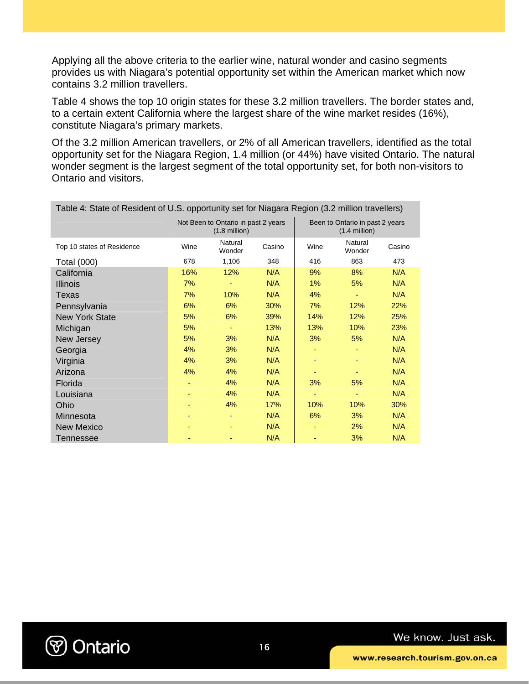Applying all the above criteria to the earlier wine, natural wonder and casino segments provides us with Niagara's potential opportunity set within the American market which now contains 3.2 million travellers.

Table 4 shows the top 10 origin states for these 3.2 million travellers. The border states and, to a certain extent California where the largest share of the wine market resides (16%), constitute Niagara's primary markets.

Of the 3.2 million American travellers, or 2% of all American travellers, identified as the total opportunity set for the Niagara Region, 1.4 million (or 44%) have visited Ontario. The natural wonder segment is the largest segment of the total opportunity set, for both non-visitors to Ontario and visitors.

| Table 4: State of Resident of U.S. opportunity set for Niagara Region (3.2 million travellers) |                                                                |                   |        |                                                    |                   |        |  |
|------------------------------------------------------------------------------------------------|----------------------------------------------------------------|-------------------|--------|----------------------------------------------------|-------------------|--------|--|
|                                                                                                | Not Been to Ontario in past 2 years<br>$(1.8 \text{ million})$ |                   |        | Been to Ontario in past 2 years<br>$(1.4$ million) |                   |        |  |
| Top 10 states of Residence                                                                     | Wine                                                           | Natural<br>Wonder | Casino | Wine                                               | Natural<br>Wonder | Casino |  |
| <b>Total (000)</b>                                                                             | 678                                                            | 1,106             | 348    | 416                                                | 863               | 473    |  |
| California                                                                                     | 16%                                                            | 12%               | N/A    | 9%                                                 | 8%                | N/A    |  |
| <b>Illinois</b>                                                                                | 7%                                                             |                   | N/A    | 1%                                                 | 5%                | N/A    |  |
| Texas                                                                                          | 7%                                                             | 10%               | N/A    | 4%                                                 | ٠                 | N/A    |  |
| Pennsylvania                                                                                   | 6%                                                             | 6%                | 30%    | 7%                                                 | 12%               | 22%    |  |
| <b>New York State</b>                                                                          | 5%                                                             | 6%                | 39%    | 14%                                                | 12%               | 25%    |  |
| Michigan                                                                                       | 5%                                                             |                   | 13%    | 13%                                                | 10%               | 23%    |  |
| New Jersey                                                                                     | 5%                                                             | 3%                | N/A    | 3%                                                 | 5%                | N/A    |  |
| Georgia                                                                                        | 4%                                                             | 3%                | N/A    |                                                    |                   | N/A    |  |
| Virginia                                                                                       | 4%                                                             | 3%                | N/A    |                                                    |                   | N/A    |  |
| Arizona                                                                                        | 4%                                                             | 4%                | N/A    |                                                    |                   | N/A    |  |
| Florida                                                                                        |                                                                | 4%                | N/A    | 3%                                                 | 5%                | N/A    |  |
| Louisiana                                                                                      |                                                                | 4%                | N/A    |                                                    |                   | N/A    |  |
| Ohio                                                                                           |                                                                | 4%                | 17%    | 10%                                                | 10%               | 30%    |  |
| Minnesota                                                                                      |                                                                |                   | N/A    | 6%                                                 | 3%                | N/A    |  |
| <b>New Mexico</b>                                                                              |                                                                |                   | N/A    |                                                    | 2%                | N/A    |  |
| Tennessee                                                                                      |                                                                |                   | N/A    |                                                    | 3%                | N/A    |  |

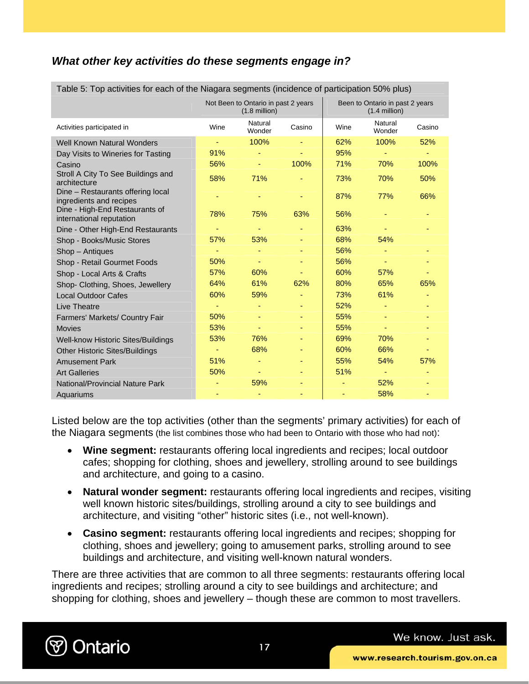### *What other key activities do these segments engage in?*

| Table 5. Top activities for each of the Niagara segments (incluence of participation 50% plus) |      |                                                                |        |      |                                                    |        |
|------------------------------------------------------------------------------------------------|------|----------------------------------------------------------------|--------|------|----------------------------------------------------|--------|
|                                                                                                |      | Not Been to Ontario in past 2 years<br>$(1.8 \text{ million})$ |        |      | Been to Ontario in past 2 years<br>$(1.4$ million) |        |
| Activities participated in                                                                     | Wine | Natural<br>Wonder                                              | Casino | Wine | Natural<br>Wonder                                  | Casino |
| <b>Well Known Natural Wonders</b>                                                              |      | 100%                                                           |        | 62%  | 100%                                               | 52%    |
| Day Visits to Wineries for Tasting                                                             | 91%  |                                                                |        | 95%  | Ξ                                                  | $\sim$ |
| Casino                                                                                         | 56%  |                                                                | 100%   | 71%  | 70%                                                | 100%   |
| Stroll A City To See Buildings and<br>architecture                                             | 58%  | 71%                                                            |        | 73%  | 70%                                                | 50%    |
| Dine - Restaurants offering local<br>ingredients and recipes                                   |      |                                                                |        | 87%  | 77%                                                | 66%    |
| Dine - High-End Restaurants of<br>international reputation                                     | 78%  | 75%                                                            | 63%    | 56%  |                                                    |        |
| Dine - Other High-End Restaurants                                                              |      |                                                                |        | 63%  |                                                    |        |
| Shop - Books/Music Stores                                                                      | 57%  | 53%                                                            |        | 68%  | 54%                                                |        |
| Shop - Antiques                                                                                |      |                                                                |        | 56%  |                                                    |        |
| Shop - Retail Gourmet Foods                                                                    | 50%  |                                                                |        | 56%  |                                                    |        |
| Shop - Local Arts & Crafts                                                                     | 57%  | 60%                                                            |        | 60%  | 57%                                                |        |
| Shop- Clothing, Shoes, Jewellery                                                               | 64%  | 61%                                                            | 62%    | 80%  | 65%                                                | 65%    |
| <b>Local Outdoor Cafes</b>                                                                     | 60%  | 59%                                                            |        | 73%  | 61%                                                |        |
| Live Theatre                                                                                   |      |                                                                |        | 52%  |                                                    |        |
| Farmers' Markets/ Country Fair                                                                 | 50%  |                                                                |        | 55%  |                                                    |        |
| <b>Movies</b>                                                                                  | 53%  |                                                                |        | 55%  | ٠                                                  |        |
| Well-know Historic Sites/Buildings                                                             | 53%  | 76%                                                            |        | 69%  | 70%                                                |        |
| <b>Other Historic Sites/Buildings</b>                                                          |      | 68%                                                            |        | 60%  | 66%                                                |        |
| <b>Amusement Park</b>                                                                          | 51%  |                                                                |        | 55%  | 54%                                                | 57%    |
| <b>Art Galleries</b>                                                                           | 50%  |                                                                |        | 51%  |                                                    |        |
| National/Provincial Nature Park                                                                |      | 59%                                                            |        |      | 52%                                                |        |
| Aquariums                                                                                      |      |                                                                | ٠      | ٠    | 58%                                                | ٠      |

Table 5: Top activities for each of the Niagara segments (incidence of participation 50% plus)

Listed below are the top activities (other than the segments' primary activities) for each of the Niagara segments (the list combines those who had been to Ontario with those who had not):

- **Wine segment:** restaurants offering local ingredients and recipes; local outdoor cafes; shopping for clothing, shoes and jewellery, strolling around to see buildings and architecture, and going to a casino.
- **Natural wonder segment:** restaurants offering local ingredients and recipes, visiting well known historic sites/buildings, strolling around a city to see buildings and architecture, and visiting "other" historic sites (i.e., not well-known).
- **Casino segment:** restaurants offering local ingredients and recipes; shopping for clothing, shoes and jewellery; going to amusement parks, strolling around to see buildings and architecture, and visiting well-known natural wonders.

There are three activities that are common to all three segments: restaurants offering local ingredients and recipes; strolling around a city to see buildings and architecture; and shopping for clothing, shoes and jewellery – though these are common to most travellers.

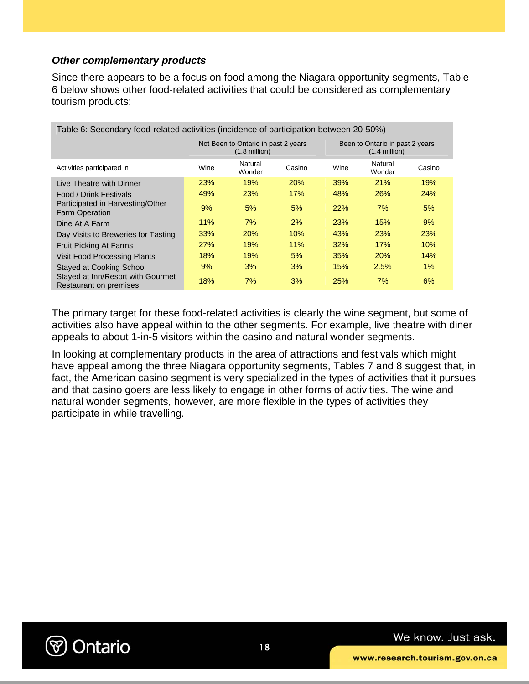### *Other complementary products*

Since there appears to be a focus on food among the Niagara opportunity segments, Table 6 below shows other food-related activities that could be considered as complementary tourism products:

| Table 6: Secondary food-related activities (incidence of participation between 20-50%) |                                                                |                   |            |                                                    |                   |            |
|----------------------------------------------------------------------------------------|----------------------------------------------------------------|-------------------|------------|----------------------------------------------------|-------------------|------------|
|                                                                                        | Not Been to Ontario in past 2 years<br>$(1.8 \text{ million})$ |                   |            | Been to Ontario in past 2 years<br>$(1.4$ million) |                   |            |
| Activities participated in                                                             | Wine                                                           | Natural<br>Wonder | Casino     | Wine                                               | Natural<br>Wonder | Casino     |
| Live Theatre with Dinner                                                               | <b>23%</b>                                                     | 19%               | <b>20%</b> | <b>39%</b>                                         | 21%               | 19%        |
| <b>Food / Drink Festivals</b>                                                          | 49%                                                            | 23%               | 17%        | 48%                                                | 26%               | <b>24%</b> |
| Participated in Harvesting/Other<br><b>Farm Operation</b>                              | 9%                                                             | 5%                | 5%         | 22%                                                | 7%                | 5%         |
| Dine At A Farm                                                                         | 11%                                                            | 7%                | 2%         | 23%                                                | 15%               | 9%         |
| Day Visits to Breweries for Tasting                                                    | 33%                                                            | <b>20%</b>        | 10%        | 43%                                                | 23%               | <b>23%</b> |
| <b>Fruit Picking At Farms</b>                                                          | <b>27%</b>                                                     | 19%               | 11%        | 32%                                                | 17%               | 10%        |
| <b>Visit Food Processing Plants</b>                                                    | 18%                                                            | 19%               | 5%         | 35%                                                | 20%               | 14%        |
| <b>Stayed at Cooking School</b>                                                        | 9%                                                             | 3%                | 3%         | 15%                                                | 2.5%              | $1\%$      |
| Stayed at Inn/Resort with Gourmet<br>Restaurant on premises                            | 18%                                                            | 7%                | 3%         | 25%                                                | 7%                | 6%         |

The primary target for these food-related activities is clearly the wine segment, but some of activities also have appeal within to the other segments. For example, live theatre with diner appeals to about 1-in-5 visitors within the casino and natural wonder segments.

In looking at complementary products in the area of attractions and festivals which might have appeal among the three Niagara opportunity segments, Tables 7 and 8 suggest that, in fact, the American casino segment is very specialized in the types of activities that it pursues and that casino goers are less likely to engage in other forms of activities. The wine and natural wonder segments, however, are more flexible in the types of activities they participate in while travelling.

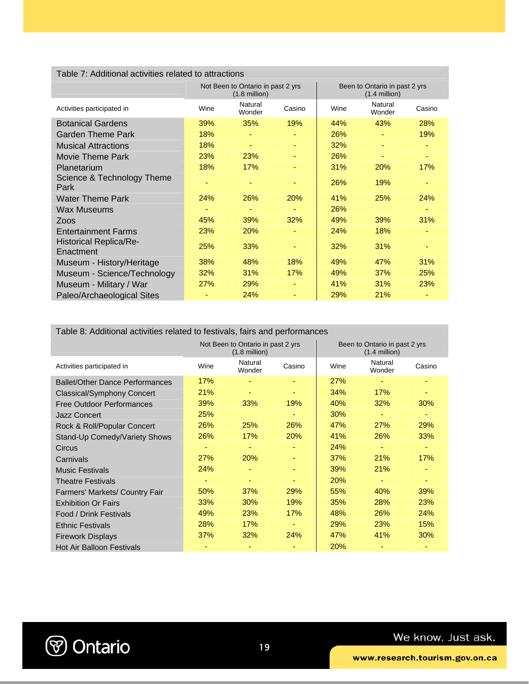### Table 7: Additional activities related to attractions

|                                            |            | Not Been to Ontario in past 2 yrs<br>$(1.8$ million) |        | Been to Ontario in past 2 yrs<br>$(1.4$ million) |                   |        |
|--------------------------------------------|------------|------------------------------------------------------|--------|--------------------------------------------------|-------------------|--------|
| Activities participated in                 | Wine       | Natural<br>Wonder                                    | Casino | Wine                                             | Natural<br>Wonder | Casino |
| <b>Botanical Gardens</b>                   | 39%        | 35%                                                  | 19%    | 44%                                              | 43%               | 28%    |
| Garden Theme Park                          | 18%        |                                                      | ٠      | 26%                                              |                   | 19%    |
| <b>Musical Attractions</b>                 | 18%        | ٠                                                    | ٠      | 32%                                              |                   | ٠      |
| Movie Theme Park                           | <b>23%</b> | 23%                                                  | ٠      | 26%                                              |                   | ٠      |
| Planetarium                                | 18%        | 17%                                                  | ٠      | 31%                                              | <b>20%</b>        | 17%    |
| Science & Technology Theme<br>Park         |            |                                                      | ٠      | 26%                                              | 19%               | ٠      |
| Water Theme Park                           | 24%        | 26%                                                  | 20%    | 41%                                              | 25%               | 24%    |
| Wax Museums                                |            |                                                      |        | 26%                                              |                   |        |
| Zoos                                       | 45%        | 39%                                                  | 32%    | 49%                                              | 39%               | 31%    |
| <b>Entertainment Farms</b>                 | 23%        | 20%                                                  | ٠      | 24%                                              | 18%               |        |
| <b>Historical Replica/Re-</b><br>Enactment | 25%        | 33%                                                  | ٠      | 32%                                              | 31%               |        |
| Museum - History/Heritage                  | 38%        | 48%                                                  | 18%    | 49%                                              | 47%               | 31%    |
| Museum - Science/Technology                | 32%        | 31%                                                  | 17%    | 49%                                              | 37%               | 25%    |
| Museum - Military / War                    | <b>27%</b> | 29%                                                  | ٠      | 41%                                              | 31%               | 23%    |
| Paleo/Archaeological Sites                 |            | 24%                                                  | ٠      | 29%                                              | 21%               |        |

#### Table 8: Additional activities related to festivals, fairs and performances

|                                        | Not Been to Ontario in past 2 yrs<br>$(1.8 \text{ million})$ |                   |        | Been to Ontario in past 2 yrs<br>$(1.4$ million) |                   |        |  |
|----------------------------------------|--------------------------------------------------------------|-------------------|--------|--------------------------------------------------|-------------------|--------|--|
| Activities participated in             | Wine                                                         | Natural<br>Wonder | Casino | Wine                                             | Natural<br>Wonder | Casino |  |
| <b>Ballet/Other Dance Performances</b> | 17%                                                          |                   |        | 27%                                              |                   |        |  |
| Classical/Symphony Concert             | 21%                                                          |                   |        | 34%                                              | 17%               |        |  |
| <b>Free Outdoor Performances</b>       | 39%                                                          | 33%               | 19%    | 40%                                              | 32%               | 30%    |  |
| Jazz Concert                           | 25%                                                          |                   |        | 30%                                              |                   |        |  |
| Rock & Roll/Popular Concert            | 26%                                                          | 25%               | 26%    | 47%                                              | <b>27%</b>        | 29%    |  |
| Stand-Up Comedy/Variety Shows          | 26%                                                          | 17%               | 20%    | 41%                                              | 26%               | 33%    |  |
| Circus                                 |                                                              |                   |        | 24%                                              |                   |        |  |
| Carnivals                              | 27%                                                          | 20%               | ٠      | 37%                                              | 21%               | 17%    |  |
| <b>Music Festivals</b>                 | 24%                                                          |                   | ٠      | 39%                                              | <b>21%</b>        |        |  |
| <b>Theatre Festivals</b>               |                                                              |                   |        | 20%                                              |                   | ۰      |  |
| <b>Farmers' Markets/ Country Fair</b>  | 50%                                                          | 37%               | 29%    | 55%                                              | 40%               | 39%    |  |
| <b>Exhibition Or Fairs</b>             | 33%                                                          | 30%               | 19%    | 35%                                              | 28%               | 23%    |  |
| Food / Drink Festivals                 | 49%                                                          | 23%               | 17%    | 48%                                              | 26%               | 24%    |  |
| <b>Ethnic Festivals</b>                | 28%                                                          | 17%               | ٠      | 29%                                              | 23%               | 15%    |  |
| <b>Firework Displays</b>               | 37%                                                          | 32%               | 24%    | 47%                                              | 41%               | 30%    |  |
| <b>Hot Air Balloon Festivals</b>       |                                                              |                   |        | 20%                                              |                   |        |  |

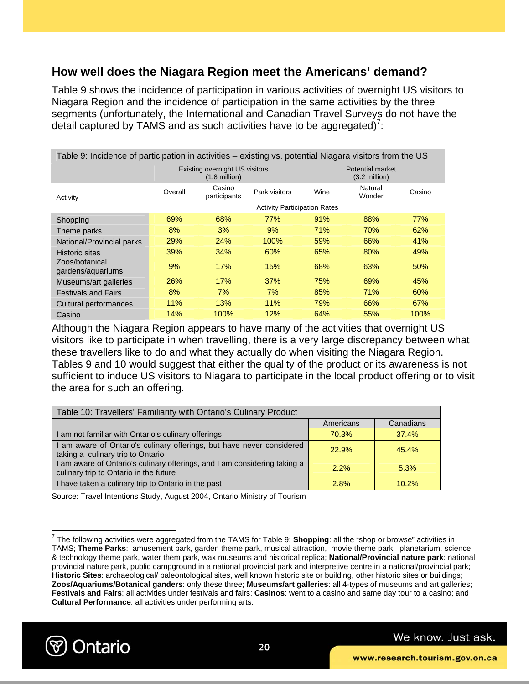### **How well does the Niagara Region meet the Americans' demand?**

Table 9 shows the incidence of participation in various activities of overnight US visitors to Niagara Region and the incidence of participation in the same activities by the three segments (unfortunately, the International and Canadian Travel Surveys do not have the detail captured by TAMS and as such activities have to be aggregated)<sup>7</sup>:

| Table 9: Incidence of participation in activities – existing vs. potential Niagara visitors from the US |                                             |                                     |               |      |                   |        |  |  |
|---------------------------------------------------------------------------------------------------------|---------------------------------------------|-------------------------------------|---------------|------|-------------------|--------|--|--|
|                                                                                                         | Potential market<br>$(3.2 \text{ million})$ |                                     |               |      |                   |        |  |  |
| Activity                                                                                                | Overall                                     | Casino<br>participants              | Park visitors | Wine | Natural<br>Wonder | Casino |  |  |
|                                                                                                         |                                             | <b>Activity Participation Rates</b> |               |      |                   |        |  |  |
| Shopping                                                                                                | 69%                                         | 68%                                 | 77%           | 91%  | 88%               | 77%    |  |  |
| Theme parks                                                                                             | 8%                                          | 3%                                  | 9%            | 71%  | 70%               | 62%    |  |  |
| National/Provincial parks                                                                               | <b>29%</b>                                  | <b>24%</b>                          | 100%          | 59%  | 66%               | 41%    |  |  |
| <b>Historic sites</b>                                                                                   | 39%                                         | 34%                                 | 60%           | 65%  | 80%               | 49%    |  |  |
| Zoos/botanical<br>gardens/aquariums                                                                     | 9%                                          | 17%                                 | 15%           | 68%  | 63%               | 50%    |  |  |
| Museums/art galleries                                                                                   | 26%                                         | 17%                                 | 37%           | 75%  | 69%               | 45%    |  |  |
| <b>Festivals and Fairs</b>                                                                              | 8%                                          | 7%                                  | 7%            | 85%  | 71%               | 60%    |  |  |
| Cultural performances                                                                                   | 11%                                         | 13%                                 | 11%           | 79%  | 66%               | 67%    |  |  |
| Casino                                                                                                  | 14%                                         | 100%                                | 12%           | 64%  | 55%               | 100%   |  |  |

Although the Niagara Region appears to have many of the activities that overnight US visitors like to participate in when travelling, there is a very large discrepancy between what these travellers like to do and what they actually do when visiting the Niagara Region. Tables 9 and 10 would suggest that either the quality of the product or its awareness is not sufficient to induce US visitors to Niagara to participate in the local product offering or to visit the area for such an offering.

| Table 10: Travellers' Familiarity with Ontario's Culinary Product                                                 |           |           |  |  |  |  |
|-------------------------------------------------------------------------------------------------------------------|-----------|-----------|--|--|--|--|
|                                                                                                                   | Americans | Canadians |  |  |  |  |
| am not familiar with Ontario's culinary offerings                                                                 | 70.3%     | 37.4%     |  |  |  |  |
| am aware of Ontario's culinary offerings, but have never considered<br>taking a culinary trip to Ontario          | 22.9%     | 45.4%     |  |  |  |  |
| am aware of Ontario's culinary offerings, and I am considering taking a<br>culinary trip to Ontario in the future | 2.2%      | 5.3%      |  |  |  |  |
| have taken a culinary trip to Ontario in the past                                                                 | 2.8%      | 10.2%     |  |  |  |  |

Source: Travel Intentions Study, August 2004, Ontario Ministry of Tourism

<sup>7</sup> The following activities were aggregated from the TAMS for Table 9: **Shopping**: all the "shop or browse" activities in TAMS; **Theme Parks**: amusement park, garden theme park, musical attraction, movie theme park, planetarium, science & technology theme park, water them park, wax museums and historical replica; **National/Provincial nature park**: national provincial nature park, public campground in a national provincial park and interpretive centre in a national/provincial park; **Historic Sites**: archaeological/ paleontological sites, well known historic site or building, other historic sites or buildings; **Zoos/Aquariums/Botanical ganders**: only these three; **Museums/art galleries**: all 4-types of museums and art galleries; **Festivals and Fairs**: all activities under festivals and fairs; **Casinos**: went to a casino and same day tour to a casino; and **Cultural Performance**: all activities under performing arts.



 $\overline{a}$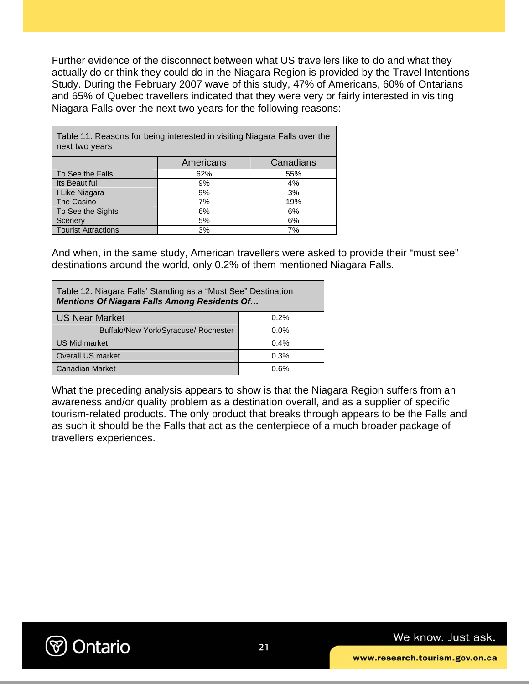Further evidence of the disconnect between what US travellers like to do and what they actually do or think they could do in the Niagara Region is provided by the Travel Intentions Study. During the February 2007 wave of this study, 47% of Americans, 60% of Ontarians and 65% of Quebec travellers indicated that they were very or fairly interested in visiting Niagara Falls over the next two years for the following reasons:

| Table 11: Reasons for being interested in visiting Niagara Falls over the<br>next two years |           |           |  |  |  |  |  |
|---------------------------------------------------------------------------------------------|-----------|-----------|--|--|--|--|--|
|                                                                                             | Americans | Canadians |  |  |  |  |  |
| To See the Falls                                                                            | 62%       | 55%       |  |  |  |  |  |
| <b>Its Beautiful</b>                                                                        | 9%        | 4%        |  |  |  |  |  |
| I Like Niagara                                                                              | 9%        | 3%        |  |  |  |  |  |
| The Casino                                                                                  | 7%        | 19%       |  |  |  |  |  |
| To See the Sights                                                                           | 6%        | 6%        |  |  |  |  |  |
| Scenery                                                                                     | 5%        | 6%        |  |  |  |  |  |
| <b>Tourist Attractions</b>                                                                  | 3%        | 7%        |  |  |  |  |  |

And when, in the same study, American travellers were asked to provide their "must see" destinations around the world, only 0.2% of them mentioned Niagara Falls.

| Table 12: Niagara Falls' Standing as a "Must See" Destination<br><b>Mentions Of Niagara Falls Among Residents Of</b> |         |  |  |  |  |
|----------------------------------------------------------------------------------------------------------------------|---------|--|--|--|--|
| <b>US Near Market</b>                                                                                                | 0.2%    |  |  |  |  |
| Buffalo/New York/Syracuse/ Rochester                                                                                 | $0.0\%$ |  |  |  |  |
| <b>US Mid market</b>                                                                                                 | 0.4%    |  |  |  |  |
| <b>Overall US market</b>                                                                                             | 0.3%    |  |  |  |  |
| Canadian Market                                                                                                      | በ 6%    |  |  |  |  |

What the preceding analysis appears to show is that the Niagara Region suffers from an awareness and/or quality problem as a destination overall, and as a supplier of specific tourism-related products. The only product that breaks through appears to be the Falls and as such it should be the Falls that act as the centerpiece of a much broader package of travellers experiences.

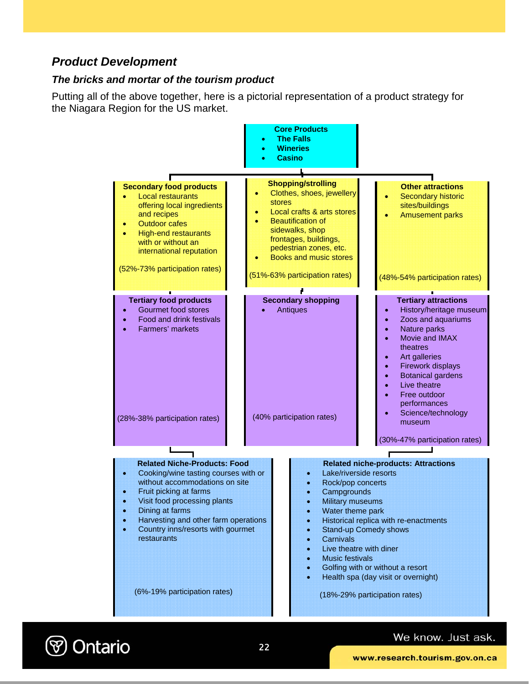### *Product Development*

#### *The bricks and mortar of the tourism product*

Putting all of the above together, here is a pictorial representation of a product strategy for the Niagara Region for the US market.



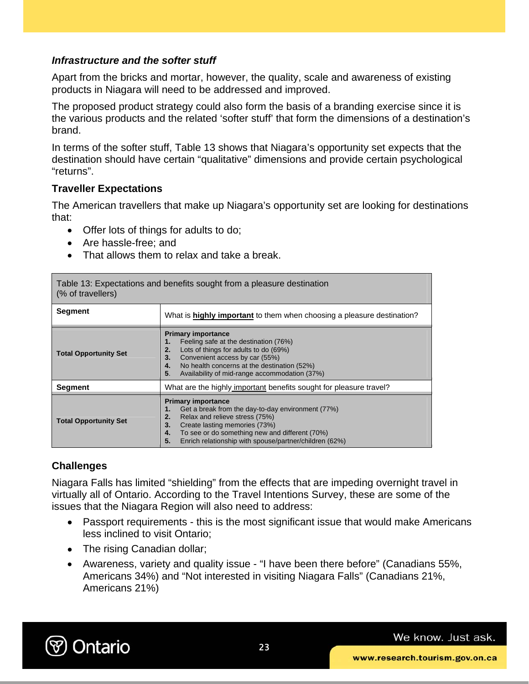### *Infrastructure and the softer stuff*

Apart from the bricks and mortar, however, the quality, scale and awareness of existing products in Niagara will need to be addressed and improved.

The proposed product strategy could also form the basis of a branding exercise since it is the various products and the related 'softer stuff' that form the dimensions of a destination's brand.

In terms of the softer stuff, Table 13 shows that Niagara's opportunity set expects that the destination should have certain "qualitative" dimensions and provide certain psychological "returns".

### **Traveller Expectations**

The American travellers that make up Niagara's opportunity set are looking for destinations that:

- Offer lots of things for adults to do;
- Are hassle-free; and
- That allows them to relax and take a break.

Table 13: Expectations and benefits sought from a pleasure destination (% of travellers)

| <b>Segment</b>               | What is <b>highly important</b> to them when choosing a pleasure destination?                                                                                                                                                                                                         |
|------------------------------|---------------------------------------------------------------------------------------------------------------------------------------------------------------------------------------------------------------------------------------------------------------------------------------|
| <b>Total Opportunity Set</b> | <b>Primary importance</b><br>Feeling safe at the destination (76%)<br>Lots of things for adults to do (69%)<br>2.<br>Convenient access by car (55%)<br>3.<br>No health concerns at the destination (52%)<br>4.<br>Availability of mid-range accommodation (37%)<br>5.                 |
| <b>Segment</b>               | What are the highly important benefits sought for pleasure travel?                                                                                                                                                                                                                    |
| <b>Total Opportunity Set</b> | <b>Primary importance</b><br>Get a break from the day-to-day environment (77%)<br>Relax and relieve stress (75%)<br>2.<br>Create lasting memories (73%)<br>3.<br>To see or do something new and different (70%)<br>4.<br>Enrich relationship with spouse/partner/children (62%)<br>5. |

### **Challenges**

Niagara Falls has limited "shielding" from the effects that are impeding overnight travel in virtually all of Ontario. According to the Travel Intentions Survey, these are some of the issues that the Niagara Region will also need to address:

- Passport requirements this is the most significant issue that would make Americans less inclined to visit Ontario;
- The rising Canadian dollar;
- Awareness, variety and quality issue "I have been there before" (Canadians 55%, Americans 34%) and "Not interested in visiting Niagara Falls" (Canadians 21%, Americans 21%)

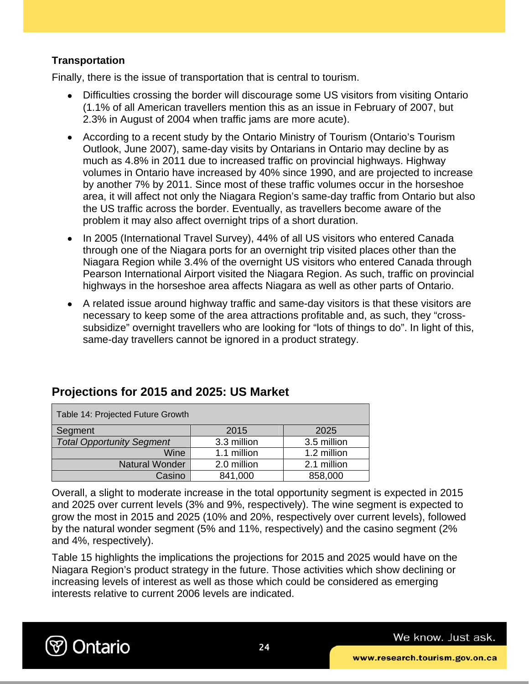### **Transportation**

Finally, there is the issue of transportation that is central to tourism.

- Difficulties crossing the border will discourage some US visitors from visiting Ontario (1.1% of all American travellers mention this as an issue in February of 2007, but 2.3% in August of 2004 when traffic jams are more acute).
- According to a recent study by the Ontario Ministry of Tourism (Ontario's Tourism Outlook, June 2007), same-day visits by Ontarians in Ontario may decline by as much as 4.8% in 2011 due to increased traffic on provincial highways. Highway volumes in Ontario have increased by 40% since 1990, and are projected to increase by another 7% by 2011. Since most of these traffic volumes occur in the horseshoe area, it will affect not only the Niagara Region's same-day traffic from Ontario but also the US traffic across the border. Eventually, as travellers become aware of the problem it may also affect overnight trips of a short duration.
- In 2005 (International Travel Survey), 44% of all US visitors who entered Canada through one of the Niagara ports for an overnight trip visited places other than the Niagara Region while 3.4% of the overnight US visitors who entered Canada through Pearson International Airport visited the Niagara Region. As such, traffic on provincial highways in the horseshoe area affects Niagara as well as other parts of Ontario.
- A related issue around highway traffic and same-day visitors is that these visitors are necessary to keep some of the area attractions profitable and, as such, they "crosssubsidize" overnight travellers who are looking for "lots of things to do". In light of this, same-day travellers cannot be ignored in a product strategy.

| Table 14: Projected Future Growth |             |             |  |  |  |
|-----------------------------------|-------------|-------------|--|--|--|
| Segment                           | 2015        | 2025        |  |  |  |
| <b>Total Opportunity Segment</b>  | 3.3 million | 3.5 million |  |  |  |
| Wine                              | 1.1 million | 1.2 million |  |  |  |
| Natural Wonder                    | 2.0 million | 2.1 million |  |  |  |
| Casino                            | 841,000     | 858,000     |  |  |  |

### **Projections for 2015 and 2025: US Market**

Overall, a slight to moderate increase in the total opportunity segment is expected in 2015 and 2025 over current levels (3% and 9%, respectively). The wine segment is expected to grow the most in 2015 and 2025 (10% and 20%, respectively over current levels), followed by the natural wonder segment (5% and 11%, respectively) and the casino segment (2% and 4%, respectively).

Table 15 highlights the implications the projections for 2015 and 2025 would have on the Niagara Region's product strategy in the future. Those activities which show declining or increasing levels of interest as well as those which could be considered as emerging interests relative to current 2006 levels are indicated.

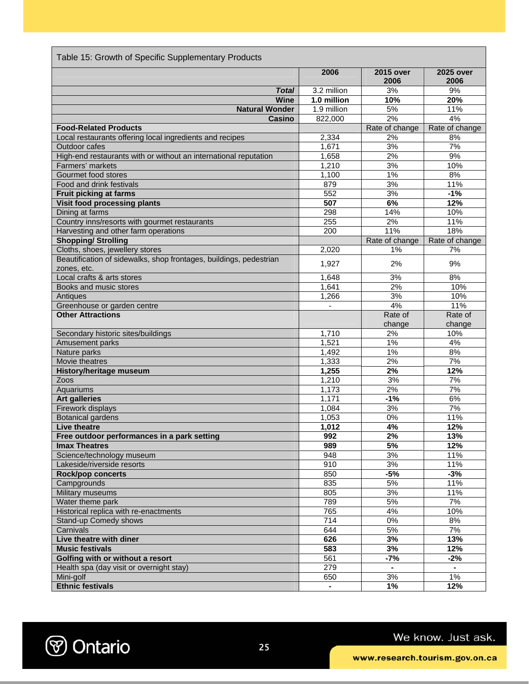| Table 15: Growth of Specific Supplementary Products                               |                  |                   |                   |  |  |  |
|-----------------------------------------------------------------------------------|------------------|-------------------|-------------------|--|--|--|
|                                                                                   | 2006             | 2015 over<br>2006 | 2025 over<br>2006 |  |  |  |
| <b>Total</b>                                                                      | 3.2 million      | 3%                | 9%                |  |  |  |
| <b>Wine</b>                                                                       | 1.0 million      | 10%               | 20%               |  |  |  |
| <b>Natural Wonder</b>                                                             | 1.9 million      | 5%                | 11%               |  |  |  |
| Casino                                                                            | 822,000          | 2%                | 4%                |  |  |  |
| <b>Food-Related Products</b>                                                      |                  | Rate of change    | Rate of change    |  |  |  |
| Local restaurants offering local ingredients and recipes                          | 2,334            | 2%                | 8%                |  |  |  |
| <b>Outdoor cafes</b>                                                              | 1,671            | 3%                | 7%                |  |  |  |
| High-end restaurants with or without an international reputation                  | 1,658            | 2%                | 9%                |  |  |  |
| Farmers' markets                                                                  | 1,210            | 3%                | 10%               |  |  |  |
| Gourmet food stores                                                               | 1,100            | $1\%$             | 8%                |  |  |  |
| Food and drink festivals                                                          | 879              | 3%                | 11%               |  |  |  |
| Fruit picking at farms                                                            | 552              | 3%                | $-1%$             |  |  |  |
| <b>Visit food processing plants</b>                                               | 507              | 6%                | 12%               |  |  |  |
| Dining at farms                                                                   | 298              | 14%               | 10%               |  |  |  |
| Country inns/resorts with gourmet restaurants                                     | 255              | 2%                | 11%               |  |  |  |
| Harvesting and other farm operations                                              | 200              | 11%               | 18%               |  |  |  |
| <b>Shopping/ Strolling</b>                                                        |                  | Rate of change    | Rate of change    |  |  |  |
| Cloths, shoes, jewellery stores                                                   | 2,020            | 1%                | 7%                |  |  |  |
| Beautification of sidewalks, shop frontages, buildings, pedestrian<br>zones, etc. | 1,927            | 2%                | 9%                |  |  |  |
| Local crafts & arts stores                                                        | 1,648            | 3%                | 8%                |  |  |  |
| Books and music stores                                                            | 1,641            | 2%                | 10%               |  |  |  |
| Antiques                                                                          | 1,266            | 3%                | 10%               |  |  |  |
| Greenhouse or garden centre                                                       |                  | 4%                | 11%               |  |  |  |
| <b>Other Attractions</b>                                                          |                  | Rate of           | Rate of           |  |  |  |
|                                                                                   |                  | change            | change            |  |  |  |
| Secondary historic sites/buildings                                                | 1,710            | 2%                | 10%               |  |  |  |
| Amusement parks                                                                   | 1,521            | 1%                | 4%                |  |  |  |
| Nature parks                                                                      | 1,492            | $1\%$             | 8%                |  |  |  |
| <b>Movie theatres</b>                                                             | 1,333            | 2%                | 7%                |  |  |  |
| <b>History/heritage museum</b>                                                    | 1,255            | 2%                | 12%               |  |  |  |
| Zoos                                                                              | 1,210            | 3%                | 7%                |  |  |  |
| Aquariums                                                                         | 1,173            | 2%                | 7%                |  |  |  |
| <b>Art galleries</b>                                                              | 1,171            | $-1%$             | 6%                |  |  |  |
| Firework displays                                                                 | 1,084            | 3%                | 7%                |  |  |  |
| <b>Botanical gardens</b>                                                          | 1,053            | 0%                | 11%               |  |  |  |
| <b>Live theatre</b>                                                               | 1,012            | 4%                | 12%               |  |  |  |
| Free outdoor performances in a park setting                                       | 992              | 2%                | 13%               |  |  |  |
| <b>Imax Theatres</b>                                                              | 989              | 5%                | 12%               |  |  |  |
| Science/technology museum                                                         | 948              | 3%                | 11%               |  |  |  |
| Lakeside/riverside resorts                                                        | 910              | 3%                | 11%               |  |  |  |
| Rock/pop concerts                                                                 | 850              | $-5%$             | $-3%$             |  |  |  |
| Campgrounds                                                                       | 835              | 5%                | 11%               |  |  |  |
| Military museums                                                                  | 805              | 3%                | 11%               |  |  |  |
| Water theme park                                                                  | 789              | 5%                | 7%                |  |  |  |
| Historical replica with re-enactments                                             | 765              | 4%                | 10%               |  |  |  |
| Stand-up Comedy shows                                                             | $\overline{714}$ | $0\%$             | 8%                |  |  |  |
| Carnivals                                                                         | 644              | 5%                | 7%                |  |  |  |
| Live theatre with diner                                                           | 626              | 3%                | 13%               |  |  |  |
| <b>Music festivals</b>                                                            | 583              | 3%                | 12%               |  |  |  |
| Golfing with or without a resort                                                  | 561              | $-7%$             | $-2%$             |  |  |  |
| Health spa (day visit or overnight stay)                                          | 279              | $\sim$            | $\blacksquare$    |  |  |  |
| Mini-golf                                                                         | 650              | 3%                | $1\%$             |  |  |  |
| <b>Ethnic festivals</b>                                                           |                  | 1%                | 12%               |  |  |  |

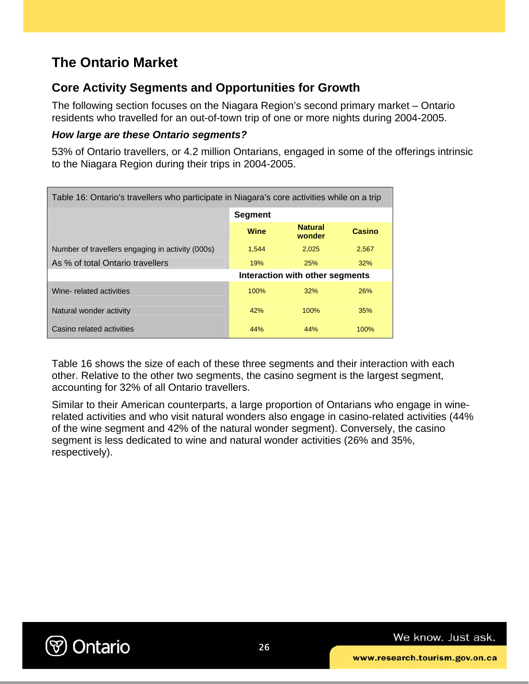# **The Ontario Market**

### **Core Activity Segments and Opportunities for Growth**

The following section focuses on the Niagara Region's second primary market – Ontario residents who travelled for an out-of-town trip of one or more nights during 2004-2005.

### *How large are these Ontario segments?*

53% of Ontario travellers, or 4.2 million Ontarians, engaged in some of the offerings intrinsic to the Niagara Region during their trips in 2004-2005.

| Table 16: Ontario's travellers who participate in Niagara's core activities while on a trip |                |                                 |               |  |  |  |  |
|---------------------------------------------------------------------------------------------|----------------|---------------------------------|---------------|--|--|--|--|
|                                                                                             | <b>Segment</b> |                                 |               |  |  |  |  |
|                                                                                             | Wine           | <b>Natural</b><br>wonder        | <b>Casino</b> |  |  |  |  |
| Number of travellers engaging in activity (000s)                                            | 1,544          | 2.025                           | 2,567         |  |  |  |  |
| As % of total Ontario travellers                                                            | 19%            | 25%                             | 32%           |  |  |  |  |
|                                                                                             |                | Interaction with other segments |               |  |  |  |  |
| Wine-related activities                                                                     | 100%           | 32%                             | 26%           |  |  |  |  |
| Natural wonder activity                                                                     | 42%            | 100%                            | 35%           |  |  |  |  |
| Casino related activities                                                                   | 44%            | 44%                             | 100%          |  |  |  |  |

Table 16 shows the size of each of these three segments and their interaction with each other. Relative to the other two segments, the casino segment is the largest segment, accounting for 32% of all Ontario travellers.

Similar to their American counterparts, a large proportion of Ontarians who engage in winerelated activities and who visit natural wonders also engage in casino-related activities (44% of the wine segment and 42% of the natural wonder segment). Conversely, the casino segment is less dedicated to wine and natural wonder activities (26% and 35%, respectively).

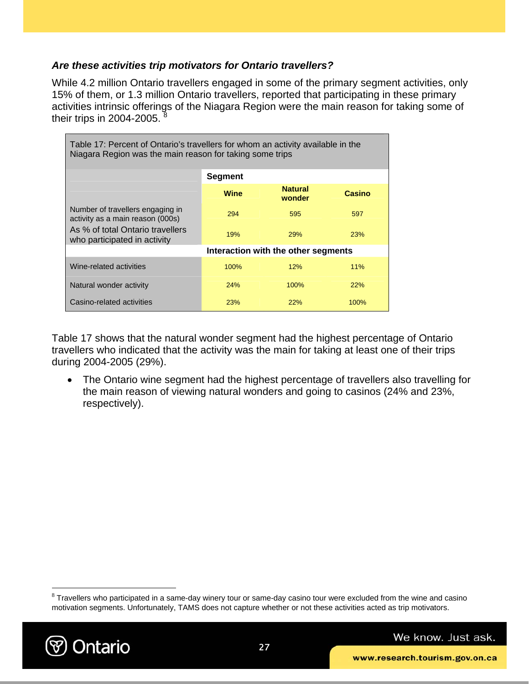### *Are these activities trip motivators for Ontario travellers?*

While 4.2 million Ontario travellers engaged in some of the primary segment activities, only 15% of them, or 1.3 million Ontario travellers, reported that participating in these primary activities intrinsic offerings of the Niagara Region were the main reason for taking some of their trips in  $2004-2005$ .

| Table 17: Percent of Ontario's travellers for whom an activity available in the<br>Niagara Region was the main reason for taking some trips |            |                                     |            |  |  |  |  |  |
|---------------------------------------------------------------------------------------------------------------------------------------------|------------|-------------------------------------|------------|--|--|--|--|--|
| <b>Segment</b>                                                                                                                              |            |                                     |            |  |  |  |  |  |
| <b>Natural</b><br><b>Wine</b><br>Casino<br>wonder                                                                                           |            |                                     |            |  |  |  |  |  |
| Number of travellers engaging in<br>activity as a main reason (000s)                                                                        | 294        | 595                                 | 597        |  |  |  |  |  |
| As % of total Ontario travellers<br>who participated in activity                                                                            | 19%        | <b>29%</b>                          | <b>23%</b> |  |  |  |  |  |
|                                                                                                                                             |            | Interaction with the other segments |            |  |  |  |  |  |
| Wine-related activities                                                                                                                     | 100%       | 12%                                 | 11%        |  |  |  |  |  |
| Natural wonder activity                                                                                                                     | 24%        | 100%                                | 22%        |  |  |  |  |  |
| Casino-related activities                                                                                                                   | <b>23%</b> | 22%                                 | $100\%$    |  |  |  |  |  |

Table 17 shows that the natural wonder segment had the highest percentage of Ontario travellers who indicated that the activity was the main for taking at least one of their trips during 2004-2005 (29%).

• The Ontario wine segment had the highest percentage of travellers also travelling for the main reason of viewing natural wonders and going to casinos (24% and 23%, respectively).

 $8$  Travellers who participated in a same-day winery tour or same-day casino tour were excluded from the wine and casino motivation segments. Unfortunately, TAMS does not capture whether or not these activities acted as trip motivators.



 $\overline{a}$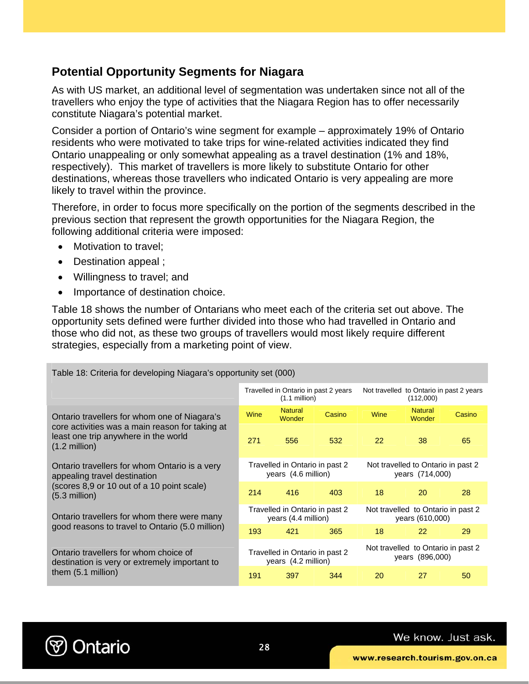### **Potential Opportunity Segments for Niagara**

As with US market, an additional level of segmentation was undertaken since not all of the travellers who enjoy the type of activities that the Niagara Region has to offer necessarily constitute Niagara's potential market.

Consider a portion of Ontario's wine segment for example – approximately 19% of Ontario residents who were motivated to take trips for wine-related activities indicated they find Ontario unappealing or only somewhat appealing as a travel destination (1% and 18%, respectively). This market of travellers is more likely to substitute Ontario for other destinations, whereas those travellers who indicated Ontario is very appealing are more likely to travel within the province.

Therefore, in order to focus more specifically on the portion of the segments described in the previous section that represent the growth opportunities for the Niagara Region, the following additional criteria were imposed:

- Motivation to travel;
- Destination appeal :
- Willingness to travel; and
- Importance of destination choice.

Table 18 shows the number of Ontarians who meet each of the criteria set out above. The opportunity sets defined were further divided into those who had travelled in Ontario and those who did not, as these two groups of travellers would most likely require different strategies, especially from a marketing point of view.

| Table 18: Criteria for developing Niagara's opportunity set (000)                                                                              |                                                         |                                                       |        |                                                       |                          |        |  |
|------------------------------------------------------------------------------------------------------------------------------------------------|---------------------------------------------------------|-------------------------------------------------------|--------|-------------------------------------------------------|--------------------------|--------|--|
|                                                                                                                                                | Travelled in Ontario in past 2 years<br>$(1.1$ million) |                                                       |        | Not travelled to Ontario in past 2 years<br>(112,000) |                          |        |  |
| Ontario travellers for whom one of Niagara's                                                                                                   | Wine                                                    | <b>Natural</b><br>Wonder                              | Casino | Wine                                                  | <b>Natural</b><br>Wonder | Casino |  |
| core activities was a main reason for taking at<br>least one trip anywhere in the world<br>$(1.2 \text{ million})$                             | 271                                                     | 556                                                   | 532    | 22                                                    | 38                       | 65     |  |
| Ontario travellers for whom Ontario is a very<br>appealing travel destination<br>(scores 8,9 or 10 out of a 10 point scale)<br>$(5.3$ million) | Travelled in Ontario in past 2<br>years (4.6 million)   |                                                       |        | Not travelled to Ontario in past 2<br>years (714,000) |                          |        |  |
|                                                                                                                                                | 214                                                     | 416                                                   | 403    | 18                                                    | 20                       | 28     |  |
| Ontario travellers for whom there were many                                                                                                    | Travelled in Ontario in past 2<br>years (4.4 million)   |                                                       |        | Not travelled to Ontario in past 2<br>years (610,000) |                          |        |  |
| good reasons to travel to Ontario (5.0 million)                                                                                                | 193                                                     | 421                                                   | 365    | 18                                                    | 22                       | 29     |  |
| Ontario travellers for whom choice of<br>destination is very or extremely important to                                                         |                                                         | Travelled in Ontario in past 2<br>years (4.2 million) |        | Not travelled to Ontario in past 2<br>years (896,000) |                          |        |  |
| them (5.1 million)                                                                                                                             | 191                                                     | 397                                                   | 344    | 20                                                    | 27                       | 50     |  |

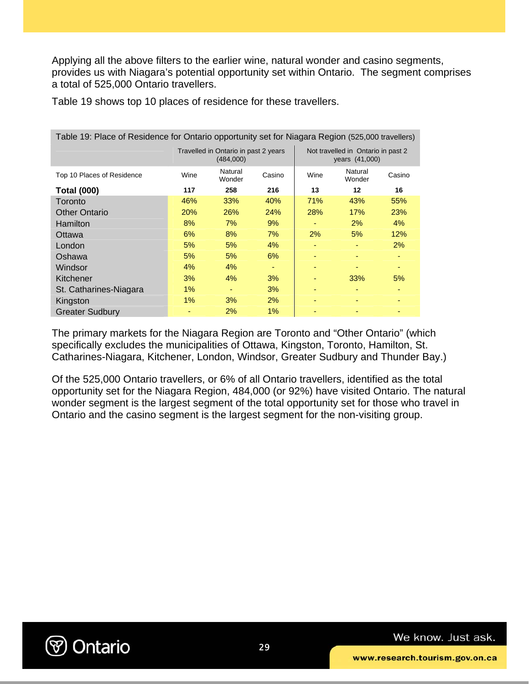Applying all the above filters to the earlier wine, natural wonder and casino segments, provides us with Niagara's potential opportunity set within Ontario. The segment comprises a total of 525,000 Ontario travellers.

| Table 19: Place of Residence for Ontario opportunity set for Niagara Region (525,000 travellers) |       |                                                   |        |      |                                                      |        |  |
|--------------------------------------------------------------------------------------------------|-------|---------------------------------------------------|--------|------|------------------------------------------------------|--------|--|
|                                                                                                  |       | Travelled in Ontario in past 2 years<br>(484,000) |        |      | Not travelled in Ontario in past 2<br>years (41,000) |        |  |
| Top 10 Places of Residence                                                                       | Wine  | Natural<br>Wonder                                 | Casino | Wine | Natural<br>Wonder                                    | Casino |  |
| <b>Total (000)</b>                                                                               | 117   | 258                                               | 216    | 13   | 12                                                   | 16     |  |
| Toronto                                                                                          | 46%   | 33%                                               | 40%    | 71%  | 43%                                                  | 55%    |  |
| <b>Other Ontario</b>                                                                             | 20%   | 26%                                               | 24%    | 28%  | 17%                                                  | 23%    |  |
| <b>Hamilton</b>                                                                                  | 8%    | 7%                                                | 9%     |      | $2\%$                                                | 4%     |  |
| Ottawa                                                                                           | 6%    | 8%                                                | 7%     | 2%   | 5%                                                   | 12%    |  |
| London                                                                                           | 5%    | 5%                                                | $4\%$  |      |                                                      | 2%     |  |
| Oshawa                                                                                           | 5%    | 5%                                                | 6%     |      |                                                      |        |  |
| Windsor                                                                                          | 4%    | 4%                                                |        |      |                                                      |        |  |
| Kitchener                                                                                        | 3%    | 4%                                                | 3%     |      | 33%                                                  | 5%     |  |
| St. Catharines-Niagara                                                                           | $1\%$ | ٠                                                 | 3%     |      |                                                      |        |  |
| Kingston                                                                                         | 1%    | 3%                                                | 2%     |      |                                                      |        |  |
| <b>Greater Sudbury</b>                                                                           |       | 2%                                                | 1%     |      |                                                      |        |  |

Table 19 shows top 10 places of residence for these travellers.

The primary markets for the Niagara Region are Toronto and "Other Ontario" (which specifically excludes the municipalities of Ottawa, Kingston, Toronto, Hamilton, St. Catharines-Niagara, Kitchener, London, Windsor, Greater Sudbury and Thunder Bay.)

Of the 525,000 Ontario travellers, or 6% of all Ontario travellers, identified as the total opportunity set for the Niagara Region, 484,000 (or 92%) have visited Ontario. The natural wonder segment is the largest segment of the total opportunity set for those who travel in Ontario and the casino segment is the largest segment for the non-visiting group.

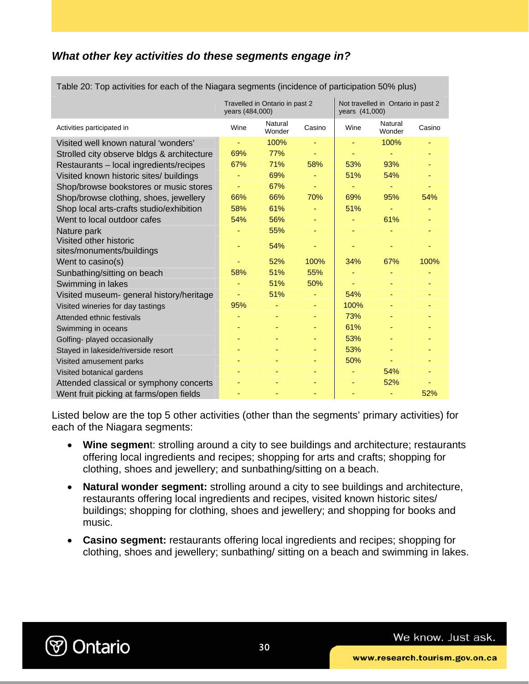### *What other key activities do these segments engage in?*

|                                            | years (484,000) | Travelled in Ontario in past 2 |        | Not travelled in Ontario in past 2<br>years (41,000) |                   |        |
|--------------------------------------------|-----------------|--------------------------------|--------|------------------------------------------------------|-------------------|--------|
| Activities participated in                 | Wine            | Natural<br>Wonder              | Casino | Wine                                                 | Natural<br>Wonder | Casino |
| Visited well known natural 'wonders'       |                 | 100%                           |        |                                                      | 100%              |        |
| Strolled city observe bldgs & architecture | 69%             | 77%                            |        |                                                      |                   |        |
| Restaurants - local ingredients/recipes    | 67%             | 71%                            | 58%    | 53%                                                  | 93%               |        |
| Visited known historic sites/ buildings    |                 | 69%                            |        | 51%                                                  | 54%               |        |
| Shop/browse bookstores or music stores     |                 | 67%                            |        |                                                      |                   |        |
| Shop/browse clothing, shoes, jewellery     | 66%             | 66%                            | 70%    | 69%                                                  | 95%               | 54%    |
| Shop local arts-crafts studio/exhibition   | 58%             | 61%                            |        | 51%                                                  |                   |        |
| Went to local outdoor cafes                | 54%             | 56%                            |        |                                                      | 61%               |        |
| Nature park                                |                 | 55%                            |        |                                                      |                   |        |
| Visited other historic                     |                 | 54%                            |        |                                                      |                   |        |
| sites/monuments/buildings                  |                 |                                | ٠      |                                                      |                   |        |
| Went to casino(s)                          |                 | 52%                            | 100%   | 34%                                                  | 67%               | 100%   |
| Sunbathing/sitting on beach                | 58%             | 51%                            | 55%    |                                                      |                   |        |
| Swimming in lakes                          |                 | 51%                            | 50%    |                                                      | ٠                 |        |
| Visited museum- general history/heritage   |                 | 51%                            |        | 54%                                                  |                   |        |
| Visited wineries for day tastings          | 95%             |                                |        | 100%                                                 |                   |        |
| Attended ethnic festivals                  |                 | ۰                              | ۰      | 73%                                                  |                   |        |
| Swimming in oceans                         |                 |                                |        | 61%                                                  |                   |        |
| Golfing- played occasionally               |                 |                                |        | 53%                                                  |                   |        |
| Stayed in lakeside/riverside resort        |                 |                                |        | 53%                                                  |                   |        |
| Visited amusement parks                    |                 |                                |        | 50%                                                  |                   |        |
| Visited botanical gardens                  |                 |                                |        |                                                      | 54%               |        |
| Attended classical or symphony concerts    |                 |                                |        |                                                      | 52%               |        |
| Went fruit picking at farms/open fields    |                 |                                |        |                                                      |                   | 52%    |

Table 20: Top activities for each of the Niagara segments (incidence of participation 50% plus)

Listed below are the top 5 other activities (other than the segments' primary activities) for each of the Niagara segments:

- **Wine segmen**t: strolling around a city to see buildings and architecture; restaurants offering local ingredients and recipes; shopping for arts and crafts; shopping for clothing, shoes and jewellery; and sunbathing/sitting on a beach.
- **Natural wonder segment:** strolling around a city to see buildings and architecture, restaurants offering local ingredients and recipes, visited known historic sites/ buildings; shopping for clothing, shoes and jewellery; and shopping for books and music.
- **Casino segment:** restaurants offering local ingredients and recipes; shopping for clothing, shoes and jewellery; sunbathing/ sitting on a beach and swimming in lakes.

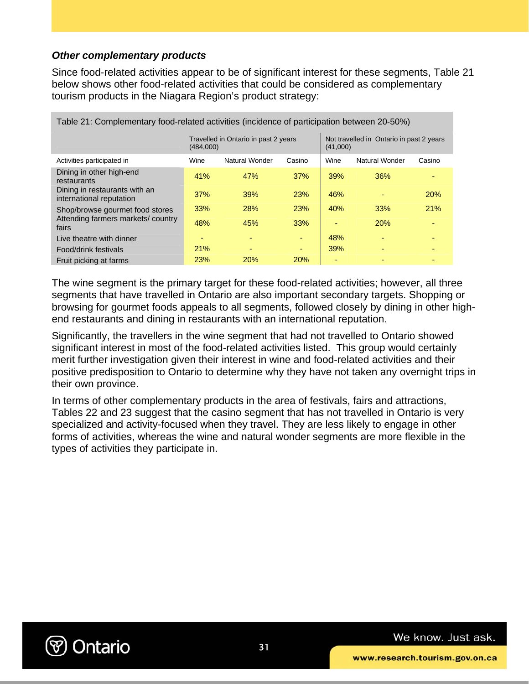### *Other complementary products*

Since food-related activities appear to be of significant interest for these segments, Table 21 below shows other food-related activities that could be considered as complementary tourism products in the Niagara Region's product strategy:

| Table 21: Complementary food-related activities (incidence of participation between 20-50%) |            |                                      |            |                                                      |                |        |  |
|---------------------------------------------------------------------------------------------|------------|--------------------------------------|------------|------------------------------------------------------|----------------|--------|--|
|                                                                                             | (484,000)  | Travelled in Ontario in past 2 years |            | Not travelled in Ontario in past 2 years<br>(41,000) |                |        |  |
| Activities participated in                                                                  | Wine       | Natural Wonder                       | Casino     | Wine                                                 | Natural Wonder | Casino |  |
| Dining in other high-end<br>restaurants                                                     | 41%        | 47%                                  | 37%        | 39%                                                  | 36%            |        |  |
| Dining in restaurants with an<br>international reputation                                   | 37%        | 39%                                  | 23%        | 46%                                                  |                | 20%    |  |
| Shop/browse gourmet food stores                                                             | 33%        | 28%                                  | 23%        | 40%                                                  | 33%            | 21%    |  |
| Attending farmers markets/country<br>fairs                                                  | 48%        | 45%                                  | 33%        |                                                      | 20%            | ۰      |  |
| Live theatre with dinner                                                                    |            |                                      |            | 48%                                                  |                |        |  |
| Food/drink festivals                                                                        | 21%        | $\overline{\phantom{0}}$             | ٠          | 39%                                                  |                |        |  |
| Fruit picking at farms                                                                      | <b>23%</b> | 20%                                  | <b>20%</b> |                                                      |                |        |  |

The wine segment is the primary target for these food-related activities; however, all three segments that have travelled in Ontario are also important secondary targets. Shopping or browsing for gourmet foods appeals to all segments, followed closely by dining in other highend restaurants and dining in restaurants with an international reputation.

Significantly, the travellers in the wine segment that had not travelled to Ontario showed significant interest in most of the food-related activities listed. This group would certainly merit further investigation given their interest in wine and food-related activities and their positive predisposition to Ontario to determine why they have not taken any overnight trips in their own province.

In terms of other complementary products in the area of festivals, fairs and attractions, Tables 22 and 23 suggest that the casino segment that has not travelled in Ontario is very specialized and activity-focused when they travel. They are less likely to engage in other forms of activities, whereas the wine and natural wonder segments are more flexible in the types of activities they participate in.

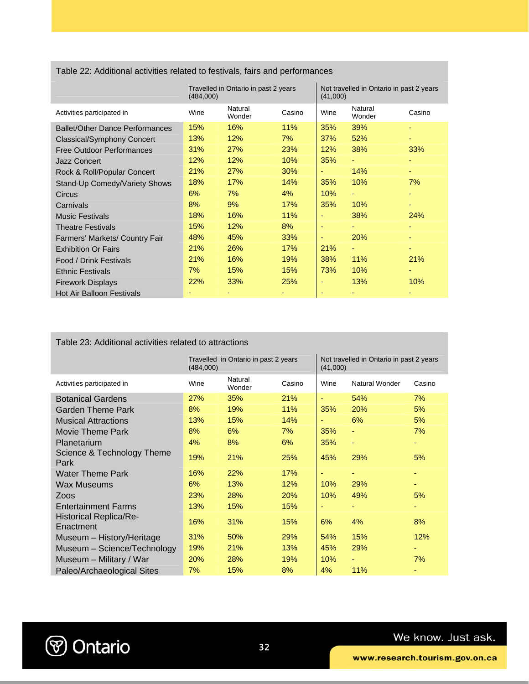Table 22: Additional activities related to festivals, fairs and performances

|                                        | (484,000) | Travelled in Ontario in past 2 years |        | Not travelled in Ontario in past 2 years<br>(41,000) |                   |        |
|----------------------------------------|-----------|--------------------------------------|--------|------------------------------------------------------|-------------------|--------|
| Activities participated in             | Wine      | Natural<br>Wonder                    | Casino | Wine                                                 | Natural<br>Wonder | Casino |
| <b>Ballet/Other Dance Performances</b> | 15%       | 16%                                  | 11%    | 35%                                                  | 39%               |        |
| Classical/Symphony Concert             | 13%       | 12%                                  | $7\%$  | 37%                                                  | 52%               | ٠      |
| <b>Free Outdoor Performances</b>       | 31%       | 27%                                  | 23%    | 12%                                                  | 38%               | 33%    |
| <b>Jazz Concert</b>                    | 12%       | 12%                                  | 10%    | 35%                                                  | ٠                 | ٠      |
| Rock & Roll/Popular Concert            | 21%       | 27%                                  | 30%    | ٠                                                    | 14%               | ٠      |
| Stand-Up Comedy/Variety Shows          | 18%       | 17%                                  | 14%    | 35%                                                  | 10%               | 7%     |
| Circus                                 | 6%        | 7%                                   | 4%     | 10%                                                  | ٠                 |        |
| Carnivals                              | 8%        | 9%                                   | 17%    | 35%                                                  | 10%               | ۰      |
| <b>Music Festivals</b>                 | 18%       | 16%                                  | 11%    |                                                      | 38%               | 24%    |
| <b>Theatre Festivals</b>               | 15%       | 12%                                  | 8%     | ٠                                                    | ٠                 | ٠      |
| Farmers' Markets/ Country Fair         | 48%       | 45%                                  | 33%    | ٠                                                    | 20%               | ٠      |
| <b>Exhibition Or Fairs</b>             | 21%       | 26%                                  | 17%    | 21%                                                  | ٠                 |        |
| Food / Drink Festivals                 | 21%       | 16%                                  | 19%    | 38%                                                  | 11%               | 21%    |
| <b>Ethnic Festivals</b>                | 7%        | 15%                                  | 15%    | 73%                                                  | 10%               | ٠      |
| <b>Firework Displays</b>               | 22%       | 33%                                  | 25%    |                                                      | 13%               | 10%    |
| <b>Hot Air Balloon Festivals</b>       |           |                                      |        |                                                      |                   |        |

#### Table 23: Additional activities related to attractions

|                                            | Travelled in Ontario in past 2 years<br>(484,000) |                   |        | Not travelled in Ontario in past 2 years<br>(41,000) |                |        |  |
|--------------------------------------------|---------------------------------------------------|-------------------|--------|------------------------------------------------------|----------------|--------|--|
| Activities participated in                 | Wine                                              | Natural<br>Wonder | Casino | Wine                                                 | Natural Wonder | Casino |  |
| <b>Botanical Gardens</b>                   | 27%                                               | 35%               | 21%    |                                                      | 54%            | 7%     |  |
| Garden Theme Park                          | 8%                                                | 19%               | 11%    | 35%                                                  | 20%            | 5%     |  |
| <b>Musical Attractions</b>                 | 13%                                               | 15%               | 14%    | ٠                                                    | 6%             | 5%     |  |
| <b>Movie Theme Park</b>                    | 8%                                                | 6%                | 7%     | 35%                                                  | ٠              | 7%     |  |
| Planetarium                                | 4%                                                | 8%                | 6%     | 35%                                                  | ٠              | ٠      |  |
| Science & Technology Theme<br>Park         | 19%                                               | 21%               | 25%    | 45%                                                  | 29%            | 5%     |  |
| <b>Water Theme Park</b>                    | 16%                                               | 22%               | 17%    |                                                      |                | ٠      |  |
| Wax Museums                                | 6%                                                | 13%               | 12%    | 10%                                                  | 29%            | ۰      |  |
| Zoos                                       | 23%                                               | 28%               | 20%    | 10%                                                  | 49%            | 5%     |  |
| <b>Entertainment Farms</b>                 | 13%                                               | 15%               | 15%    |                                                      |                | ٠      |  |
| <b>Historical Replica/Re-</b><br>Enactment | 16%                                               | 31%               | 15%    | 6%                                                   | 4%             | 8%     |  |
| Museum - History/Heritage                  | 31%                                               | 50%               | 29%    | 54%                                                  | 15%            | 12%    |  |
| Museum - Science/Technology                | 19%                                               | 21%               | 13%    | 45%                                                  | 29%            |        |  |
| Museum - Military / War                    | 20%                                               | 28%               | 19%    | 10%                                                  | ٠              | 7%     |  |
| Paleo/Archaeological Sites                 | 7%                                                | 15%               | 8%     | 4%                                                   | 11%            |        |  |

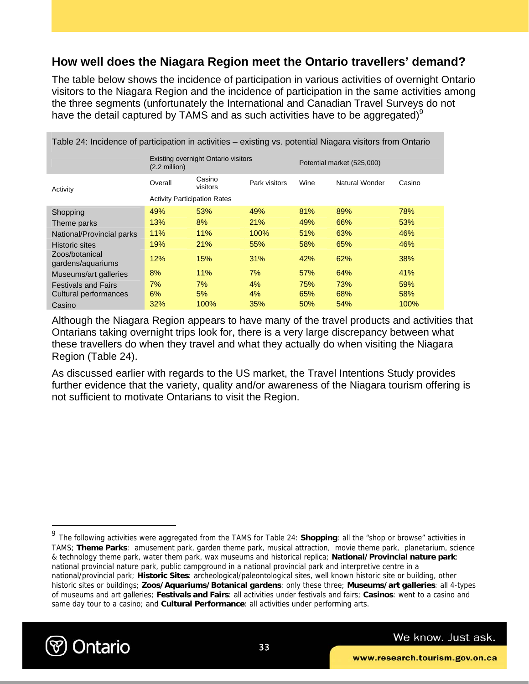### **How well does the Niagara Region meet the Ontario travellers' demand?**

The table below shows the incidence of participation in various activities of overnight Ontario visitors to the Niagara Region and the incidence of participation in the same activities among the three segments (unfortunately the International and Canadian Travel Surveys do not have the detail captured by TAMS and as such activities have to be aggregated) $9$ 

| Table 24: Incidence of participation in activities – existing vs. potential Niagara visitors from Ontario |                                                                       |                    |               |                            |                |        |  |  |
|-----------------------------------------------------------------------------------------------------------|-----------------------------------------------------------------------|--------------------|---------------|----------------------------|----------------|--------|--|--|
|                                                                                                           | <b>Existing overnight Ontario visitors</b><br>$(2.2 \text{ million})$ |                    |               | Potential market (525,000) |                |        |  |  |
| Activity                                                                                                  | Overall                                                               | Casino<br>visitors | Park visitors | Wine                       | Natural Wonder | Casino |  |  |
|                                                                                                           | <b>Activity Participation Rates</b>                                   |                    |               |                            |                |        |  |  |
| Shopping                                                                                                  | 49%                                                                   | 53%                | 49%           | 81%                        | 89%            | 78%    |  |  |
| Theme parks                                                                                               | 13%                                                                   | 8%                 | 21%           | 49%                        | 66%            | 53%    |  |  |
| National/Provincial parks                                                                                 | 11%                                                                   | 11%                | 100%          | 51%                        | 63%            | 46%    |  |  |
| <b>Historic sites</b>                                                                                     | 19%                                                                   | 21%                | 55%           | 58%                        | 65%            | 46%    |  |  |
| Zoos/botanical<br>gardens/aquariums                                                                       | 12%                                                                   | 15%                | 31%           | 42%                        | 62%            | 38%    |  |  |
| Museums/art galleries                                                                                     | 8%                                                                    | 11%                | 7%            | 57%                        | 64%            | 41%    |  |  |
| <b>Festivals and Fairs</b>                                                                                | 7%                                                                    | 7%                 | 4%            | 75%                        | 73%            | 59%    |  |  |
| Cultural performances                                                                                     | 6%                                                                    | 5%                 | 4%            | 65%                        | 68%            | 58%    |  |  |
| Casino                                                                                                    | 32%                                                                   | 100%               | 35%           | 50%                        | 54%            | 100%   |  |  |

Although the Niagara Region appears to have many of the travel products and activities that Ontarians taking overnight trips look for, there is a very large discrepancy between what these travellers do when they travel and what they actually do when visiting the Niagara Region (Table 24).

As discussed earlier with regards to the US market, the Travel Intentions Study provides further evidence that the variety, quality and/or awareness of the Niagara tourism offering is not sufficient to motivate Ontarians to visit the Region.

<sup>9</sup> The following activities were aggregated from the TAMS for Table 24: **Shopping**: all the "shop or browse" activities in TAMS; **Theme Parks**: amusement park, garden theme park, musical attraction, movie theme park, planetarium, science & technology theme park, water them park, wax museums and historical replica; **National/Provincial nature park**: national provincial nature park, public campground in a national provincial park and interpretive centre in a national/provincial park; **Historic Sites**: archeological/paleontological sites, well known historic site or building, other historic sites or buildings; **Zoos/Aquariums/Botanical gardens**: only these three; **Museums/art galleries**: all 4-types of museums and art galleries; **Festivals and Fairs**: all activities under festivals and fairs; **Casinos**: went to a casino and same day tour to a casino; and **Cultural Performance**: all activities under performing arts.



 $\overline{a}$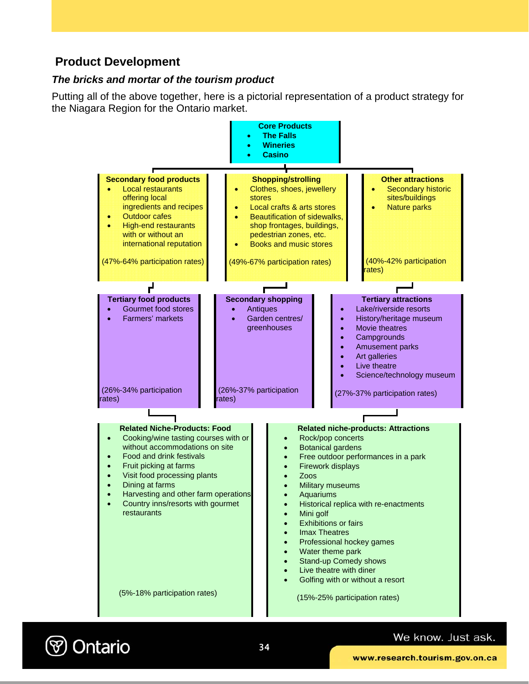### **Product Development**

### *The bricks and mortar of the tourism product*

Putting all of the above together, here is a pictorial representation of a product strategy for the Niagara Region for the Ontario market.



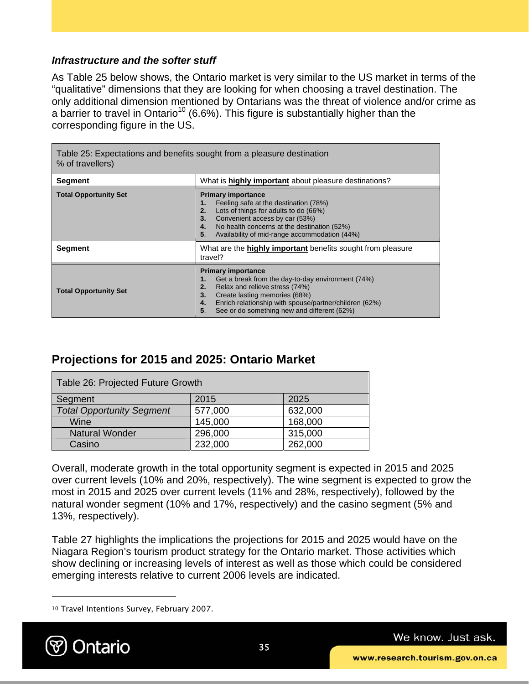### *Infrastructure and the softer stuff*

As Table 25 below shows, the Ontario market is very similar to the US market in terms of the "qualitative" dimensions that they are looking for when choosing a travel destination. The only additional dimension mentioned by Ontarians was the threat of violence and/or crime as a barrier to travel in Ontario<sup>10</sup> (6.6%). This figure is substantially higher than the corresponding figure in the US.

| Table 25: Expectations and benefits sought from a pleasure destination<br>% of travellers) |                                                                                                                                                                                                                                                                                          |  |  |  |
|--------------------------------------------------------------------------------------------|------------------------------------------------------------------------------------------------------------------------------------------------------------------------------------------------------------------------------------------------------------------------------------------|--|--|--|
| Segment                                                                                    | What is highly important about pleasure destinations?                                                                                                                                                                                                                                    |  |  |  |
| <b>Total Opportunity Set</b>                                                               | <b>Primary importance</b><br>Feeling safe at the destination (78%)<br>1.<br>Lots of things for adults to do (66%)<br>2.<br>Convenient access by car (53%)<br>3.<br>No health concerns at the destination (52%)<br>4.<br>Availability of mid-range accommodation (44%)<br>5.              |  |  |  |
| Segment                                                                                    | What are the highly important benefits sought from pleasure<br>travel?                                                                                                                                                                                                                   |  |  |  |
| <b>Total Opportunity Set</b>                                                               | <b>Primary importance</b><br>Get a break from the day-to-day environment (74%)<br>1.<br>Relax and relieve stress (74%)<br>2.<br>Create lasting memories (68%)<br>3.<br>Enrich relationship with spouse/partner/children (62%)<br>4.<br>5.<br>See or do something new and different (62%) |  |  |  |

### **Projections for 2015 and 2025: Ontario Market**

| Table 26: Projected Future Growth |         |         |  |  |  |
|-----------------------------------|---------|---------|--|--|--|
| Segment                           | 2015    | 2025    |  |  |  |
| <b>Total Opportunity Segment</b>  | 577,000 | 632,000 |  |  |  |
| Wine                              | 145,000 | 168,000 |  |  |  |
| <b>Natural Wonder</b>             | 296,000 | 315,000 |  |  |  |
| Casino                            | 232,000 | 262,000 |  |  |  |

Overall, moderate growth in the total opportunity segment is expected in 2015 and 2025 over current levels (10% and 20%, respectively). The wine segment is expected to grow the most in 2015 and 2025 over current levels (11% and 28%, respectively), followed by the natural wonder segment (10% and 17%, respectively) and the casino segment (5% and 13%, respectively).

Table 27 highlights the implications the projections for 2015 and 2025 would have on the Niagara Region's tourism product strategy for the Ontario market. Those activities which show declining or increasing levels of interest as well as those which could be considered emerging interests relative to current 2006 levels are indicated.

<sup>10</sup> Travel Intentions Survey, February 2007.



 $\overline{a}$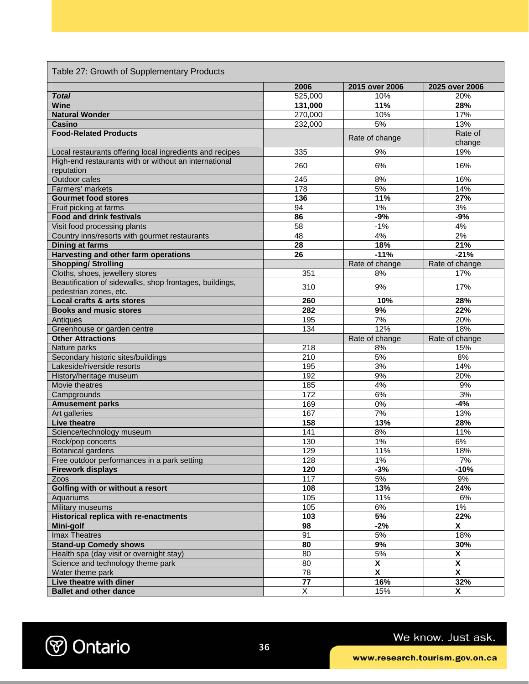| Table 27: Growth of Supplementary Products                          |                       |                                |                                |
|---------------------------------------------------------------------|-----------------------|--------------------------------|--------------------------------|
|                                                                     | 2006                  | 2015 over 2006                 | 2025 over 2006                 |
| <b>Total</b>                                                        | 525,000               | 10%                            | 20%                            |
| <b>Wine</b>                                                         | 131,000               | 11%                            | 28%                            |
| <b>Natural Wonder</b>                                               | 270,000               | 10%                            | 17%                            |
| <b>Casino</b>                                                       | 232,000               | 5%                             | 13%                            |
| <b>Food-Related Products</b>                                        |                       | Rate of change                 | Rate of                        |
| Local restaurants offering local ingredients and recipes            | 335                   | 9%                             | change<br>19%                  |
| High-end restaurants with or without an international<br>reputation | 260                   | 6%                             | 16%                            |
| Outdoor cafes                                                       | 245                   | 8%                             | 16%                            |
| Farmers' markets                                                    | 178                   | 5%                             | 14%                            |
| <b>Gourmet food stores</b>                                          | $\frac{1}{136}$       | 11%                            | 27%                            |
| Fruit picking at farms                                              | 94                    | 1%                             | 3%                             |
| <b>Food and drink festivals</b>                                     | 86                    | $-9%$                          | $-9%$                          |
| Visit food processing plants                                        | 58                    | $-1%$                          | 4%                             |
| Country inns/resorts with gourmet restaurants                       | 48                    | 4%                             | 2%                             |
| <b>Dining at farms</b>                                              | 28                    | 18%                            | 21%                            |
| Harvesting and other farm operations                                | 26                    | $-11%$                         | $-21%$                         |
| <b>Shopping/ Strolling</b>                                          |                       | Rate of change                 | Rate of change                 |
| Cloths, shoes, jewellery stores                                     |                       |                                |                                |
| Beautification of sidewalks, shop frontages, buildings,             | 351                   | 8%                             | 17%                            |
| pedestrian zones, etc.                                              | 310                   | 9%                             | 17%                            |
| <b>Local crafts &amp; arts stores</b>                               | 260                   | 10%                            | 28%                            |
| <b>Books and music stores</b>                                       | 282                   | 9%                             | 22%                            |
| Antiques                                                            | 195                   | 7%                             | 20%                            |
| Greenhouse or garden centre                                         | 134                   | 12%                            | 18%                            |
| <b>Other Attractions</b>                                            |                       | Rate of change                 | Rate of change                 |
| Nature parks                                                        | $\overline{218}$      | 8%                             | 15%                            |
| Secondary historic sites/buildings                                  | 210                   | 5%                             | 8%                             |
| Lakeside/riverside resorts                                          | 195                   | 3%                             | 14%                            |
| History/heritage museum                                             | 192                   | 9%                             | 20%                            |
| Movie theatres                                                      | 185                   | 4%                             | 9%                             |
| Campgrounds                                                         | 172                   | 6%                             | 3%                             |
| <b>Amusement parks</b>                                              | 169                   | 0%                             | $-4%$                          |
| <b>Art</b> galleries                                                | 167                   | 7%                             | 13%                            |
| <b>Live theatre</b>                                                 | 158                   | 13%                            | 28%                            |
| Science/technology museum                                           | 141                   | 8%                             | 11%                            |
| Rock/pop concerts                                                   | 130                   | 1%                             | 6%                             |
| Botanical gardens                                                   | 129                   | 11%                            | 18%                            |
| Free outdoor performances in a park setting                         | 128                   | 1%                             | 7%                             |
| <b>Firework displays</b>                                            | 120                   | $-3%$                          | $-10%$                         |
| Zoos                                                                |                       |                                | 9%                             |
|                                                                     |                       |                                |                                |
|                                                                     | 117                   | 5%                             |                                |
| Golfing with or without a resort                                    | 108                   | 13%                            | 24%                            |
| Aquariums                                                           | 105                   | 11%                            | 6%                             |
| <b>Military museums</b>                                             | 105                   | 6%                             | $1\%$                          |
| <b>Historical replica with re-enactments</b>                        | 103                   | 5%                             | 22%                            |
| Mini-golf                                                           | 98                    | $-2\%$                         | $\overline{\mathbf{x}}$        |
| Imax Theatres                                                       | $\overline{91}$       | 5%                             | 18%                            |
| <b>Stand-up Comedy shows</b>                                        | 80                    | 9%                             | 30%                            |
| Health spa (day visit or overnight stay)                            | 80                    | $5%$                           | X                              |
| Science and technology theme park                                   | 80                    | X                              | χ                              |
| Water theme park<br>Live theatre with diner                         | $\overline{78}$<br>77 | $\overline{\mathbf{x}}$<br>16% | $\overline{\mathbf{X}}$<br>32% |

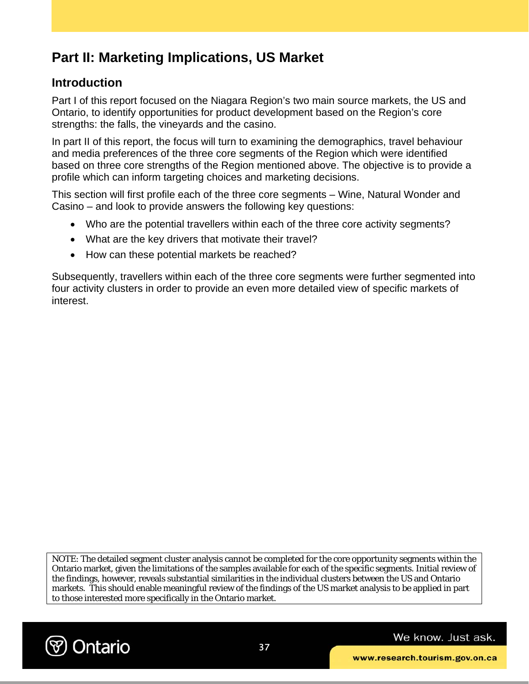# **Part II: Marketing Implications, US Market**

### **Introduction**

Part I of this report focused on the Niagara Region's two main source markets, the US and Ontario, to identify opportunities for product development based on the Region's core strengths: the falls, the vineyards and the casino.

In part II of this report, the focus will turn to examining the demographics, travel behaviour and media preferences of the three core segments of the Region which were identified based on three core strengths of the Region mentioned above. The objective is to provide a profile which can inform targeting choices and marketing decisions.

This section will first profile each of the three core segments – Wine, Natural Wonder and Casino – and look to provide answers the following key questions:

- Who are the potential travellers within each of the three core activity segments?
- What are the key drivers that motivate their travel?
- How can these potential markets be reached?

Subsequently, travellers within each of the three core segments were further segmented into four activity clusters in order to provide an even more detailed view of specific markets of interest.

NOTE: The detailed segment cluster analysis cannot be completed for the core opportunity segments within the Ontario market, given the limitations of the samples available for each of the specific segments. Initial review of the findings, however, reveals substantial similarities in the individual clusters between the US and Ontario markets. This should enable meaningful review of the findings of the US market analysis to be applied in part to those interested more specifically in the Ontario market.

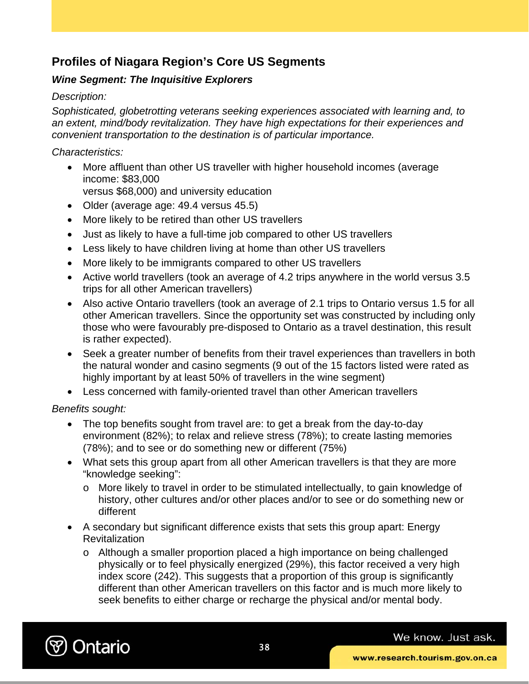### **Profiles of Niagara Region's Core US Segments**

### *Wine Segment: The Inquisitive Explorers*

### *Description:*

*Sophisticated, globetrotting veterans seeking experiences associated with learning and, to an extent, mind/body revitalization. They have high expectations for their experiences and convenient transportation to the destination is of particular importance.* 

*Characteristics:* 

- More affluent than other US traveller with higher household incomes (average income: \$83,000 versus \$68,000) and university education
- Older (average age: 49.4 versus 45.5)
- More likely to be retired than other US travellers
- Just as likely to have a full-time job compared to other US travellers
- Less likely to have children living at home than other US travellers
- More likely to be immigrants compared to other US travellers
- Active world travellers (took an average of 4.2 trips anywhere in the world versus 3.5 trips for all other American travellers)
- Also active Ontario travellers (took an average of 2.1 trips to Ontario versus 1.5 for all other American travellers. Since the opportunity set was constructed by including only those who were favourably pre-disposed to Ontario as a travel destination, this result is rather expected).
- Seek a greater number of benefits from their travel experiences than travellers in both the natural wonder and casino segments (9 out of the 15 factors listed were rated as highly important by at least 50% of travellers in the wine segment)
- Less concerned with family-oriented travel than other American travellers

*Benefits sought:* 

- The top benefits sought from travel are: to get a break from the day-to-day environment (82%); to relax and relieve stress (78%); to create lasting memories (78%); and to see or do something new or different (75%)
- What sets this group apart from all other American travellers is that they are more "knowledge seeking":
	- o More likely to travel in order to be stimulated intellectually, to gain knowledge of history, other cultures and/or other places and/or to see or do something new or different
- A secondary but significant difference exists that sets this group apart: Energy **Revitalization** 
	- o Although a smaller proportion placed a high importance on being challenged physically or to feel physically energized (29%), this factor received a very high index score (242). This suggests that a proportion of this group is significantly different than other American travellers on this factor and is much more likely to seek benefits to either charge or recharge the physical and/or mental body.

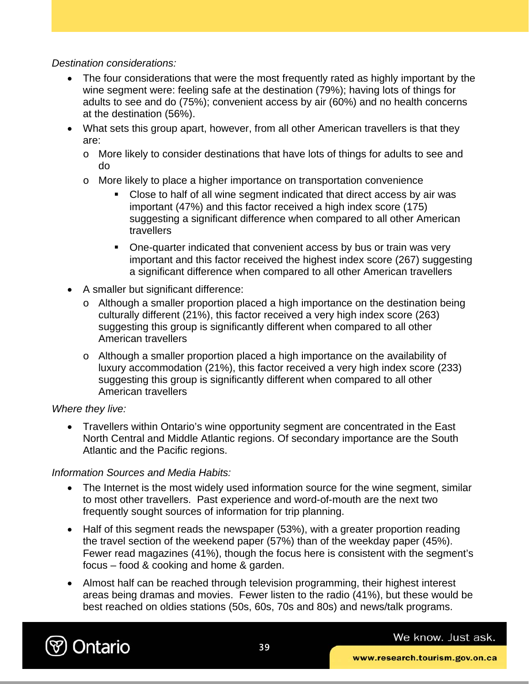*Destination considerations:* 

- The four considerations that were the most frequently rated as highly important by the wine segment were: feeling safe at the destination (79%); having lots of things for adults to see and do (75%); convenient access by air (60%) and no health concerns at the destination (56%).
- What sets this group apart, however, from all other American travellers is that they are:
	- o More likely to consider destinations that have lots of things for adults to see and do
	- o More likely to place a higher importance on transportation convenience
		- Close to half of all wine segment indicated that direct access by air was important (47%) and this factor received a high index score (175) suggesting a significant difference when compared to all other American **travellers**
		- One-quarter indicated that convenient access by bus or train was very important and this factor received the highest index score (267) suggesting a significant difference when compared to all other American travellers
- A smaller but significant difference:
	- o Although a smaller proportion placed a high importance on the destination being culturally different (21%), this factor received a very high index score (263) suggesting this group is significantly different when compared to all other American travellers
	- o Although a smaller proportion placed a high importance on the availability of luxury accommodation (21%), this factor received a very high index score (233) suggesting this group is significantly different when compared to all other American travellers

### *Where they live:*

• Travellers within Ontario's wine opportunity segment are concentrated in the East North Central and Middle Atlantic regions. Of secondary importance are the South Atlantic and the Pacific regions.

### *Information Sources and Media Habits:*

- The Internet is the most widely used information source for the wine segment, similar to most other travellers. Past experience and word-of-mouth are the next two frequently sought sources of information for trip planning.
- Half of this segment reads the newspaper (53%), with a greater proportion reading the travel section of the weekend paper (57%) than of the weekday paper (45%). Fewer read magazines (41%), though the focus here is consistent with the segment's focus – food & cooking and home & garden.
- Almost half can be reached through television programming, their highest interest areas being dramas and movies. Fewer listen to the radio (41%), but these would be best reached on oldies stations (50s, 60s, 70s and 80s) and news/talk programs.

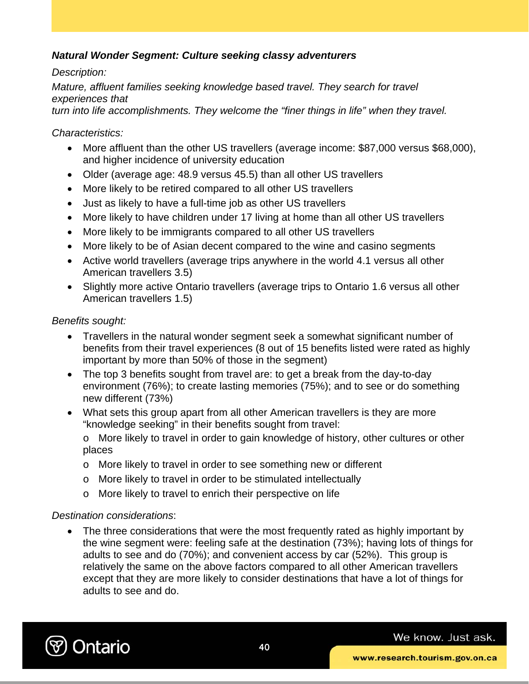### *Natural Wonder Segment: Culture seeking classy adventurers*

### *Description:*

*Mature, affluent families seeking knowledge based travel. They search for travel experiences that* 

*turn into life accomplishments. They welcome the "finer things in life" when they travel.* 

### *Characteristics:*

- More affluent than the other US travellers (average income: \$87,000 versus \$68,000), and higher incidence of university education
- Older (average age: 48.9 versus 45.5) than all other US travellers
- More likely to be retired compared to all other US travellers
- Just as likely to have a full-time job as other US travellers
- More likely to have children under 17 living at home than all other US travellers
- More likely to be immigrants compared to all other US travellers
- More likely to be of Asian decent compared to the wine and casino segments
- Active world travellers (average trips anywhere in the world 4.1 versus all other American travellers 3.5)
- Slightly more active Ontario travellers (average trips to Ontario 1.6 versus all other American travellers 1.5)

### *Benefits sought:*

- Travellers in the natural wonder segment seek a somewhat significant number of benefits from their travel experiences (8 out of 15 benefits listed were rated as highly important by more than 50% of those in the segment)
- The top 3 benefits sought from travel are: to get a break from the day-to-day environment (76%); to create lasting memories (75%); and to see or do something new different (73%)
- What sets this group apart from all other American travellers is they are more "knowledge seeking" in their benefits sought from travel:

o More likely to travel in order to gain knowledge of history, other cultures or other places

- o More likely to travel in order to see something new or different
- o More likely to travel in order to be stimulated intellectually
- o More likely to travel to enrich their perspective on life

### *Destination considerations*:

• The three considerations that were the most frequently rated as highly important by the wine segment were: feeling safe at the destination (73%); having lots of things for adults to see and do (70%); and convenient access by car (52%). This group is relatively the same on the above factors compared to all other American travellers except that they are more likely to consider destinations that have a lot of things for adults to see and do.

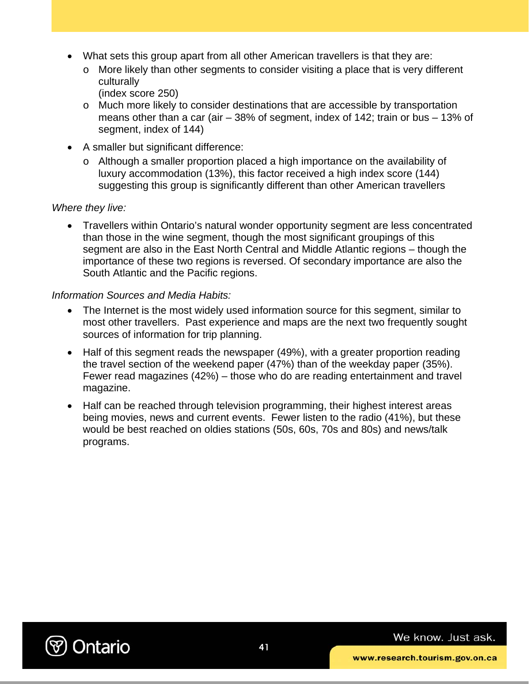- What sets this group apart from all other American travellers is that they are:
	- $\circ$  More likely than other segments to consider visiting a place that is very different culturally
		- (index score 250)
	- o Much more likely to consider destinations that are accessible by transportation means other than a car (air – 38% of segment, index of 142; train or bus – 13% of segment, index of 144)
- A smaller but significant difference:
	- o Although a smaller proportion placed a high importance on the availability of luxury accommodation (13%), this factor received a high index score (144) suggesting this group is significantly different than other American travellers

#### *Where they live:*

• Travellers within Ontario's natural wonder opportunity segment are less concentrated than those in the wine segment, though the most significant groupings of this segment are also in the East North Central and Middle Atlantic regions – though the importance of these two regions is reversed. Of secondary importance are also the South Atlantic and the Pacific regions.

#### *Information Sources and Media Habits:*

- The Internet is the most widely used information source for this segment, similar to most other travellers. Past experience and maps are the next two frequently sought sources of information for trip planning.
- Half of this segment reads the newspaper (49%), with a greater proportion reading the travel section of the weekend paper (47%) than of the weekday paper (35%). Fewer read magazines (42%) – those who do are reading entertainment and travel magazine.
- Half can be reached through television programming, their highest interest areas being movies, news and current events. Fewer listen to the radio (41%), but these would be best reached on oldies stations (50s, 60s, 70s and 80s) and news/talk programs.

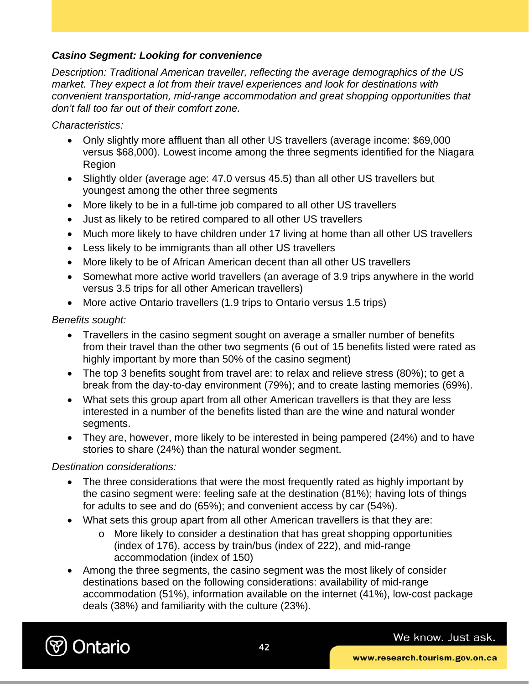### *Casino Segment: Looking for convenience*

*Description: Traditional American traveller, reflecting the average demographics of the US market. They expect a lot from their travel experiences and look for destinations with convenient transportation, mid-range accommodation and great shopping opportunities that don't fall too far out of their comfort zone.* 

*Characteristics:* 

- Only slightly more affluent than all other US travellers (average income: \$69,000 versus \$68,000). Lowest income among the three segments identified for the Niagara Region
- Slightly older (average age: 47.0 versus 45.5) than all other US travellers but youngest among the other three segments
- More likely to be in a full-time job compared to all other US travellers
- Just as likely to be retired compared to all other US travellers
- Much more likely to have children under 17 living at home than all other US travellers
- Less likely to be immigrants than all other US travellers
- More likely to be of African American decent than all other US travellers
- Somewhat more active world travellers (an average of 3.9 trips anywhere in the world versus 3.5 trips for all other American travellers)
- More active Ontario travellers (1.9 trips to Ontario versus 1.5 trips)

### *Benefits sought:*

- Travellers in the casino segment sought on average a smaller number of benefits from their travel than the other two segments (6 out of 15 benefits listed were rated as highly important by more than 50% of the casino segment)
- The top 3 benefits sought from travel are: to relax and relieve stress (80%); to get a break from the day-to-day environment (79%); and to create lasting memories (69%).
- What sets this group apart from all other American travellers is that they are less interested in a number of the benefits listed than are the wine and natural wonder segments.
- They are, however, more likely to be interested in being pampered (24%) and to have stories to share (24%) than the natural wonder segment.

### *Destination considerations:*

- The three considerations that were the most frequently rated as highly important by the casino segment were: feeling safe at the destination (81%); having lots of things for adults to see and do (65%); and convenient access by car (54%).
- What sets this group apart from all other American travellers is that they are:
	- o More likely to consider a destination that has great shopping opportunities (index of 176), access by train/bus (index of 222), and mid-range accommodation (index of 150)
- Among the three segments, the casino segment was the most likely of consider destinations based on the following considerations: availability of mid-range accommodation (51%), information available on the internet (41%), low-cost package deals (38%) and familiarity with the culture (23%).

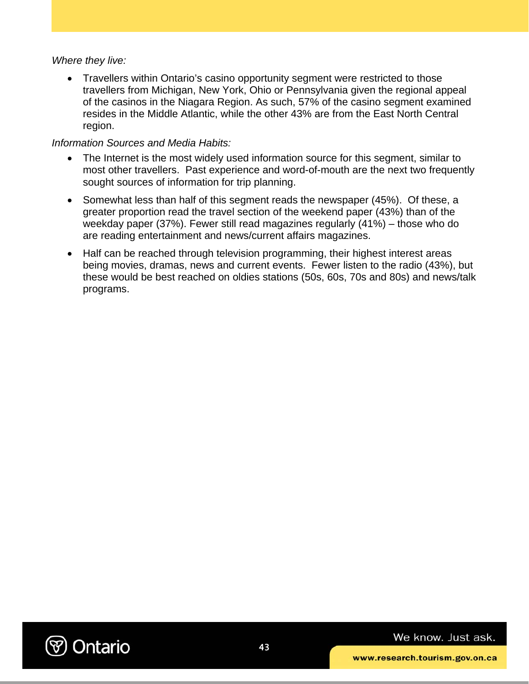#### *Where they live:*

• Travellers within Ontario's casino opportunity segment were restricted to those travellers from Michigan, New York, Ohio or Pennsylvania given the regional appeal of the casinos in the Niagara Region. As such, 57% of the casino segment examined resides in the Middle Atlantic, while the other 43% are from the East North Central region.

#### *Information Sources and Media Habits:*

- The Internet is the most widely used information source for this segment, similar to most other travellers. Past experience and word-of-mouth are the next two frequently sought sources of information for trip planning.
- Somewhat less than half of this segment reads the newspaper (45%). Of these, a greater proportion read the travel section of the weekend paper (43%) than of the weekday paper (37%). Fewer still read magazines regularly (41%) – those who do are reading entertainment and news/current affairs magazines.
- Half can be reached through television programming, their highest interest areas being movies, dramas, news and current events. Fewer listen to the radio (43%), but these would be best reached on oldies stations (50s, 60s, 70s and 80s) and news/talk programs.

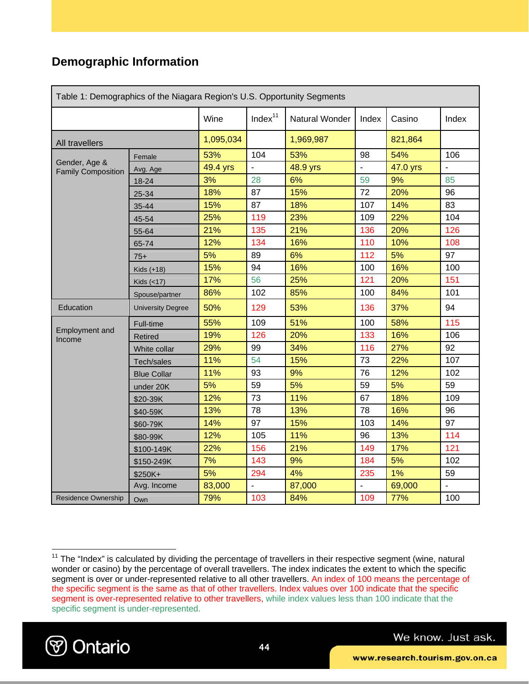### **Demographic Information**

| Table 1: Demographics of the Niagara Region's U.S. Opportunity Segments |                          |           |                |                |                |          |                |
|-------------------------------------------------------------------------|--------------------------|-----------|----------------|----------------|----------------|----------|----------------|
|                                                                         |                          | Wine      | Index $11$     | Natural Wonder | Index          | Casino   | Index          |
| All travellers                                                          |                          | 1,095,034 |                | 1,969,987      |                | 821,864  |                |
|                                                                         | Female                   | 53%       | 104            | 53%            | 98             | 54%      | 106            |
| Gender, Age &<br><b>Family Composition</b>                              | Avg. Age                 | 49.4 yrs  | $\overline{a}$ | 48.9 yrs       | $\overline{a}$ | 47.0 yrs | $\overline{a}$ |
|                                                                         | 18-24                    | 3%        | 28             | 6%             | 59             | 9%       | 85             |
|                                                                         | 25-34                    | 18%       | 87             | 15%            | 72             | 20%      | 96             |
|                                                                         | 35-44                    | 15%       | 87             | 18%            | 107            | 14%      | 83             |
|                                                                         | 45-54                    | 25%       | 119            | 23%            | 109            | 22%      | 104            |
|                                                                         | 55-64                    | 21%       | 135            | 21%            | 136            | 20%      | 126            |
|                                                                         | 65-74                    | 12%       | 134            | 16%            | 110            | 10%      | 108            |
|                                                                         | $75+$                    | 5%        | 89             | 6%             | 112            | 5%       | 97             |
|                                                                         | Kids $(+18)$             | 15%       | 94             | 16%            | 100            | 16%      | 100            |
|                                                                         | Kids (<17)               | 17%       | 56             | 25%            | 121            | 20%      | 151            |
|                                                                         | Spouse/partner           | 86%       | 102            | 85%            | 100            | 84%      | 101            |
| Education                                                               | <b>University Degree</b> | 50%       | 129            | 53%            | 136            | 37%      | 94             |
|                                                                         | Full-time                | 55%       | 109            | 51%            | 100            | 58%      | 115            |
| <b>Employment and</b><br>Income                                         | Retired                  | 19%       | 126            | 20%            | 133            | 16%      | 106            |
|                                                                         | White collar             | 29%       | 99             | 34%            | 116            | 27%      | 92             |
|                                                                         | Tech/sales               | 11%       | 54             | 15%            | 73             | 22%      | 107            |
|                                                                         | <b>Blue Collar</b>       | 11%       | 93             | 9%             | 76             | 12%      | 102            |
|                                                                         | under 20K                | 5%        | 59             | 5%             | 59             | 5%       | 59             |
|                                                                         | \$20-39K                 | 12%       | 73             | 11%            | 67             | 18%      | 109            |
|                                                                         | \$40-59K                 | 13%       | 78             | 13%            | 78             | 16%      | 96             |
|                                                                         | \$60-79K                 | 14%       | 97             | 15%            | 103            | 14%      | 97             |
|                                                                         | \$80-99K                 | 12%       | 105            | 11%            | 96             | 13%      | 114            |
|                                                                         | \$100-149K               | 22%       | 156            | 21%            | 149            | 17%      | 121            |
|                                                                         | \$150-249K               | 7%        | 143            | 9%             | 184            | 5%       | 102            |
|                                                                         | \$250K+                  | 5%        | 294            | 4%             | 235            | 1%       | 59             |
|                                                                         | Avg. Income              | 83,000    | $\blacksquare$ | 87,000         | ÷              | 69,000   | ÷,             |
| <b>Residence Ownership</b>                                              | Own                      | 79%       | 103            | 84%            | 109            | 77%      | 100            |

 $11$  The "Index" is calculated by dividing the percentage of travellers in their respective segment (wine, natural wonder or casino) by the percentage of overall travellers. The index indicates the extent to which the specific segment is over or under-represented relative to all other travellers. An index of 100 means the percentage of the specific segment is the same as that of other travellers. Index values over 100 indicate that the specific segment is over-represented relative to other travellers, while index values less than 100 indicate that the specific segment is under-represented.



 $\overline{a}$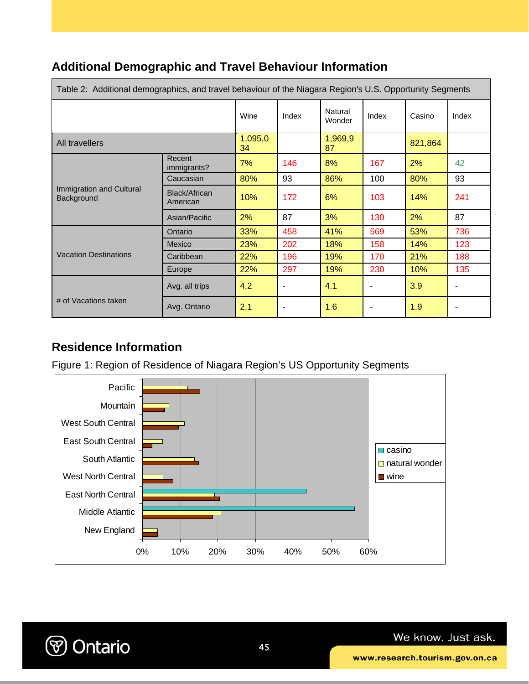| Table 2: Additional demographics, and travel behaviour of the Niagara Region's U.S. Opportunity Segments |                           |               |                          |                   |       |         |       |
|----------------------------------------------------------------------------------------------------------|---------------------------|---------------|--------------------------|-------------------|-------|---------|-------|
|                                                                                                          |                           | Wine          | Index                    | Natural<br>Wonder | Index | Casino  | Index |
| All travellers                                                                                           |                           | 1,095,0<br>34 |                          | 1,969,9<br>87     |       | 821,864 |       |
|                                                                                                          | Recent<br>immigrants?     | 7%            | 146                      | 8%                | 167   | 2%      | 42    |
|                                                                                                          | Caucasian                 | 80%           | 93                       | 86%               | 100   | 80%     | 93    |
| Immigration and Cultural<br>Background                                                                   | Black/African<br>American | 10%           | 172                      | 6%                | 103   | 14%     | 241   |
|                                                                                                          | Asian/Pacific             | 2%            | 87                       | 3%                | 130   | 2%      | 87    |
|                                                                                                          | Ontario                   | 33%           | 458                      | 41%               | 569   | 53%     | 736   |
|                                                                                                          | <b>Mexico</b>             | 23%           | 202                      | 18%               | 158   | 14%     | 123   |
| <b>Vacation Destinations</b>                                                                             | Caribbean                 | 22%           | 196                      | 19%               | 170   | 21%     | 188   |
|                                                                                                          | Europe                    | 22%           | 297                      | 19%               | 230   | 10%     | 135   |
|                                                                                                          | Avg. all trips            | 4.2           | $\overline{\phantom{a}}$ | 4.1               | ۰     | 3.9     |       |
| # of Vacations taken                                                                                     | Avg. Ontario              | 2.1           | $\overline{\phantom{a}}$ | 1.6               |       | 1.9     |       |

### **Residence Information**

Figure 1: Region of Residence of Niagara Region's US Opportunity Segments



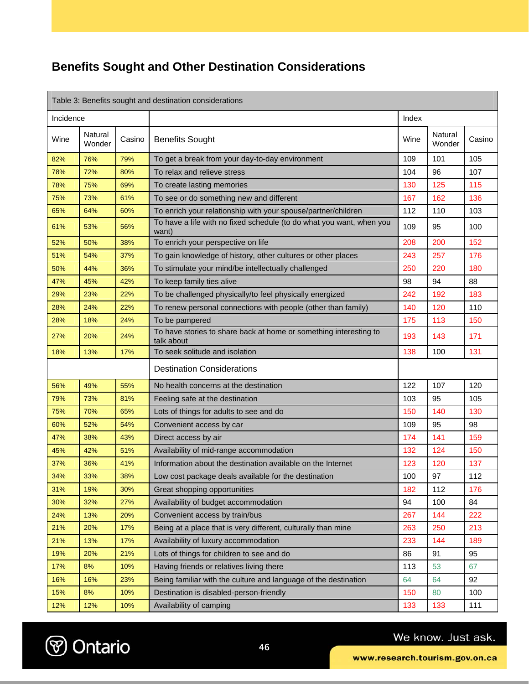## **Benefits Sought and Other Destination Considerations**

| Table 3: Benefits sought and destination considerations |                   |        |                                                                                 |       |                   |        |
|---------------------------------------------------------|-------------------|--------|---------------------------------------------------------------------------------|-------|-------------------|--------|
| Incidence                                               |                   |        |                                                                                 | Index |                   |        |
| Wine                                                    | Natural<br>Wonder | Casino | <b>Benefits Sought</b>                                                          | Wine  | Natural<br>Wonder | Casino |
| 82%                                                     | 76%               | 79%    | To get a break from your day-to-day environment                                 | 109   | 101               | 105    |
| 78%                                                     | 72%               | 80%    | To relax and relieve stress                                                     | 104   | 96                | 107    |
| 78%                                                     | 75%               | 69%    | To create lasting memories                                                      | 130   | 125               | 115    |
| 75%                                                     | 73%               | 61%    | To see or do something new and different                                        | 167   | 162               | 136    |
| 65%                                                     | 64%               | 60%    | To enrich your relationship with your spouse/partner/children                   | 112   | 110               | 103    |
| 61%                                                     | 53%               | 56%    | To have a life with no fixed schedule (to do what you want, when you<br>want)   | 109   | 95                | 100    |
| 52%                                                     | 50%               | 38%    | To enrich your perspective on life                                              | 208   | 200               | 152    |
| 51%                                                     | 54%               | 37%    | To gain knowledge of history, other cultures or other places                    | 243   | 257               | 176    |
| 50%                                                     | 44%               | 36%    | To stimulate your mind/be intellectually challenged                             | 250   | 220               | 180    |
| 47%                                                     | 45%               | 42%    | To keep family ties alive                                                       | 98    | 94                | 88     |
| 29%                                                     | 23%               | 22%    | To be challenged physically/to feel physically energized                        | 242   | 192               | 183    |
| 28%                                                     | 24%               | 22%    | To renew personal connections with people (other than family)                   | 140   | 120               | 110    |
| 28%                                                     | 18%               | 24%    | To be pampered                                                                  | 175   | 113               | 150    |
| 27%                                                     | 20%               | 24%    | To have stories to share back at home or something interesting to<br>talk about | 193   | 143               | 171    |
| 18%                                                     | 13%               | 17%    | To seek solitude and isolation                                                  | 138   | 100               | 131    |
|                                                         |                   |        | <b>Destination Considerations</b>                                               |       |                   |        |
| 56%                                                     | 49%               | 55%    | No health concerns at the destination                                           | 122   | 107               | 120    |
| 79%                                                     | 73%               | 81%    | Feeling safe at the destination                                                 | 103   | 95                | 105    |
| 75%                                                     | 70%               | 65%    | Lots of things for adults to see and do                                         | 150   | 140               | 130    |
| 60%                                                     | 52%               | 54%    | Convenient access by car                                                        | 109   | 95                | 98     |
| 47%                                                     | 38%               | 43%    | Direct access by air                                                            | 174   | 141               | 159    |
| 45%                                                     | 42%               | 51%    | Availability of mid-range accommodation                                         | 132   | 124               | 150    |
| 37%                                                     | 36%               | 41%    | Information about the destination available on the Internet                     | 123   | 120               | 137    |
| 34%                                                     | 33%               | 38%    | Low cost package deals available for the destination                            | 100   | 97                | 112    |
| 31%                                                     | 19%               | 30%    | Great shopping opportunities                                                    | 182   | 112               | 176    |
| 30%                                                     | 32%               | 27%    | Availability of budget accommodation                                            | 94    | 100               | 84     |
| 24%                                                     | 13%               | 20%    | Convenient access by train/bus                                                  | 267   | 144               | 222    |
| 21%                                                     | 20%               | 17%    | Being at a place that is very different, culturally than mine                   | 263   | 250               | 213    |
| 21%                                                     | 13%               | 17%    | Availability of luxury accommodation                                            | 233   | 144               | 189    |
| 19%                                                     | 20%               | 21%    | Lots of things for children to see and do                                       | 86    | 91                | 95     |
| 17%                                                     | 8%                | 10%    | Having friends or relatives living there                                        | 113   | 53                | 67     |
| 16%                                                     | 16%               | 23%    | Being familiar with the culture and language of the destination                 | 64    | 64                | 92     |
| 15%                                                     | 8%                | 10%    | Destination is disabled-person-friendly                                         | 150   | 80                | 100    |
| 12%                                                     | 12%               | 10%    | Availability of camping                                                         | 133   | 133               | 111    |

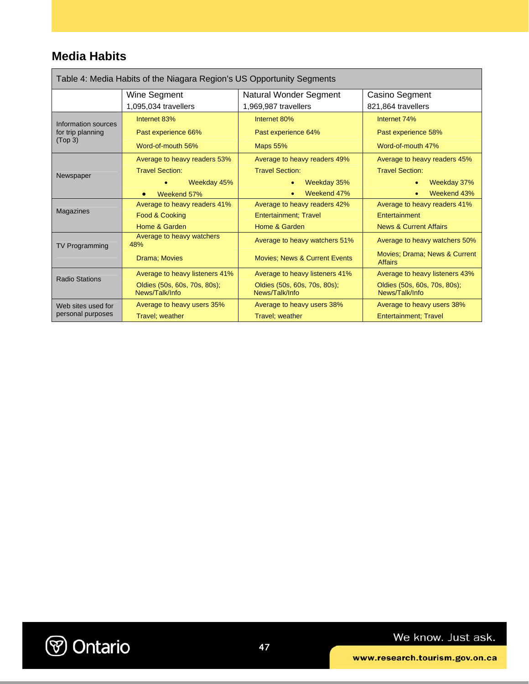### **Media Habits**

| Table 4: Media Habits of the Niagara Region's US Opportunity Segments |                                                |                                                |                                                 |  |  |  |
|-----------------------------------------------------------------------|------------------------------------------------|------------------------------------------------|-------------------------------------------------|--|--|--|
|                                                                       | Wine Segment                                   | Natural Wonder Segment                         | Casino Segment                                  |  |  |  |
|                                                                       | 1,095,034 travellers                           | 1,969,987 travellers                           | 821,864 travellers                              |  |  |  |
| Information sources                                                   | Internet 83%                                   | Internet 80%                                   | Internet 74%                                    |  |  |  |
| for trip planning<br>(Top <sub>3</sub> )                              | Past experience 66%                            | Past experience 64%                            | Past experience 58%                             |  |  |  |
|                                                                       | Word-of-mouth 56%                              | <b>Maps 55%</b>                                | Word-of-mouth 47%                               |  |  |  |
|                                                                       | Average to heavy readers 53%                   | Average to heavy readers 49%                   | Average to heavy readers 45%                    |  |  |  |
| Newspaper                                                             | <b>Travel Section:</b>                         | <b>Travel Section:</b>                         | <b>Travel Section:</b>                          |  |  |  |
|                                                                       | Weekday 45%                                    | Weekday 35%                                    | Weekday 37%                                     |  |  |  |
|                                                                       | Weekend 57%<br>$\bullet$                       | Weekend 47%                                    | Weekend 43%                                     |  |  |  |
|                                                                       | Average to heavy readers 41%                   | Average to heavy readers 42%                   | Average to heavy readers 41%                    |  |  |  |
| Magazines                                                             | Food & Cooking                                 | <b>Entertainment: Travel</b>                   | Entertainment                                   |  |  |  |
|                                                                       | Home & Garden                                  | Home & Garden                                  | <b>News &amp; Current Affairs</b>               |  |  |  |
| <b>TV Programming</b>                                                 | Average to heavy watchers<br>48%               | Average to heavy watchers 51%                  | Average to heavy watchers 50%                   |  |  |  |
|                                                                       | <b>Drama</b> ; Movies                          | <b>Movies: News &amp; Current Events</b>       | Movies: Drama: News & Current<br><b>Affairs</b> |  |  |  |
| <b>Radio Stations</b>                                                 | Average to heavy listeners 41%                 | Average to heavy listeners 41%                 | Average to heavy listeners 43%                  |  |  |  |
|                                                                       | Oldies (50s, 60s, 70s, 80s);<br>News/Talk/Info | Oldies (50s, 60s, 70s, 80s);<br>News/Talk/Info | Oldies (50s, 60s, 70s, 80s);<br>News/Talk/Info  |  |  |  |
| Web sites used for                                                    | Average to heavy users 35%                     | Average to heavy users 38%                     | Average to heavy users 38%                      |  |  |  |
| personal purposes                                                     | Travel; weather                                | Travel; weather                                | <b>Entertainment</b> ; Travel                   |  |  |  |

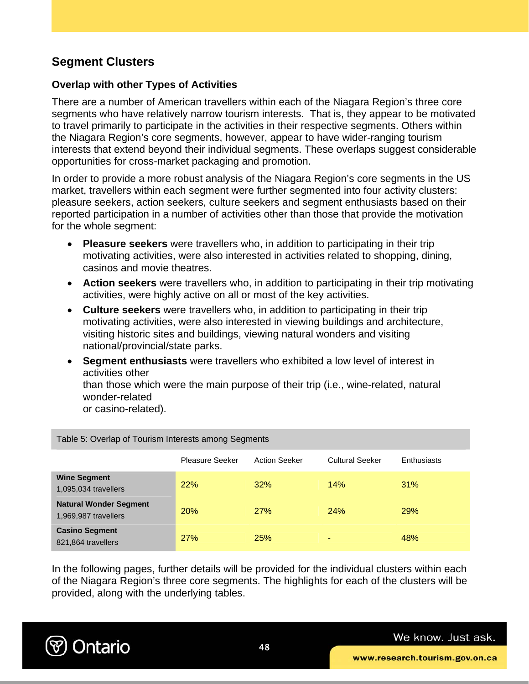### **Segment Clusters**

### **Overlap with other Types of Activities**

There are a number of American travellers within each of the Niagara Region's three core segments who have relatively narrow tourism interests. That is, they appear to be motivated to travel primarily to participate in the activities in their respective segments. Others within the Niagara Region's core segments, however, appear to have wider-ranging tourism interests that extend beyond their individual segments. These overlaps suggest considerable opportunities for cross-market packaging and promotion.

In order to provide a more robust analysis of the Niagara Region's core segments in the US market, travellers within each segment were further segmented into four activity clusters: pleasure seekers, action seekers, culture seekers and segment enthusiasts based on their reported participation in a number of activities other than those that provide the motivation for the whole segment:

- **Pleasure seekers** were travellers who, in addition to participating in their trip motivating activities, were also interested in activities related to shopping, dining, casinos and movie theatres.
- **Action seekers** were travellers who, in addition to participating in their trip motivating activities, were highly active on all or most of the key activities.
- **Culture seekers** were travellers who, in addition to participating in their trip motivating activities, were also interested in viewing buildings and architecture, visiting historic sites and buildings, viewing natural wonders and visiting national/provincial/state parks.
- **Segment enthusiasts** were travellers who exhibited a low level of interest in activities other than those which were the main purpose of their trip (i.e., wine-related, natural wonder-related

or casino-related).

Table 5: Overlap of Tourism Interests among Segments

|                                                       | <b>Pleasure Seeker</b> | <b>Action Seeker</b> | <b>Cultural Seeker</b> | <b>Enthusiasts</b> |
|-------------------------------------------------------|------------------------|----------------------|------------------------|--------------------|
| <b>Wine Segment</b><br>1,095,034 travellers           | 22%                    | 32%                  | 14%                    | 31%                |
| <b>Natural Wonder Segment</b><br>1,969,987 travellers | 20%                    | 27%                  | 24%                    | <b>29%</b>         |
| <b>Casino Segment</b><br>821,864 travellers           | 27%                    | 25%                  | ۰                      | 48%                |

In the following pages, further details will be provided for the individual clusters within each of the Niagara Region's three core segments. The highlights for each of the clusters will be provided, along with the underlying tables.

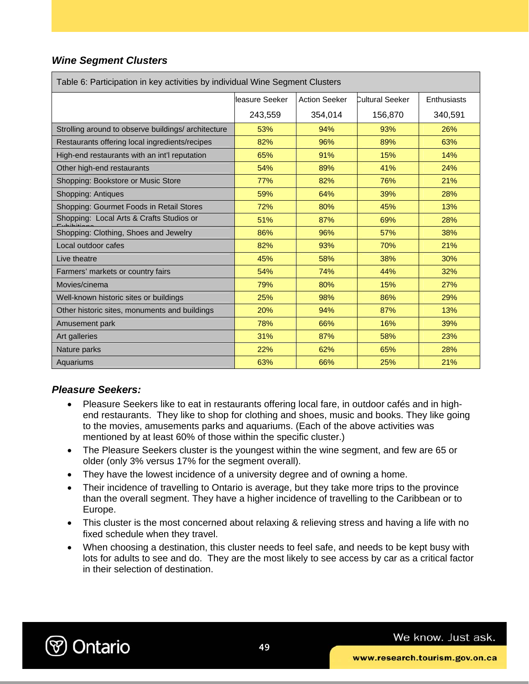### *Wine Segment Clusters*

| Table 6: Participation in key activities by individual Wine Segment Clusters |                |                      |                 |             |  |  |
|------------------------------------------------------------------------------|----------------|----------------------|-----------------|-------------|--|--|
|                                                                              | leasure Seeker | <b>Action Seeker</b> | Cultural Seeker | Enthusiasts |  |  |
|                                                                              | 243,559        | 354,014              | 156,870         | 340,591     |  |  |
| Strolling around to observe buildings/ architecture                          | 53%            | 94%                  | 93%             | 26%         |  |  |
| Restaurants offering local ingredients/recipes                               | 82%            | 96%                  | 89%             | 63%         |  |  |
| High-end restaurants with an int'l reputation                                | 65%            | 91%                  | 15%             | 14%         |  |  |
| Other high-end restaurants                                                   | 54%            | 89%                  | 41%             | 24%         |  |  |
| Shopping: Bookstore or Music Store                                           | 77%            | 82%                  | 76%             | 21%         |  |  |
| Shopping: Antiques                                                           | 59%            | 64%                  | 39%             | 28%         |  |  |
| Shopping: Gourmet Foods in Retail Stores                                     | 72%            | 80%                  | 45%             | 13%         |  |  |
| Shopping: Local Arts & Crafts Studios or                                     | 51%            | 87%                  | 69%             | 28%         |  |  |
| Shopping: Clothing, Shoes and Jewelry                                        | 86%            | 96%                  | 57%             | 38%         |  |  |
| Local outdoor cafes                                                          | 82%            | 93%                  | 70%             | 21%         |  |  |
| Live theatre                                                                 | 45%            | 58%                  | 38%             | 30%         |  |  |
| Farmers' markets or country fairs                                            | 54%            | 74%                  | 44%             | 32%         |  |  |
| Movies/cinema                                                                | 79%            | 80%                  | 15%             | 27%         |  |  |
| Well-known historic sites or buildings                                       | 25%            | 98%                  | 86%             | 29%         |  |  |
| Other historic sites, monuments and buildings                                | 20%            | 94%                  | 87%             | 13%         |  |  |
| Amusement park                                                               | 78%            | 66%                  | 16%             | 39%         |  |  |
| Art galleries                                                                | 31%            | 87%                  | 58%             | 23%         |  |  |
| Nature parks                                                                 | 22%            | 62%                  | 65%             | 28%         |  |  |
| Aquariums                                                                    | 63%            | 66%                  | 25%             | 21%         |  |  |

### *Pleasure Seekers:*

- Pleasure Seekers like to eat in restaurants offering local fare, in outdoor cafés and in highend restaurants. They like to shop for clothing and shoes, music and books. They like going to the movies, amusements parks and aquariums. (Each of the above activities was mentioned by at least 60% of those within the specific cluster.)
- The Pleasure Seekers cluster is the youngest within the wine segment, and few are 65 or older (only 3% versus 17% for the segment overall).
- They have the lowest incidence of a university degree and of owning a home.
- Their incidence of travelling to Ontario is average, but they take more trips to the province than the overall segment. They have a higher incidence of travelling to the Caribbean or to Europe.
- This cluster is the most concerned about relaxing & relieving stress and having a life with no fixed schedule when they travel.
- When choosing a destination, this cluster needs to feel safe, and needs to be kept busy with lots for adults to see and do. They are the most likely to see access by car as a critical factor in their selection of destination.

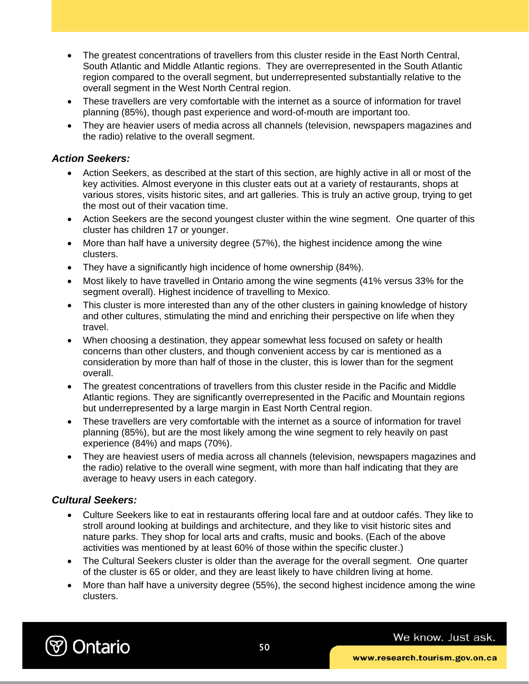- The greatest concentrations of travellers from this cluster reside in the East North Central, South Atlantic and Middle Atlantic regions. They are overrepresented in the South Atlantic region compared to the overall segment, but underrepresented substantially relative to the overall segment in the West North Central region.
- These travellers are very comfortable with the internet as a source of information for travel planning (85%), though past experience and word-of-mouth are important too.
- They are heavier users of media across all channels (television, newspapers magazines and the radio) relative to the overall segment.

#### *Action Seekers:*

- Action Seekers, as described at the start of this section, are highly active in all or most of the key activities. Almost everyone in this cluster eats out at a variety of restaurants, shops at various stores, visits historic sites, and art galleries. This is truly an active group, trying to get the most out of their vacation time.
- Action Seekers are the second youngest cluster within the wine segment. One quarter of this cluster has children 17 or younger.
- More than half have a university degree (57%), the highest incidence among the wine clusters.
- They have a significantly high incidence of home ownership (84%).
- Most likely to have travelled in Ontario among the wine segments (41% versus 33% for the segment overall). Highest incidence of travelling to Mexico.
- This cluster is more interested than any of the other clusters in gaining knowledge of history and other cultures, stimulating the mind and enriching their perspective on life when they travel.
- When choosing a destination, they appear somewhat less focused on safety or health concerns than other clusters, and though convenient access by car is mentioned as a consideration by more than half of those in the cluster, this is lower than for the segment overall.
- The greatest concentrations of travellers from this cluster reside in the Pacific and Middle Atlantic regions. They are significantly overrepresented in the Pacific and Mountain regions but underrepresented by a large margin in East North Central region.
- These travellers are very comfortable with the internet as a source of information for travel planning (85%), but are the most likely among the wine segment to rely heavily on past experience (84%) and maps (70%).
- They are heaviest users of media across all channels (television, newspapers magazines and the radio) relative to the overall wine segment, with more than half indicating that they are average to heavy users in each category.

### *Cultural Seekers:*

- Culture Seekers like to eat in restaurants offering local fare and at outdoor cafés. They like to stroll around looking at buildings and architecture, and they like to visit historic sites and nature parks. They shop for local arts and crafts, music and books. (Each of the above activities was mentioned by at least 60% of those within the specific cluster.)
- The Cultural Seekers cluster is older than the average for the overall segment. One quarter of the cluster is 65 or older, and they are least likely to have children living at home.
- More than half have a university degree (55%), the second highest incidence among the wine clusters.

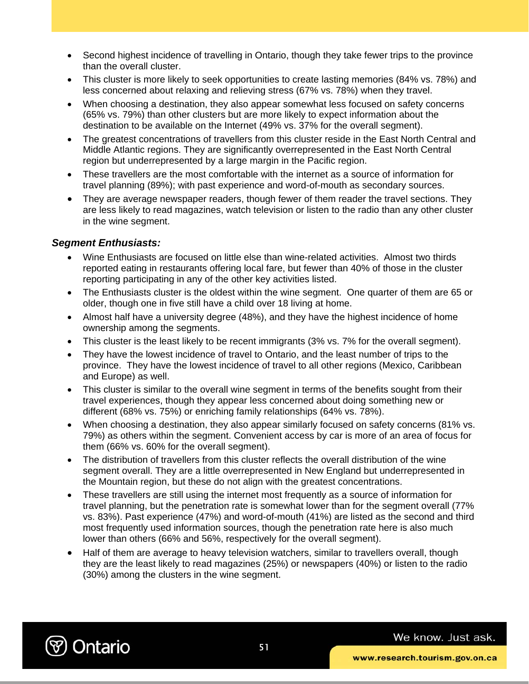- Second highest incidence of travelling in Ontario, though they take fewer trips to the province than the overall cluster.
- This cluster is more likely to seek opportunities to create lasting memories (84% vs. 78%) and less concerned about relaxing and relieving stress (67% vs. 78%) when they travel.
- When choosing a destination, they also appear somewhat less focused on safety concerns (65% vs. 79%) than other clusters but are more likely to expect information about the destination to be available on the Internet (49% vs. 37% for the overall segment).
- The greatest concentrations of travellers from this cluster reside in the East North Central and Middle Atlantic regions. They are significantly overrepresented in the East North Central region but underrepresented by a large margin in the Pacific region.
- These travellers are the most comfortable with the internet as a source of information for travel planning (89%); with past experience and word-of-mouth as secondary sources.
- They are average newspaper readers, though fewer of them reader the travel sections. They are less likely to read magazines, watch television or listen to the radio than any other cluster in the wine segment.

#### *Segment Enthusiasts:*

- Wine Enthusiasts are focused on little else than wine-related activities. Almost two thirds reported eating in restaurants offering local fare, but fewer than 40% of those in the cluster reporting participating in any of the other key activities listed.
- The Enthusiasts cluster is the oldest within the wine segment. One quarter of them are 65 or older, though one in five still have a child over 18 living at home.
- Almost half have a university degree (48%), and they have the highest incidence of home ownership among the segments.
- This cluster is the least likely to be recent immigrants (3% vs. 7% for the overall segment).
- They have the lowest incidence of travel to Ontario, and the least number of trips to the province. They have the lowest incidence of travel to all other regions (Mexico, Caribbean and Europe) as well.
- This cluster is similar to the overall wine segment in terms of the benefits sought from their travel experiences, though they appear less concerned about doing something new or different (68% vs. 75%) or enriching family relationships (64% vs. 78%).
- When choosing a destination, they also appear similarly focused on safety concerns (81% vs. 79%) as others within the segment. Convenient access by car is more of an area of focus for them (66% vs. 60% for the overall segment).
- The distribution of travellers from this cluster reflects the overall distribution of the wine segment overall. They are a little overrepresented in New England but underrepresented in the Mountain region, but these do not align with the greatest concentrations.
- These travellers are still using the internet most frequently as a source of information for travel planning, but the penetration rate is somewhat lower than for the segment overall (77% vs. 83%). Past experience (47%) and word-of-mouth (41%) are listed as the second and third most frequently used information sources, though the penetration rate here is also much lower than others (66% and 56%, respectively for the overall segment).
- Half of them are average to heavy television watchers, similar to travellers overall, though they are the least likely to read magazines (25%) or newspapers (40%) or listen to the radio (30%) among the clusters in the wine segment.

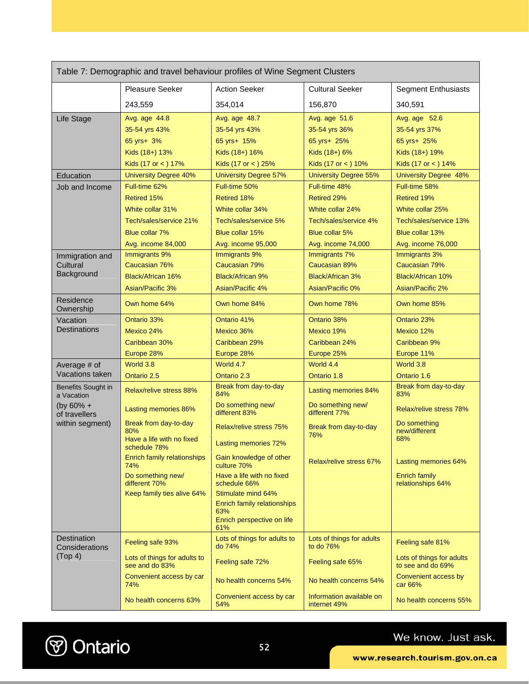| Table 7: Demographic and travel behaviour profiles of Wine Segment Clusters |                                                |                                                                  |                                          |                                                |
|-----------------------------------------------------------------------------|------------------------------------------------|------------------------------------------------------------------|------------------------------------------|------------------------------------------------|
|                                                                             | Pleasure Seeker                                | <b>Action Seeker</b>                                             | <b>Cultural Seeker</b>                   | <b>Segment Enthusiasts</b>                     |
|                                                                             | 243,559                                        | 354,014                                                          | 156,870                                  | 340,591                                        |
| Life Stage                                                                  | Avg. age 44.8                                  | Avg. age 48.7                                                    | Avg. age 51.6                            | Avg. age 52.6                                  |
|                                                                             | 35-54 yrs 43%                                  | 35-54 yrs 43%                                                    | 35-54 yrs 36%                            | 35-54 yrs 37%                                  |
|                                                                             | 65 yrs+ 3%                                     | 65 yrs+ 15%                                                      | 65 yrs+ 25%                              | 65 yrs+ 25%                                    |
|                                                                             | Kids (18+) 13%                                 | Kids (18+) 16%                                                   | Kids (18+) 6%                            | Kids (18+) 19%                                 |
|                                                                             | Kids (17 or <) 17%                             | Kids (17 or <) 25%                                               | Kids (17 or < ) 10%                      | Kids (17 or <) 14%                             |
| Education                                                                   | <b>University Degree 40%</b>                   | <b>University Degree 57%</b>                                     | <b>University Degree 55%</b>             | <b>University Degree 48%</b>                   |
| Job and Income                                                              | Full-time 62%                                  | Full-time 50%                                                    | Full-time 48%                            | Full-time 58%                                  |
|                                                                             | Retired 15%                                    | <b>Retired 18%</b>                                               | <b>Retired 29%</b>                       | Retired 19%                                    |
|                                                                             | White collar 31%                               | White collar 34%                                                 | White collar 24%                         | White collar 25%                               |
|                                                                             | Tech/sales/service 21%                         | Tech/sales/service 5%                                            | Tech/sales/service 4%                    | Tech/sales/service 13%                         |
|                                                                             | Blue collar 7%                                 | Blue collar 15%                                                  | Blue collar 5%                           | Blue collar 13%                                |
|                                                                             | Avg. income 84,000                             | Avg. income 95,000                                               | Avg. income 74,000                       | Avg. income 76,000                             |
| Immigration and                                                             | Immigrants 9%                                  | Immigrants 9%                                                    | Immigrants 7%                            | Immigrants 3%                                  |
| Cultural                                                                    | Caucasian 76%                                  | Caucasian 79%                                                    | Caucasian 89%                            | Caucasian 79%                                  |
| Background                                                                  | Black/African 16%                              | <b>Black/African 9%</b>                                          | <b>Black/African 3%</b>                  | Black/African 10%                              |
|                                                                             | <b>Asian/Pacific 3%</b>                        | Asian/Pacific 4%                                                 | Asian/Pacific 0%                         | Asian/Pacific 2%                               |
| Residence<br>Ownership                                                      | Own home 64%                                   | Own home 84%                                                     | Own home 78%                             | Own home 85%                                   |
| Vacation                                                                    | Ontario 33%                                    | Ontario 41%                                                      | Ontario 38%                              | Ontario 23%                                    |
| Destinations                                                                | Mexico 24%                                     | Mexico 36%                                                       | Mexico 19%                               | Mexico 12%                                     |
|                                                                             | Caribbean 30%                                  | Caribbean 29%                                                    | Caribbean 24%                            | Caribbean 9%                                   |
|                                                                             | Europe 28%                                     | Europe 28%                                                       | Europe 25%                               | Europe 11%                                     |
| Average # of                                                                | World 3.8                                      | World 4.7                                                        | World 4.4                                | World 3.8                                      |
| Vacations taken                                                             | Ontario 2.5                                    | Ontario 2.3                                                      | Ontario 1.8                              | Ontario 1.6                                    |
| Benefits Sought in<br>a Vacation                                            | <b>Relax/relive stress 88%</b>                 | Break from day-to-day<br>84%                                     | Lasting memories 84%                     | Break from day-to-day<br>83%                   |
| (by $60\% +$<br>of travellers                                               | Lasting memories 86%                           | Do something new/<br>different 83%                               | Do something new/<br>different 77%       | <b>Relax/relive stress 78%</b>                 |
| within segment)                                                             | Break from day-to-day<br>80%                   | <b>Relax/relive stress 75%</b>                                   | Break from day-to-day<br>76%             | Do something<br>new/different                  |
|                                                                             | Have a life with no fixed<br>schedule 78%      | Lasting memories 72%                                             |                                          | 68%                                            |
|                                                                             | Enrich family relationships<br>74%             | Gain knowledge of other<br>culture 70%                           | Relax/relive stress 67%                  | Lasting memories 64%                           |
|                                                                             | Do something new/<br>different 70%             | Have a life with no fixed<br>schedule 66%                        |                                          | <b>Enrich family</b><br>relationships 64%      |
|                                                                             | Keep family ties alive 64%                     | Stimulate mind 64%                                               |                                          |                                                |
|                                                                             |                                                | Enrich family relationships<br>63%<br>Enrich perspective on life |                                          |                                                |
|                                                                             |                                                | 61%                                                              |                                          |                                                |
| Destination<br>Considerations                                               | Feeling safe 93%                               | Lots of things for adults to<br>do 74%                           | Lots of things for adults<br>to do 76%   | Feeling safe 81%                               |
| (Top 4)                                                                     | Lots of things for adults to<br>see and do 83% | Feeling safe 72%                                                 | Feeling safe 65%                         | Lots of things for adults<br>to see and do 69% |
|                                                                             | Convenient access by car<br>74%                | No health concerns 54%                                           | No health concerns 54%                   | Convenient access by<br>car 66%                |
|                                                                             | No health concerns 63%                         | Convenient access by car<br>54%                                  | Information available on<br>internet 49% | No health concerns 55%                         |

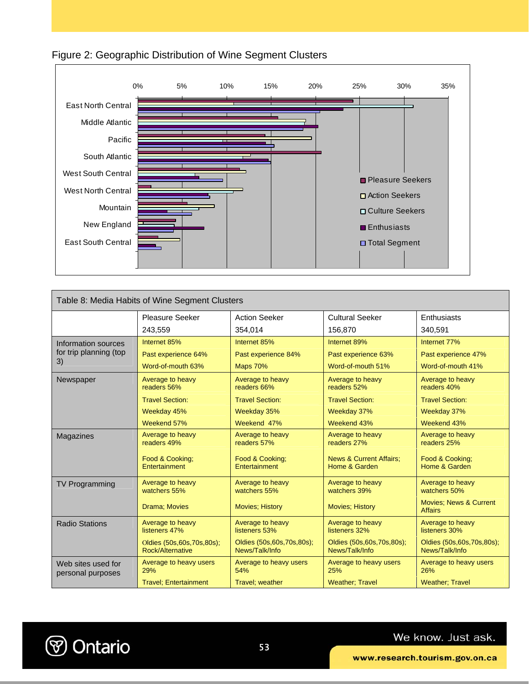



| Table 8: Media Habits of Wine Segment Clusters                                          |                                                  |                                                |                                                     |                                                     |  |  |
|-----------------------------------------------------------------------------------------|--------------------------------------------------|------------------------------------------------|-----------------------------------------------------|-----------------------------------------------------|--|--|
| <b>Cultural Seeker</b><br><b>Pleasure Seeker</b><br><b>Action Seeker</b><br>Enthusiasts |                                                  |                                                |                                                     |                                                     |  |  |
|                                                                                         |                                                  |                                                |                                                     |                                                     |  |  |
|                                                                                         | 243,559                                          | 354.014                                        | 156.870                                             | 340.591                                             |  |  |
| <b>Information sources</b>                                                              | Internet 85%                                     | Internet 85%                                   | Internet 89%                                        | Internet 77%                                        |  |  |
| for trip planning (top                                                                  | Past experience 64%                              | Past experience 84%                            | Past experience 63%                                 | Past experience 47%                                 |  |  |
| 3)                                                                                      | Word-of-mouth 63%                                | <b>Maps 70%</b>                                | Word-of-mouth 51%                                   | Word-of-mouth 41%                                   |  |  |
| Newspaper                                                                               | Average to heavy<br>readers 56%                  | Average to heavy<br>readers 66%                | Average to heavy<br>readers 52%                     | Average to heavy<br>readers 40%                     |  |  |
|                                                                                         | <b>Travel Section:</b>                           | <b>Travel Section:</b>                         | <b>Travel Section:</b>                              | <b>Travel Section:</b>                              |  |  |
|                                                                                         | Weekday 45%                                      | Weekday 35%                                    | Weekday 37%                                         | Weekday 37%                                         |  |  |
|                                                                                         | Weekend 57%                                      | Weekend 47%                                    | Weekend 43%                                         | Weekend 43%                                         |  |  |
| Magazines                                                                               | Average to heavy<br>readers 49%                  | Average to heavy<br>readers 57%                | Average to heavy<br>readers 27%                     | Average to heavy<br>readers 25%                     |  |  |
|                                                                                         | Food & Cooking:<br>Entertainment                 | Food & Cooking;<br>Entertainment               | <b>News &amp; Current Affairs:</b><br>Home & Garden | Food & Cooking:<br>Home & Garden                    |  |  |
| <b>TV Programming</b>                                                                   | Average to heavy<br>watchers 55%                 | Average to heavy<br>watchers 55%               | Average to heavy<br>watchers 39%                    | Average to heavy<br>watchers 50%                    |  |  |
|                                                                                         | <b>Drama</b> ; Movies                            | <b>Movies</b> ; History                        | <b>Movies</b> ; History                             | <b>Movies: News &amp; Current</b><br><b>Affairs</b> |  |  |
| <b>Radio Stations</b>                                                                   | Average to heavy<br>listeners 47%                | Average to heavy<br>listeners 53%              | Average to heavy<br>listeners 32%                   | Average to heavy<br>listeners 30%                   |  |  |
|                                                                                         | Oldies (50s, 60s, 70s, 80s);<br>Rock/Alternative | Oldies (50s, 60s, 70s, 80s);<br>News/Talk/Info | Oldies (50s, 60s, 70s, 80s);<br>News/Talk/Info      | Oldies (50s, 60s, 70s, 80s);<br>News/Talk/Info      |  |  |
| Web sites used for<br>personal purposes                                                 | Average to heavy users<br>29%                    | Average to heavy users<br>54%                  | Average to heavy users<br>25%                       | Average to heavy users<br>26%                       |  |  |
|                                                                                         | <b>Travel: Entertainment</b>                     | <b>Travel: weather</b>                         | <b>Weather: Travel</b>                              | <b>Weather: Travel</b>                              |  |  |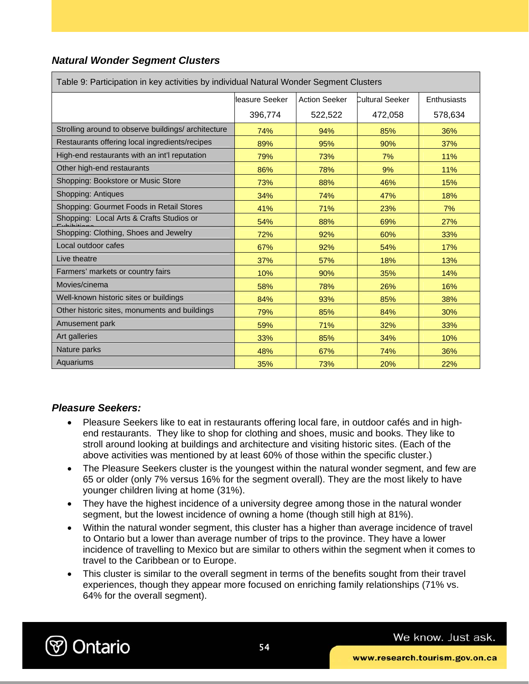### *Natural Wonder Segment Clusters*

| Table 9: Participation in key activities by individual Natural Wonder Segment Clusters |                 |                      |                        |             |  |
|----------------------------------------------------------------------------------------|-----------------|----------------------|------------------------|-------------|--|
|                                                                                        | lleasure Seeker | <b>Action Seeker</b> | <b>Cultural Seeker</b> | Enthusiasts |  |
|                                                                                        | 396,774         | 522,522              | 472,058                | 578,634     |  |
| Strolling around to observe buildings/architecture                                     | 74%             | 94%                  | 85%                    | 36%         |  |
| Restaurants offering local ingredients/recipes                                         | 89%             | 95%                  | 90%                    | 37%         |  |
| High-end restaurants with an int'l reputation                                          | 79%             | 73%                  | 7%                     | 11%         |  |
| Other high-end restaurants                                                             | 86%             | 78%                  | 9%                     | 11%         |  |
| Shopping: Bookstore or Music Store                                                     | 73%             | 88%                  | 46%                    | 15%         |  |
| Shopping: Antiques                                                                     | 34%             | 74%                  | 47%                    | 18%         |  |
| Shopping: Gourmet Foods in Retail Stores                                               | 41%             | 71%                  | 23%                    | 7%          |  |
| Shopping: Local Arts & Crafts Studios or                                               | 54%             | 88%                  | 69%                    | 27%         |  |
| Shopping: Clothing, Shoes and Jewelry                                                  | 72%             | 92%                  | 60%                    | 33%         |  |
| Local outdoor cafes                                                                    | 67%             | 92%                  | 54%                    | 17%         |  |
| Live theatre                                                                           | 37%             | 57%                  | 18%                    | 13%         |  |
| Farmers' markets or country fairs                                                      | 10%             | 90%                  | 35%                    | 14%         |  |
| Movies/cinema                                                                          | 58%             | 78%                  | 26%                    | 16%         |  |
| Well-known historic sites or buildings                                                 | 84%             | 93%                  | 85%                    | 38%         |  |
| Other historic sites, monuments and buildings                                          | 79%             | 85%                  | 84%                    | 30%         |  |
| Amusement park                                                                         | 59%             | 71%                  | 32%                    | 33%         |  |
| Art galleries                                                                          | 33%             | 85%                  | 34%                    | 10%         |  |
| Nature parks                                                                           | 48%             | 67%                  | 74%                    | 36%         |  |
| Aquariums                                                                              | 35%             | 73%                  | 20%                    | 22%         |  |

### *Pleasure Seekers:*

- Pleasure Seekers like to eat in restaurants offering local fare, in outdoor cafés and in highend restaurants. They like to shop for clothing and shoes, music and books. They like to stroll around looking at buildings and architecture and visiting historic sites. (Each of the above activities was mentioned by at least 60% of those within the specific cluster.)
- The Pleasure Seekers cluster is the youngest within the natural wonder segment, and few are 65 or older (only 7% versus 16% for the segment overall). They are the most likely to have younger children living at home (31%).
- They have the highest incidence of a university degree among those in the natural wonder segment, but the lowest incidence of owning a home (though still high at 81%).
- Within the natural wonder segment, this cluster has a higher than average incidence of travel to Ontario but a lower than average number of trips to the province. They have a lower incidence of travelling to Mexico but are similar to others within the segment when it comes to travel to the Caribbean or to Europe.
- This cluster is similar to the overall segment in terms of the benefits sought from their travel experiences, though they appear more focused on enriching family relationships (71% vs. 64% for the overall segment).

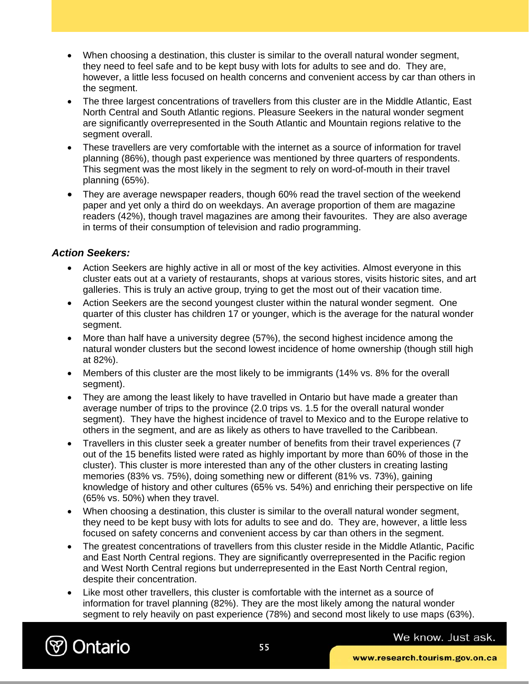- When choosing a destination, this cluster is similar to the overall natural wonder segment, they need to feel safe and to be kept busy with lots for adults to see and do. They are, however, a little less focused on health concerns and convenient access by car than others in the segment.
- The three largest concentrations of travellers from this cluster are in the Middle Atlantic, East North Central and South Atlantic regions. Pleasure Seekers in the natural wonder segment are significantly overrepresented in the South Atlantic and Mountain regions relative to the segment overall.
- These travellers are very comfortable with the internet as a source of information for travel planning (86%), though past experience was mentioned by three quarters of respondents. This segment was the most likely in the segment to rely on word-of-mouth in their travel planning (65%).
- They are average newspaper readers, though 60% read the travel section of the weekend paper and yet only a third do on weekdays. An average proportion of them are magazine readers (42%), though travel magazines are among their favourites. They are also average in terms of their consumption of television and radio programming.

### *Action Seekers:*

- Action Seekers are highly active in all or most of the key activities. Almost everyone in this cluster eats out at a variety of restaurants, shops at various stores, visits historic sites, and art galleries. This is truly an active group, trying to get the most out of their vacation time.
- Action Seekers are the second youngest cluster within the natural wonder segment. One quarter of this cluster has children 17 or younger, which is the average for the natural wonder segment.
- More than half have a university degree (57%), the second highest incidence among the natural wonder clusters but the second lowest incidence of home ownership (though still high at 82%).
- Members of this cluster are the most likely to be immigrants (14% vs. 8% for the overall segment).
- They are among the least likely to have travelled in Ontario but have made a greater than average number of trips to the province (2.0 trips vs. 1.5 for the overall natural wonder segment). They have the highest incidence of travel to Mexico and to the Europe relative to others in the segment, and are as likely as others to have travelled to the Caribbean.
- Travellers in this cluster seek a greater number of benefits from their travel experiences (7 out of the 15 benefits listed were rated as highly important by more than 60% of those in the cluster). This cluster is more interested than any of the other clusters in creating lasting memories (83% vs. 75%), doing something new or different (81% vs. 73%), gaining knowledge of history and other cultures (65% vs. 54%) and enriching their perspective on life (65% vs. 50%) when they travel.
- When choosing a destination, this cluster is similar to the overall natural wonder segment, they need to be kept busy with lots for adults to see and do. They are, however, a little less focused on safety concerns and convenient access by car than others in the segment.
- The greatest concentrations of travellers from this cluster reside in the Middle Atlantic, Pacific and East North Central regions. They are significantly overrepresented in the Pacific region and West North Central regions but underrepresented in the East North Central region, despite their concentration.
- Like most other travellers, this cluster is comfortable with the internet as a source of information for travel planning (82%). They are the most likely among the natural wonder segment to rely heavily on past experience (78%) and second most likely to use maps (63%).

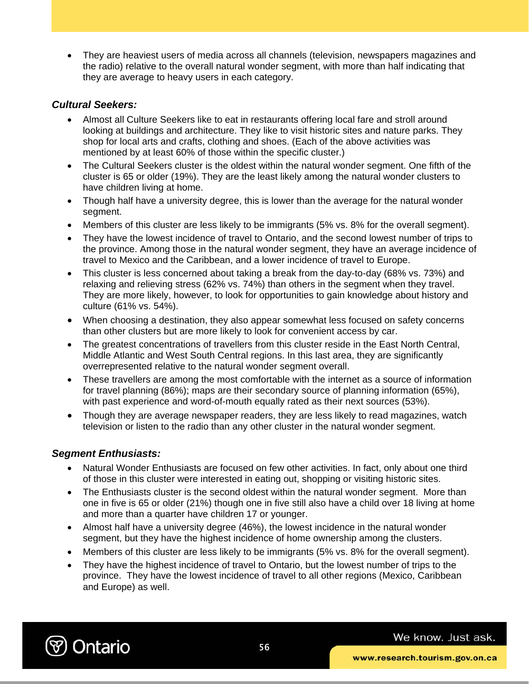• They are heaviest users of media across all channels (television, newspapers magazines and the radio) relative to the overall natural wonder segment, with more than half indicating that they are average to heavy users in each category.

#### *Cultural Seekers:*

- Almost all Culture Seekers like to eat in restaurants offering local fare and stroll around looking at buildings and architecture. They like to visit historic sites and nature parks. They shop for local arts and crafts, clothing and shoes. (Each of the above activities was mentioned by at least 60% of those within the specific cluster.)
- The Cultural Seekers cluster is the oldest within the natural wonder segment. One fifth of the cluster is 65 or older (19%). They are the least likely among the natural wonder clusters to have children living at home.
- Though half have a university degree, this is lower than the average for the natural wonder segment.
- Members of this cluster are less likely to be immigrants (5% vs. 8% for the overall segment).
- They have the lowest incidence of travel to Ontario, and the second lowest number of trips to the province. Among those in the natural wonder segment, they have an average incidence of travel to Mexico and the Caribbean, and a lower incidence of travel to Europe.
- This cluster is less concerned about taking a break from the day-to-day (68% vs. 73%) and relaxing and relieving stress (62% vs. 74%) than others in the segment when they travel. They are more likely, however, to look for opportunities to gain knowledge about history and culture (61% vs. 54%).
- When choosing a destination, they also appear somewhat less focused on safety concerns than other clusters but are more likely to look for convenient access by car.
- The greatest concentrations of travellers from this cluster reside in the East North Central, Middle Atlantic and West South Central regions. In this last area, they are significantly overrepresented relative to the natural wonder segment overall.
- These travellers are among the most comfortable with the internet as a source of information for travel planning (86%); maps are their secondary source of planning information (65%), with past experience and word-of-mouth equally rated as their next sources (53%).
- Though they are average newspaper readers, they are less likely to read magazines, watch television or listen to the radio than any other cluster in the natural wonder segment.

### *Segment Enthusiasts:*

- Natural Wonder Enthusiasts are focused on few other activities. In fact, only about one third of those in this cluster were interested in eating out, shopping or visiting historic sites.
- The Enthusiasts cluster is the second oldest within the natural wonder segment. More than one in five is 65 or older (21%) though one in five still also have a child over 18 living at home and more than a quarter have children 17 or younger.
- Almost half have a university degree (46%), the lowest incidence in the natural wonder segment, but they have the highest incidence of home ownership among the clusters.
- Members of this cluster are less likely to be immigrants (5% vs. 8% for the overall segment).
- They have the highest incidence of travel to Ontario, but the lowest number of trips to the province. They have the lowest incidence of travel to all other regions (Mexico, Caribbean and Europe) as well.

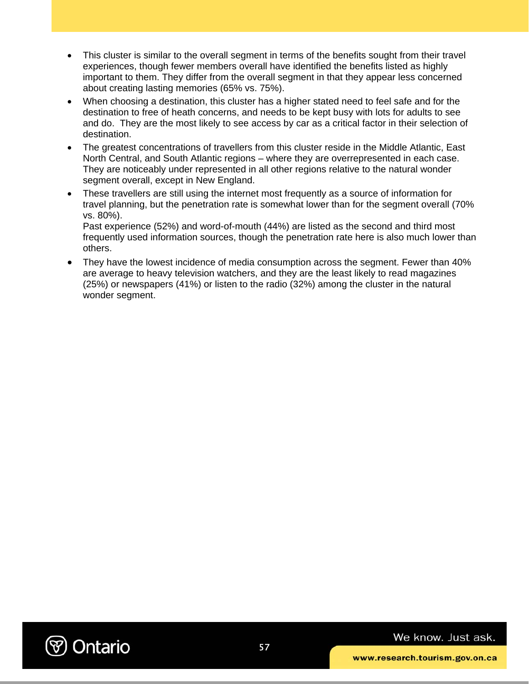- This cluster is similar to the overall segment in terms of the benefits sought from their travel experiences, though fewer members overall have identified the benefits listed as highly important to them. They differ from the overall segment in that they appear less concerned about creating lasting memories (65% vs. 75%).
- When choosing a destination, this cluster has a higher stated need to feel safe and for the destination to free of heath concerns, and needs to be kept busy with lots for adults to see and do. They are the most likely to see access by car as a critical factor in their selection of destination.
- The greatest concentrations of travellers from this cluster reside in the Middle Atlantic, East North Central, and South Atlantic regions – where they are overrepresented in each case. They are noticeably under represented in all other regions relative to the natural wonder segment overall, except in New England.
- These travellers are still using the internet most frequently as a source of information for travel planning, but the penetration rate is somewhat lower than for the segment overall (70% vs. 80%).

Past experience (52%) and word-of-mouth (44%) are listed as the second and third most frequently used information sources, though the penetration rate here is also much lower than others.

• They have the lowest incidence of media consumption across the segment. Fewer than 40% are average to heavy television watchers, and they are the least likely to read magazines (25%) or newspapers (41%) or listen to the radio (32%) among the cluster in the natural wonder segment.

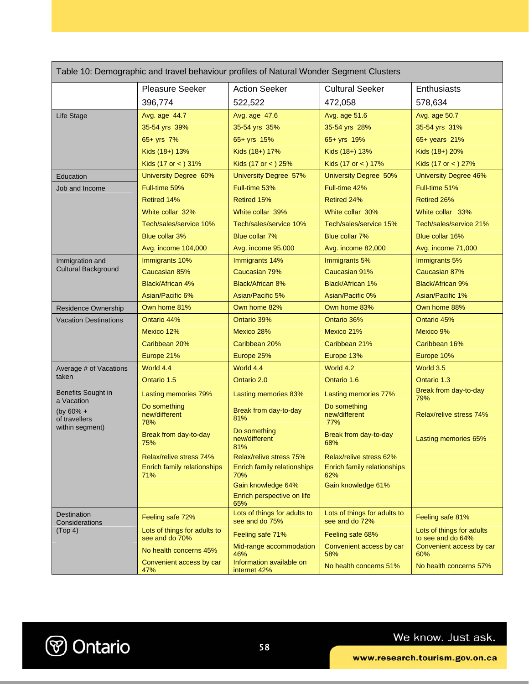| Table 10: Demographic and travel behaviour profiles of Natural Wonder Segment Clusters |                                                |                                                |                                                |                                                |  |
|----------------------------------------------------------------------------------------|------------------------------------------------|------------------------------------------------|------------------------------------------------|------------------------------------------------|--|
|                                                                                        | <b>Pleasure Seeker</b>                         | <b>Action Seeker</b>                           | <b>Cultural Seeker</b>                         | Enthusiasts                                    |  |
|                                                                                        | 396,774                                        | 522,522                                        | 472,058                                        | 578,634                                        |  |
| Life Stage                                                                             | Avg. age 44.7                                  | Avg. age 47.6                                  | Avg. age 51.6                                  | Avg. age 50.7                                  |  |
|                                                                                        | 35-54 yrs 39%                                  | 35-54 yrs 35%                                  | 35-54 yrs 28%                                  | 35-54 yrs 31%                                  |  |
|                                                                                        | $65 + yrs$ 7%                                  | $65 + yrs$ 15%                                 | $65 + yrs$ 19%                                 | $65+$ years $21%$                              |  |
|                                                                                        | Kids (18+) 13%                                 | Kids (18+) 17%                                 | Kids (18+) 13%                                 | Kids (18+) 20%                                 |  |
|                                                                                        | Kids (17 or $<$ ) 31%                          | Kids (17 or $<$ ) 25%                          | Kids (17 or $<$ ) 17%                          | Kids (17 or $<$ ) 27%                          |  |
| Education                                                                              | <b>University Degree 60%</b>                   | <b>University Degree 57%</b>                   | <b>University Degree 50%</b>                   | <b>University Degree 46%</b>                   |  |
| Job and Income                                                                         | Full-time 59%                                  | Full-time 53%                                  | Full-time 42%                                  | Full-time 51%                                  |  |
|                                                                                        | <b>Retired 14%</b>                             | <b>Retired 15%</b>                             | <b>Retired 24%</b>                             | Retired 26%                                    |  |
|                                                                                        | White collar 32%                               | White collar 39%                               | White collar 30%                               | White collar 33%                               |  |
|                                                                                        | Tech/sales/service 10%                         | Tech/sales/service 10%                         | Tech/sales/service 15%                         | Tech/sales/service 21%                         |  |
|                                                                                        | <b>Blue collar 3%</b>                          | Blue collar 7%                                 | Blue collar 7%                                 | Blue collar 16%                                |  |
|                                                                                        | Avg. income 104,000                            | Avg. income 95,000                             | Avg. income 82,000                             | Avg. income 71,000                             |  |
| Immigration and                                                                        | Immigrants 10%                                 | Immigrants 14%                                 | Immigrants 5%                                  | Immigrants 5%                                  |  |
| <b>Cultural Background</b>                                                             | Caucasian 85%                                  | Caucasian 79%                                  | Caucasian 91%                                  | Caucasian 87%                                  |  |
|                                                                                        | <b>Black/African 4%</b>                        | <b>Black/African 8%</b>                        | Black/African 1%                               | Black/African 9%                               |  |
|                                                                                        | Asian/Pacific 6%                               | Asian/Pacific 5%                               | Asian/Pacific 0%                               | Asian/Pacific 1%                               |  |
| <b>Residence Ownership</b>                                                             | Own home 81%                                   | Own home 82%                                   | Own home 83%                                   | Own home 88%                                   |  |
| <b>Vacation Destinations</b>                                                           | Ontario 44%                                    | Ontario 39%                                    | Ontario 36%                                    | Ontario 45%                                    |  |
|                                                                                        | Mexico 12%                                     | Mexico 28%                                     | Mexico 21%                                     | Mexico 9%                                      |  |
|                                                                                        | Caribbean 20%                                  | Caribbean 20%                                  | Caribbean 21%                                  | Caribbean 16%                                  |  |
|                                                                                        | Europe 21%                                     | Europe 25%                                     | Europe 13%                                     | Europe 10%                                     |  |
| Average # of Vacations                                                                 | World 4.4                                      | World 4.4                                      | World 4.2                                      | World 3.5                                      |  |
| taken                                                                                  | Ontario 1.5                                    | Ontario 2.0                                    | Ontario 1.6                                    | Ontario 1.3                                    |  |
| Benefits Sought in<br>a Vacation                                                       | Lasting memories 79%                           | Lasting memories 83%                           | Lasting memories 77%                           | Break from day-to-day<br>79%                   |  |
| (by $60\% +$<br>of travellers                                                          | Do something<br>new/different<br>78%           | Break from day-to-day<br>81%                   | Do something<br>new/different<br>77%           | <b>Relax/relive stress 74%</b>                 |  |
| within segment)                                                                        | Break from day-to-day<br>75%                   | Do something<br>new/different<br>81%           | Break from day-to-day<br>68%                   | Lasting memories 65%                           |  |
|                                                                                        | Relax/relive stress 74%                        | Relax/relive stress 75%                        | Relax/relive stress 62%                        |                                                |  |
|                                                                                        | Enrich family relationships<br>71%             | Enrich family relationships<br>70%             | Enrich family relationships<br>62%             |                                                |  |
|                                                                                        |                                                | Gain knowledge 64%                             | Gain knowledge 61%                             |                                                |  |
|                                                                                        |                                                | Enrich perspective on life<br>65%              |                                                |                                                |  |
| Destination<br>Considerations                                                          | Feeling safe 72%                               | Lots of things for adults to<br>see and do 75% | Lots of things for adults to<br>see and do 72% | Feeling safe 81%                               |  |
| (Top 4)                                                                                | Lots of things for adults to<br>see and do 70% | Feeling safe 71%                               | Feeling safe 68%                               | Lots of things for adults<br>to see and do 64% |  |
|                                                                                        | No health concerns 45%                         | Mid-range accommodation<br>46%                 | Convenient access by car<br>58%                | Convenient access by car<br>60%                |  |
|                                                                                        | Convenient access by car<br>47%                | Information available on<br>internet 42%       | No health concerns 51%                         | No health concerns 57%                         |  |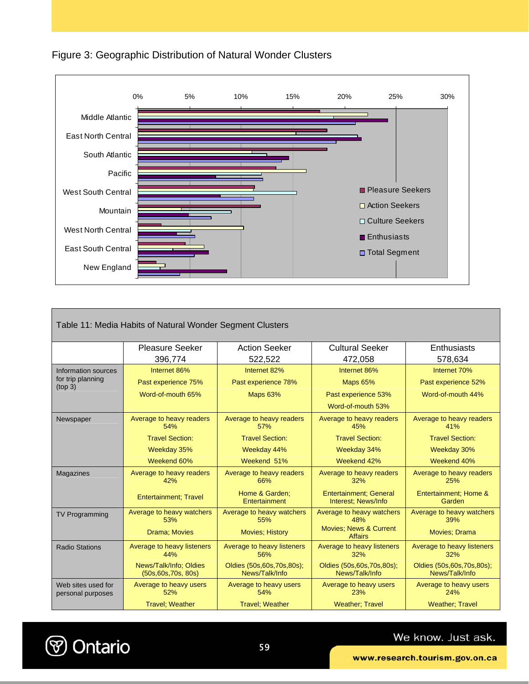



| Table 11: Media Habits of Natural Wonder Segment Clusters |                                                |                                                |                                                      |                                                |  |
|-----------------------------------------------------------|------------------------------------------------|------------------------------------------------|------------------------------------------------------|------------------------------------------------|--|
|                                                           | <b>Pleasure Seeker</b><br>396,774              | <b>Action Seeker</b><br>522,522                | <b>Cultural Seeker</b><br>472,058                    | Enthusiasts<br>578,634                         |  |
| Information sources                                       | Internet 86%                                   | Internet 82%                                   | Internet 86%                                         | Internet 70%                                   |  |
| for trip planning<br>(top 3)                              | Past experience 75%                            | Past experience 78%                            | <b>Maps 65%</b>                                      | Past experience 52%                            |  |
|                                                           | Word-of-mouth 65%                              | <b>Maps 63%</b>                                | Past experience 53%                                  | Word-of-mouth 44%                              |  |
|                                                           |                                                |                                                | Word-of-mouth 53%                                    |                                                |  |
| Newspaper                                                 | Average to heavy readers<br>54%                | Average to heavy readers<br>57%                | Average to heavy readers<br>45%                      | Average to heavy readers<br>41%                |  |
|                                                           | <b>Travel Section:</b>                         | <b>Travel Section:</b>                         | <b>Travel Section:</b>                               | <b>Travel Section:</b>                         |  |
|                                                           | Weekday 35%                                    | Weekday 44%                                    | Weekday 34%                                          | Weekday 30%                                    |  |
|                                                           | Weekend 60%                                    | Weekend 51%                                    | Weekend 42%                                          | Weekend 40%                                    |  |
| Magazines                                                 | Average to heavy readers<br>42%                | Average to heavy readers<br>66%                | Average to heavy readers<br>32%                      | Average to heavy readers<br>25%                |  |
|                                                           | <b>Entertainment</b> ; Travel                  | Home & Garden:<br>Entertainment                | <b>Entertainment: General</b><br>Interest: News/Info | Entertainment: Home &<br>Garden                |  |
| <b>TV Programming</b>                                     | Average to heavy watchers<br>53%               | Average to heavy watchers<br>55%               | Average to heavy watchers<br>48%                     | Average to heavy watchers<br>39%               |  |
|                                                           | Drama; Movies                                  | <b>Movies: History</b>                         | <b>Movies: News &amp; Current</b><br><b>Affairs</b>  | <b>Movies: Drama</b>                           |  |
| <b>Radio Stations</b>                                     | Average to heavy listeners<br>44%              | Average to heavy listeners<br>56%              | Average to heavy listeners<br>32%                    | Average to heavy listeners<br>32%              |  |
|                                                           | News/Talk/Info; Oldies<br>(50s, 60s, 70s, 80s) | Oldies (50s, 60s, 70s, 80s);<br>News/Talk/Info | Oldies (50s, 60s, 70s, 80s);<br>News/Talk/Info       | Oldies (50s, 60s, 70s, 80s);<br>News/Talk/Info |  |
| Web sites used for<br>personal purposes                   | Average to heavy users<br>52%                  | Average to heavy users<br>54%                  | Average to heavy users<br>23%                        | Average to heavy users<br>24%                  |  |
|                                                           | <b>Travel</b> ; Weather                        | <b>Travel: Weather</b>                         | <b>Weather: Travel</b>                               | <b>Weather: Travel</b>                         |  |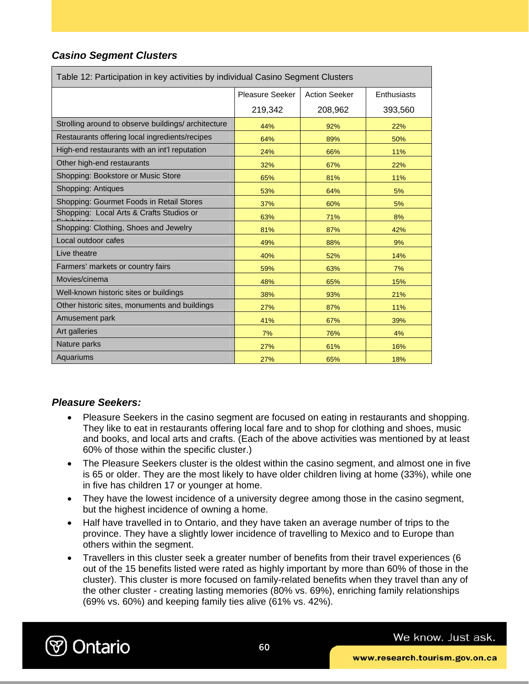### *Casino Segment Clusters*

| Table 12: Participation in key activities by individual Casino Segment Clusters |                        |                      |             |  |  |
|---------------------------------------------------------------------------------|------------------------|----------------------|-------------|--|--|
|                                                                                 | <b>Pleasure Seeker</b> | <b>Action Seeker</b> | Enthusiasts |  |  |
|                                                                                 | 219,342                | 208,962              | 393,560     |  |  |
| Strolling around to observe buildings/architecture                              | 44%                    | 92%                  | 22%         |  |  |
| Restaurants offering local ingredients/recipes                                  | 64%                    | 89%                  | 50%         |  |  |
| High-end restaurants with an int'l reputation                                   | 24%                    | 66%                  | 11%         |  |  |
| Other high-end restaurants                                                      | 32%                    | 67%                  | 22%         |  |  |
| Shopping: Bookstore or Music Store                                              | 65%                    | 81%                  | 11%         |  |  |
| Shopping: Antiques                                                              | 53%                    | 64%                  | 5%          |  |  |
| Shopping: Gourmet Foods in Retail Stores                                        | 37%                    | 60%                  | 5%          |  |  |
| Shopping: Local Arts & Crafts Studios or                                        | 63%                    | 71%                  | 8%          |  |  |
| Shopping: Clothing, Shoes and Jewelry                                           | 81%                    | 87%                  | 42%         |  |  |
| Local outdoor cafes                                                             | 49%                    | 88%                  | 9%          |  |  |
| Live theatre                                                                    | 40%                    | 52%                  | 14%         |  |  |
| Farmers' markets or country fairs                                               | 59%                    | 63%                  | 7%          |  |  |
| Movies/cinema                                                                   | 48%                    | 65%                  | 15%         |  |  |
| Well-known historic sites or buildings                                          | 38%                    | 93%                  | 21%         |  |  |
| Other historic sites, monuments and buildings                                   | 27%                    | 87%                  | 11%         |  |  |
| Amusement park                                                                  | 41%                    | 67%                  | 39%         |  |  |
| Art galleries                                                                   | 7%                     | 76%                  | 4%          |  |  |
| Nature parks                                                                    | 27%                    | 61%                  | 16%         |  |  |
| Aquariums                                                                       | 27%                    | 65%                  | 18%         |  |  |

### *Pleasure Seekers:*

- Pleasure Seekers in the casino segment are focused on eating in restaurants and shopping. They like to eat in restaurants offering local fare and to shop for clothing and shoes, music and books, and local arts and crafts. (Each of the above activities was mentioned by at least 60% of those within the specific cluster.)
- The Pleasure Seekers cluster is the oldest within the casino segment, and almost one in five is 65 or older. They are the most likely to have older children living at home (33%), while one in five has children 17 or younger at home.
- They have the lowest incidence of a university degree among those in the casino segment, but the highest incidence of owning a home.
- Half have travelled in to Ontario, and they have taken an average number of trips to the province. They have a slightly lower incidence of travelling to Mexico and to Europe than others within the segment.
- Travellers in this cluster seek a greater number of benefits from their travel experiences (6 out of the 15 benefits listed were rated as highly important by more than 60% of those in the cluster). This cluster is more focused on family-related benefits when they travel than any of the other cluster - creating lasting memories (80% vs. 69%), enriching family relationships (69% vs. 60%) and keeping family ties alive (61% vs. 42%).

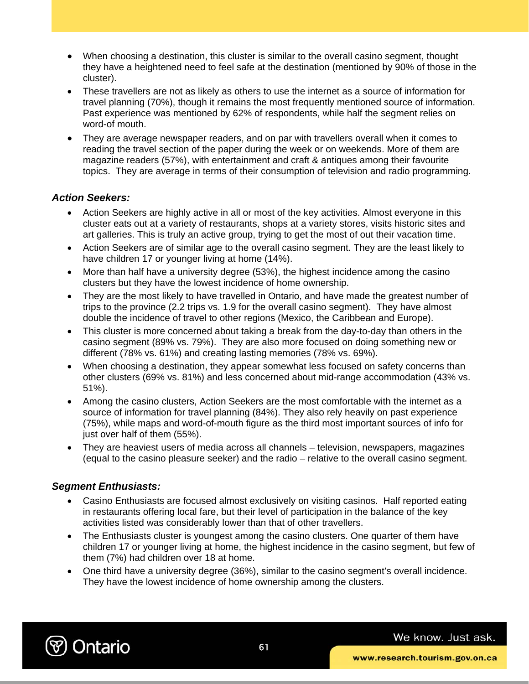- When choosing a destination, this cluster is similar to the overall casino segment, thought they have a heightened need to feel safe at the destination (mentioned by 90% of those in the cluster).
- These travellers are not as likely as others to use the internet as a source of information for travel planning (70%), though it remains the most frequently mentioned source of information. Past experience was mentioned by 62% of respondents, while half the segment relies on word-of mouth.
- They are average newspaper readers, and on par with travellers overall when it comes to reading the travel section of the paper during the week or on weekends. More of them are magazine readers (57%), with entertainment and craft & antiques among their favourite topics. They are average in terms of their consumption of television and radio programming.

#### *Action Seekers:*

- Action Seekers are highly active in all or most of the key activities. Almost everyone in this cluster eats out at a variety of restaurants, shops at a variety stores, visits historic sites and art galleries. This is truly an active group, trying to get the most of out their vacation time.
- Action Seekers are of similar age to the overall casino segment. They are the least likely to have children 17 or younger living at home (14%).
- More than half have a university degree (53%), the highest incidence among the casino clusters but they have the lowest incidence of home ownership.
- They are the most likely to have travelled in Ontario, and have made the greatest number of trips to the province (2.2 trips vs. 1.9 for the overall casino segment). They have almost double the incidence of travel to other regions (Mexico, the Caribbean and Europe).
- This cluster is more concerned about taking a break from the day-to-day than others in the casino segment (89% vs. 79%). They are also more focused on doing something new or different (78% vs. 61%) and creating lasting memories (78% vs. 69%).
- When choosing a destination, they appear somewhat less focused on safety concerns than other clusters (69% vs. 81%) and less concerned about mid-range accommodation (43% vs. 51%).
- Among the casino clusters, Action Seekers are the most comfortable with the internet as a source of information for travel planning (84%). They also rely heavily on past experience (75%), while maps and word-of-mouth figure as the third most important sources of info for just over half of them (55%).
- They are heaviest users of media across all channels television, newspapers, magazines (equal to the casino pleasure seeker) and the radio – relative to the overall casino segment.

#### *Segment Enthusiasts:*

- Casino Enthusiasts are focused almost exclusively on visiting casinos. Half reported eating in restaurants offering local fare, but their level of participation in the balance of the key activities listed was considerably lower than that of other travellers.
- The Enthusiasts cluster is youngest among the casino clusters. One quarter of them have children 17 or younger living at home, the highest incidence in the casino segment, but few of them (7%) had children over 18 at home.
- One third have a university degree (36%), similar to the casino segment's overall incidence. They have the lowest incidence of home ownership among the clusters.

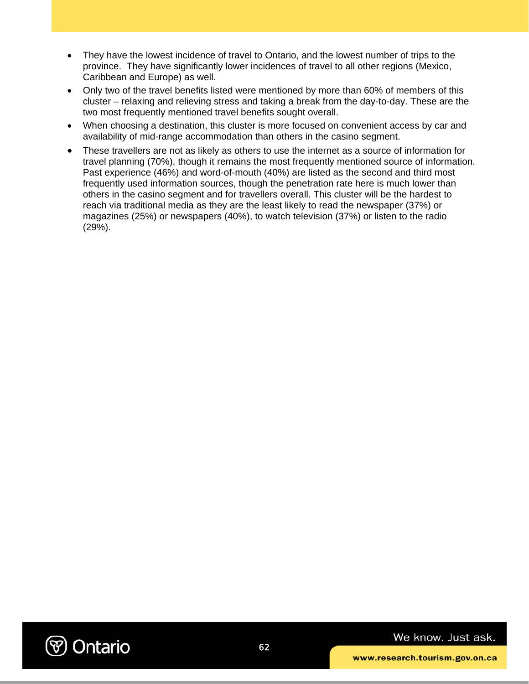- They have the lowest incidence of travel to Ontario, and the lowest number of trips to the province. They have significantly lower incidences of travel to all other regions (Mexico, Caribbean and Europe) as well.
- Only two of the travel benefits listed were mentioned by more than 60% of members of this cluster – relaxing and relieving stress and taking a break from the day-to-day. These are the two most frequently mentioned travel benefits sought overall.
- When choosing a destination, this cluster is more focused on convenient access by car and availability of mid-range accommodation than others in the casino segment.
- These travellers are not as likely as others to use the internet as a source of information for travel planning (70%), though it remains the most frequently mentioned source of information. Past experience (46%) and word-of-mouth (40%) are listed as the second and third most frequently used information sources, though the penetration rate here is much lower than others in the casino segment and for travellers overall. This cluster will be the hardest to reach via traditional media as they are the least likely to read the newspaper (37%) or magazines (25%) or newspapers (40%), to watch television (37%) or listen to the radio (29%).

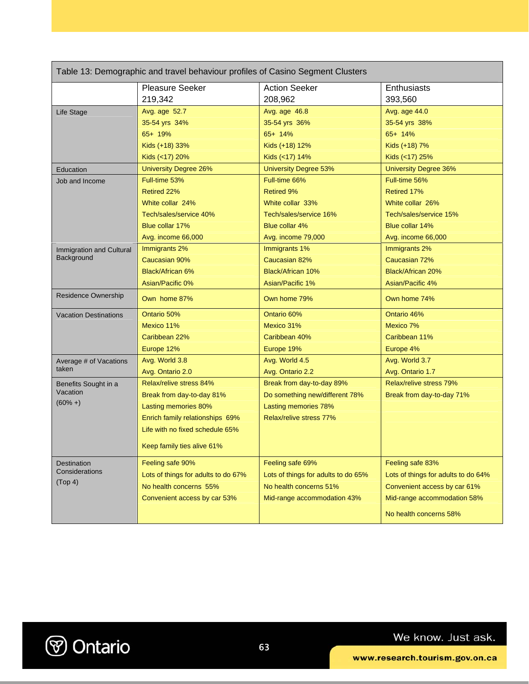| Table 13: Demographic and travel behaviour profiles of Casino Segment Clusters |                                     |                                     |                                     |  |
|--------------------------------------------------------------------------------|-------------------------------------|-------------------------------------|-------------------------------------|--|
|                                                                                | Pleasure Seeker                     | <b>Action Seeker</b>                | Enthusiasts                         |  |
|                                                                                | 219,342                             | 208,962                             | 393,560                             |  |
| <b>Life Stage</b>                                                              | Avg. age 52.7                       | Avg. age 46.8                       | Avg. age 44.0                       |  |
|                                                                                | 35-54 yrs 34%                       | 35-54 yrs 36%                       | 35-54 yrs 38%                       |  |
|                                                                                | 65+ 19%                             | 65+ 14%                             | 65+ 14%                             |  |
|                                                                                | Kids (+18) 33%                      | Kids (+18) 12%                      | Kids (+18) 7%                       |  |
|                                                                                | Kids (<17) 20%                      | Kids (<17) 14%                      | Kids (<17) 25%                      |  |
| Education                                                                      | <b>University Degree 26%</b>        | <b>University Degree 53%</b>        | <b>University Degree 36%</b>        |  |
| Job and Income                                                                 | Full-time 53%                       | Full-time 66%                       | Full-time 56%                       |  |
|                                                                                | Retired 22%                         | <b>Retired 9%</b>                   | Retired 17%                         |  |
|                                                                                | White collar 24%                    | White collar 33%                    | White collar 26%                    |  |
|                                                                                | Tech/sales/service 40%              | Tech/sales/service 16%              | Tech/sales/service 15%              |  |
|                                                                                | Blue collar 17%                     | Blue collar 4%                      | Blue collar 14%                     |  |
|                                                                                | Avg. income 66,000                  | Avg. income 79,000                  | Avg. income 66,000                  |  |
| Immigration and Cultural                                                       | Immigrants 2%                       | Immigrants 1%                       | Immigrants 2%                       |  |
| Background                                                                     | <b>Caucasian 90%</b>                | Caucasian 82%                       | Caucasian 72%                       |  |
|                                                                                | <b>Black/African 6%</b>             | Black/African 10%                   | <b>Black/African 20%</b>            |  |
|                                                                                | Asian/Pacific 0%                    | Asian/Pacific 1%                    | Asian/Pacific 4%                    |  |
| Residence Ownership                                                            | Own home 87%                        | Own home 79%                        | Own home 74%                        |  |
| <b>Vacation Destinations</b>                                                   | Ontario 50%                         | Ontario 60%                         | Ontario 46%                         |  |
|                                                                                | Mexico 11%                          | Mexico 31%                          | Mexico 7%                           |  |
|                                                                                | Caribbean 22%                       | Caribbean 40%                       | Caribbean 11%                       |  |
|                                                                                | Europe 12%                          | Europe 19%                          | Europe 4%                           |  |
| Average # of Vacations                                                         | Avg. World 3.8                      | Avg. World 4.5                      | Avg. World 3.7                      |  |
| taken                                                                          | Avg. Ontario 2.0                    | Avg. Ontario 2.2                    | Avg. Ontario 1.7                    |  |
| Benefits Sought in a                                                           | Relax/relive stress 84%             | Break from day-to-day 89%           | <b>Relax/relive stress 79%</b>      |  |
| Vacation                                                                       | Break from day-to-day 81%           | Do something new/different 78%      | Break from day-to-day 71%           |  |
| $(60% + )$                                                                     | Lasting memories 80%                | Lasting memories 78%                |                                     |  |
|                                                                                | Enrich family relationships 69%     | Relax/relive stress 77%             |                                     |  |
|                                                                                | Life with no fixed schedule 65%     |                                     |                                     |  |
|                                                                                | Keep family ties alive 61%          |                                     |                                     |  |
| Destination                                                                    | Feeling safe 90%                    | Feeling safe 69%                    | Feeling safe 83%                    |  |
| Considerations                                                                 | Lots of things for adults to do 67% | Lots of things for adults to do 65% | Lots of things for adults to do 64% |  |
| (Top 4)                                                                        | No health concerns 55%              | No health concerns 51%              | Convenient access by car 61%        |  |
|                                                                                | Convenient access by car 53%        | Mid-range accommodation 43%         | Mid-range accommodation 58%         |  |
|                                                                                |                                     |                                     | No health concerns 58%              |  |

**V** Ontario